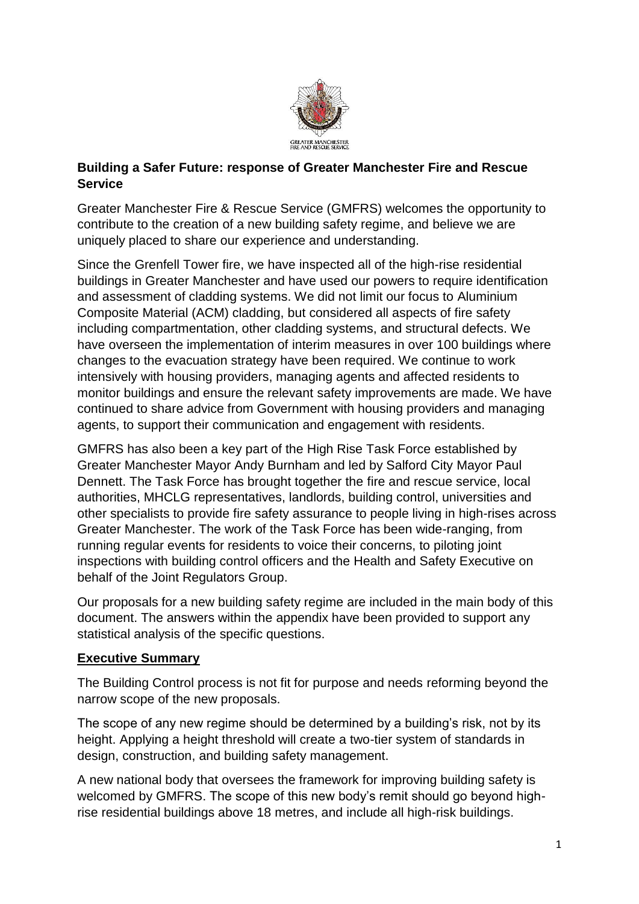

### **Building a Safer Future: response of Greater Manchester Fire and Rescue Service**

Greater Manchester Fire & Rescue Service (GMFRS) welcomes the opportunity to contribute to the creation of a new building safety regime, and believe we are uniquely placed to share our experience and understanding.

Since the Grenfell Tower fire, we have inspected all of the high-rise residential buildings in Greater Manchester and have used our powers to require identification and assessment of cladding systems. We did not limit our focus to Aluminium Composite Material (ACM) cladding, but considered all aspects of fire safety including compartmentation, other cladding systems, and structural defects. We have overseen the implementation of interim measures in over 100 buildings where changes to the evacuation strategy have been required. We continue to work intensively with housing providers, managing agents and affected residents to monitor buildings and ensure the relevant safety improvements are made. We have continued to share advice from Government with housing providers and managing agents, to support their communication and engagement with residents.

GMFRS has also been a key part of the High Rise Task Force established by Greater Manchester Mayor Andy Burnham and led by Salford City Mayor Paul Dennett. The Task Force has brought together the fire and rescue service, local authorities, MHCLG representatives, landlords, building control, universities and other specialists to provide fire safety assurance to people living in high-rises across Greater Manchester. The work of the Task Force has been wide-ranging, from running regular events for residents to voice their concerns, to piloting joint inspections with building control officers and the Health and Safety Executive on behalf of the Joint Regulators Group.

Our proposals for a new building safety regime are included in the main body of this document. The answers within the appendix have been provided to support any statistical analysis of the specific questions.

### **Executive Summary**

The Building Control process is not fit for purpose and needs reforming beyond the narrow scope of the new proposals.

The scope of any new regime should be determined by a building's risk, not by its height. Applying a height threshold will create a two-tier system of standards in design, construction, and building safety management.

A new national body that oversees the framework for improving building safety is welcomed by GMFRS. The scope of this new body's remit should go beyond highrise residential buildings above 18 metres, and include all high-risk buildings.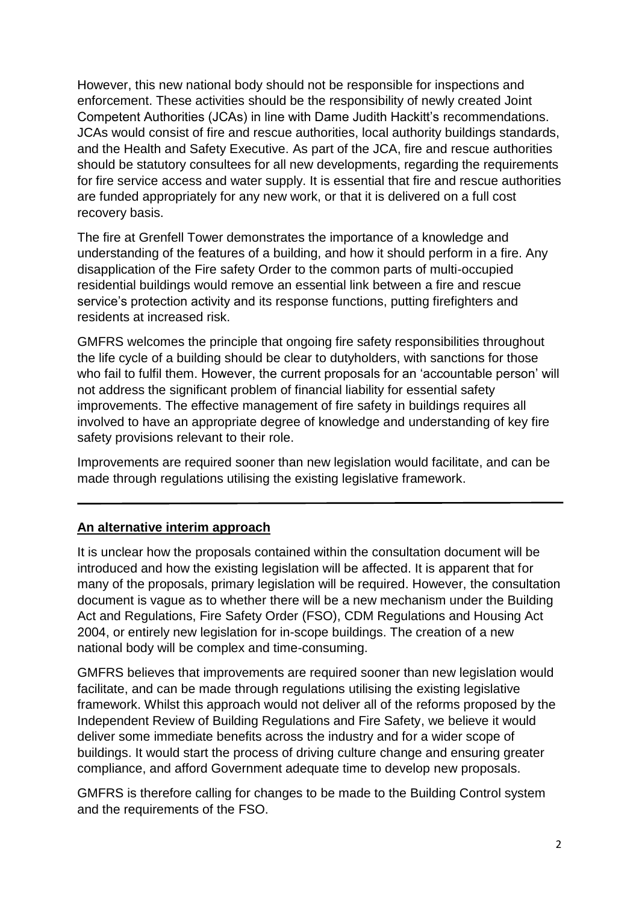However, this new national body should not be responsible for inspections and enforcement. These activities should be the responsibility of newly created Joint Competent Authorities (JCAs) in line with Dame Judith Hackitt's recommendations. JCAs would consist of fire and rescue authorities, local authority buildings standards, and the Health and Safety Executive. As part of the JCA, fire and rescue authorities should be statutory consultees for all new developments, regarding the requirements for fire service access and water supply. It is essential that fire and rescue authorities are funded appropriately for any new work, or that it is delivered on a full cost recovery basis.

The fire at Grenfell Tower demonstrates the importance of a knowledge and understanding of the features of a building, and how it should perform in a fire. Any disapplication of the Fire safety Order to the common parts of multi-occupied residential buildings would remove an essential link between a fire and rescue service's protection activity and its response functions, putting firefighters and residents at increased risk.

GMFRS welcomes the principle that ongoing fire safety responsibilities throughout the life cycle of a building should be clear to dutyholders, with sanctions for those who fail to fulfil them. However, the current proposals for an 'accountable person' will not address the significant problem of financial liability for essential safety improvements. The effective management of fire safety in buildings requires all involved to have an appropriate degree of knowledge and understanding of key fire safety provisions relevant to their role.

Improvements are required sooner than new legislation would facilitate, and can be made through regulations utilising the existing legislative framework.

### **An alternative interim approach**

It is unclear how the proposals contained within the consultation document will be introduced and how the existing legislation will be affected. It is apparent that for many of the proposals, primary legislation will be required. However, the consultation document is vague as to whether there will be a new mechanism under the Building Act and Regulations, Fire Safety Order (FSO), CDM Regulations and Housing Act 2004, or entirely new legislation for in-scope buildings. The creation of a new national body will be complex and time-consuming.

GMFRS believes that improvements are required sooner than new legislation would facilitate, and can be made through regulations utilising the existing legislative framework. Whilst this approach would not deliver all of the reforms proposed by the Independent Review of Building Regulations and Fire Safety, we believe it would deliver some immediate benefits across the industry and for a wider scope of buildings. It would start the process of driving culture change and ensuring greater compliance, and afford Government adequate time to develop new proposals.

GMFRS is therefore calling for changes to be made to the Building Control system and the requirements of the FSO.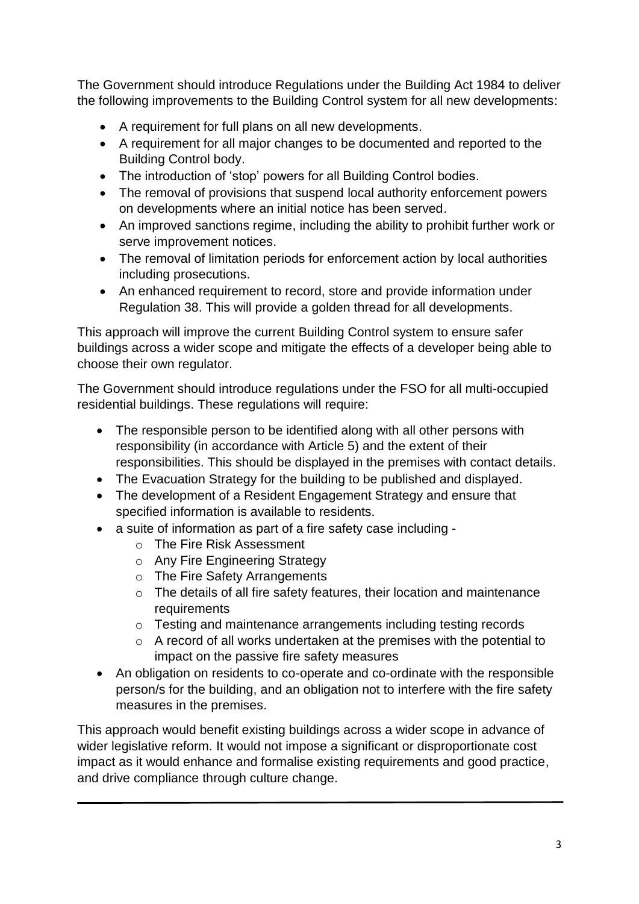The Government should introduce Regulations under the Building Act 1984 to deliver the following improvements to the Building Control system for all new developments:

- A requirement for full plans on all new developments.
- A requirement for all major changes to be documented and reported to the Building Control body.
- The introduction of 'stop' powers for all Building Control bodies.
- The removal of provisions that suspend local authority enforcement powers on developments where an initial notice has been served.
- An improved sanctions regime, including the ability to prohibit further work or serve improvement notices.
- The removal of limitation periods for enforcement action by local authorities including prosecutions.
- An enhanced requirement to record, store and provide information under Regulation 38. This will provide a golden thread for all developments.

This approach will improve the current Building Control system to ensure safer buildings across a wider scope and mitigate the effects of a developer being able to choose their own regulator.

The Government should introduce regulations under the FSO for all multi-occupied residential buildings. These regulations will require:

- The responsible person to be identified along with all other persons with responsibility (in accordance with Article 5) and the extent of their responsibilities. This should be displayed in the premises with contact details.
- The Evacuation Strategy for the building to be published and displayed.
- The development of a Resident Engagement Strategy and ensure that specified information is available to residents.
- a suite of information as part of a fire safety case including
	- o The Fire Risk Assessment
	- o Any Fire Engineering Strategy
	- o The Fire Safety Arrangements
	- o The details of all fire safety features, their location and maintenance **requirements**
	- o Testing and maintenance arrangements including testing records
	- o A record of all works undertaken at the premises with the potential to impact on the passive fire safety measures
- An obligation on residents to co-operate and co-ordinate with the responsible person/s for the building, and an obligation not to interfere with the fire safety measures in the premises.

This approach would benefit existing buildings across a wider scope in advance of wider legislative reform. It would not impose a significant or disproportionate cost impact as it would enhance and formalise existing requirements and good practice, and drive compliance through culture change.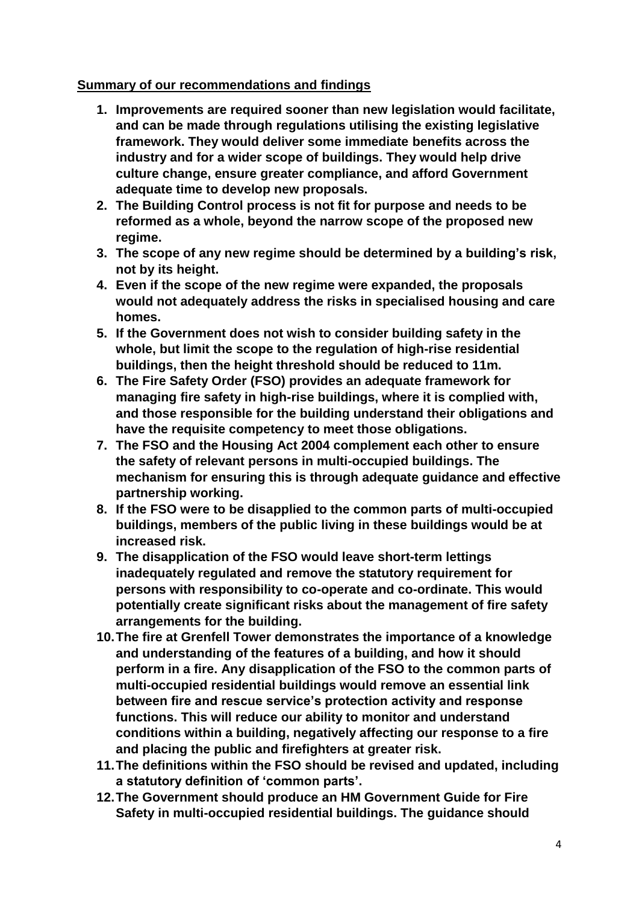### **Summary of our recommendations and findings**

- **1. Improvements are required sooner than new legislation would facilitate, and can be made through regulations utilising the existing legislative framework. They would deliver some immediate benefits across the industry and for a wider scope of buildings. They would help drive culture change, ensure greater compliance, and afford Government adequate time to develop new proposals.**
- **2. The Building Control process is not fit for purpose and needs to be reformed as a whole, beyond the narrow scope of the proposed new regime.**
- **3. The scope of any new regime should be determined by a building's risk, not by its height.**
- **4. Even if the scope of the new regime were expanded, the proposals would not adequately address the risks in specialised housing and care homes.**
- **5. If the Government does not wish to consider building safety in the whole, but limit the scope to the regulation of high-rise residential buildings, then the height threshold should be reduced to 11m.**
- **6. The Fire Safety Order (FSO) provides an adequate framework for managing fire safety in high-rise buildings, where it is complied with, and those responsible for the building understand their obligations and have the requisite competency to meet those obligations.**
- **7. The FSO and the Housing Act 2004 complement each other to ensure the safety of relevant persons in multi-occupied buildings. The mechanism for ensuring this is through adequate guidance and effective partnership working.**
- **8. If the FSO were to be disapplied to the common parts of multi-occupied buildings, members of the public living in these buildings would be at increased risk.**
- **9. The disapplication of the FSO would leave short-term lettings inadequately regulated and remove the statutory requirement for persons with responsibility to co-operate and co-ordinate. This would potentially create significant risks about the management of fire safety arrangements for the building.**
- **10.The fire at Grenfell Tower demonstrates the importance of a knowledge and understanding of the features of a building, and how it should perform in a fire. Any disapplication of the FSO to the common parts of multi-occupied residential buildings would remove an essential link between fire and rescue service's protection activity and response functions. This will reduce our ability to monitor and understand conditions within a building, negatively affecting our response to a fire and placing the public and firefighters at greater risk.**
- **11.The definitions within the FSO should be revised and updated, including a statutory definition of 'common parts'.**
- **12.The Government should produce an HM Government Guide for Fire Safety in multi-occupied residential buildings. The guidance should**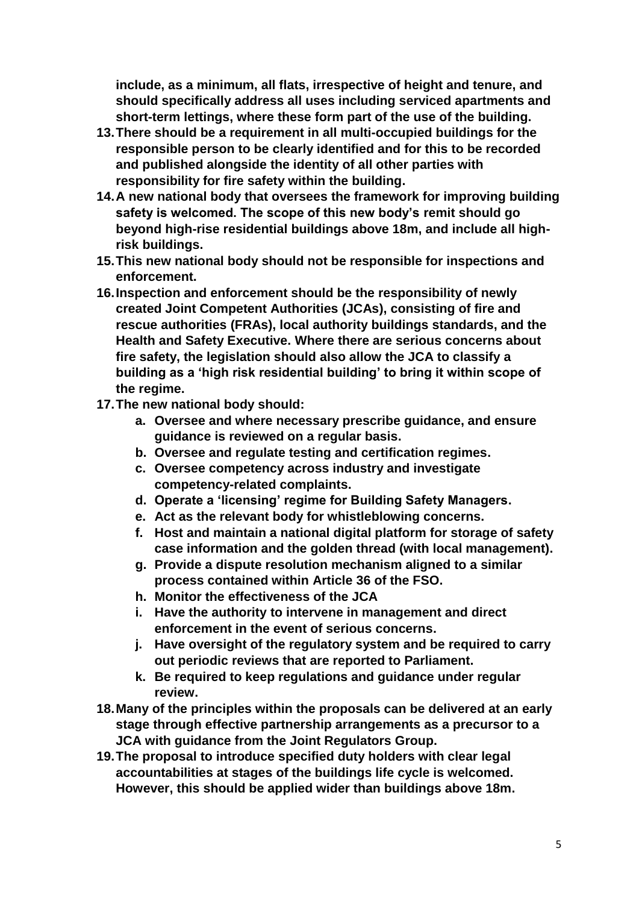**include, as a minimum, all flats, irrespective of height and tenure, and should specifically address all uses including serviced apartments and short-term lettings, where these form part of the use of the building.**

- **13.There should be a requirement in all multi-occupied buildings for the responsible person to be clearly identified and for this to be recorded and published alongside the identity of all other parties with responsibility for fire safety within the building.**
- **14.A new national body that oversees the framework for improving building safety is welcomed. The scope of this new body's remit should go beyond high-rise residential buildings above 18m, and include all highrisk buildings.**
- **15.This new national body should not be responsible for inspections and enforcement.**
- **16.Inspection and enforcement should be the responsibility of newly created Joint Competent Authorities (JCAs), consisting of fire and rescue authorities (FRAs), local authority buildings standards, and the Health and Safety Executive. Where there are serious concerns about fire safety, the legislation should also allow the JCA to classify a building as a 'high risk residential building' to bring it within scope of the regime.**
- **17.The new national body should:**
	- **a. Oversee and where necessary prescribe guidance, and ensure guidance is reviewed on a regular basis.**
	- **b. Oversee and regulate testing and certification regimes.**
	- **c. Oversee competency across industry and investigate competency-related complaints.**
	- **d. Operate a 'licensing' regime for Building Safety Managers.**
	- **e. Act as the relevant body for whistleblowing concerns.**
	- **f. Host and maintain a national digital platform for storage of safety case information and the golden thread (with local management).**
	- **g. Provide a dispute resolution mechanism aligned to a similar process contained within Article 36 of the FSO.**
	- **h. Monitor the effectiveness of the JCA**
	- **i. Have the authority to intervene in management and direct enforcement in the event of serious concerns.**
	- **j. Have oversight of the regulatory system and be required to carry out periodic reviews that are reported to Parliament.**
	- **k. Be required to keep regulations and guidance under regular review.**
- **18.Many of the principles within the proposals can be delivered at an early stage through effective partnership arrangements as a precursor to a JCA with guidance from the Joint Regulators Group.**
- **19.The proposal to introduce specified duty holders with clear legal accountabilities at stages of the buildings life cycle is welcomed. However, this should be applied wider than buildings above 18m.**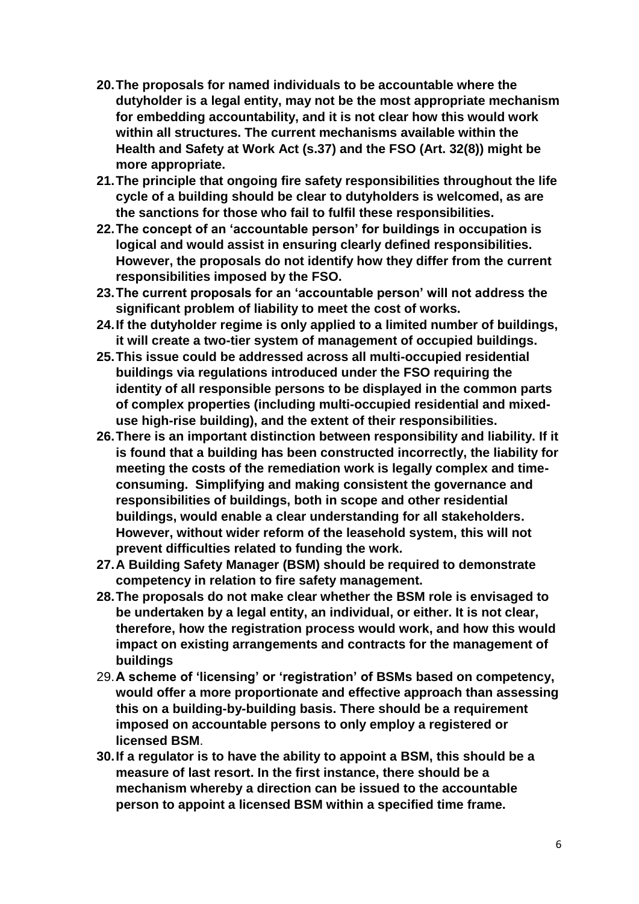- **20.The proposals for named individuals to be accountable where the dutyholder is a legal entity, may not be the most appropriate mechanism for embedding accountability, and it is not clear how this would work within all structures. The current mechanisms available within the Health and Safety at Work Act (s.37) and the FSO (Art. 32(8)) might be more appropriate.**
- **21.The principle that ongoing fire safety responsibilities throughout the life cycle of a building should be clear to dutyholders is welcomed, as are the sanctions for those who fail to fulfil these responsibilities.**
- **22.The concept of an 'accountable person' for buildings in occupation is logical and would assist in ensuring clearly defined responsibilities. However, the proposals do not identify how they differ from the current responsibilities imposed by the FSO.**
- **23.The current proposals for an 'accountable person' will not address the significant problem of liability to meet the cost of works.**
- **24.If the dutyholder regime is only applied to a limited number of buildings, it will create a two-tier system of management of occupied buildings.**
- **25.This issue could be addressed across all multi-occupied residential buildings via regulations introduced under the FSO requiring the identity of all responsible persons to be displayed in the common parts of complex properties (including multi-occupied residential and mixeduse high-rise building), and the extent of their responsibilities.**
- **26.There is an important distinction between responsibility and liability. If it is found that a building has been constructed incorrectly, the liability for meeting the costs of the remediation work is legally complex and timeconsuming. Simplifying and making consistent the governance and responsibilities of buildings, both in scope and other residential buildings, would enable a clear understanding for all stakeholders. However, without wider reform of the leasehold system, this will not prevent difficulties related to funding the work.**
- **27.A Building Safety Manager (BSM) should be required to demonstrate competency in relation to fire safety management.**
- **28.The proposals do not make clear whether the BSM role is envisaged to be undertaken by a legal entity, an individual, or either. It is not clear, therefore, how the registration process would work, and how this would impact on existing arrangements and contracts for the management of buildings**
- 29.**A scheme of 'licensing' or 'registration' of BSMs based on competency, would offer a more proportionate and effective approach than assessing this on a building-by-building basis. There should be a requirement imposed on accountable persons to only employ a registered or licensed BSM**.
- **30.If a regulator is to have the ability to appoint a BSM, this should be a measure of last resort. In the first instance, there should be a mechanism whereby a direction can be issued to the accountable person to appoint a licensed BSM within a specified time frame.**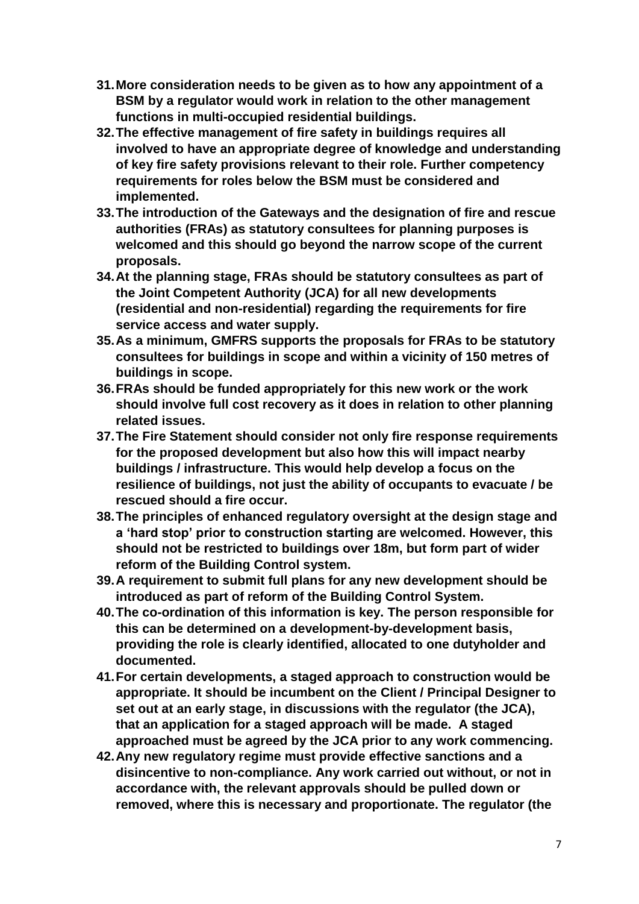- **31.More consideration needs to be given as to how any appointment of a BSM by a regulator would work in relation to the other management functions in multi-occupied residential buildings.**
- **32.The effective management of fire safety in buildings requires all involved to have an appropriate degree of knowledge and understanding of key fire safety provisions relevant to their role. Further competency requirements for roles below the BSM must be considered and implemented.**
- **33.The introduction of the Gateways and the designation of fire and rescue authorities (FRAs) as statutory consultees for planning purposes is welcomed and this should go beyond the narrow scope of the current proposals.**
- **34.At the planning stage, FRAs should be statutory consultees as part of the Joint Competent Authority (JCA) for all new developments (residential and non-residential) regarding the requirements for fire service access and water supply.**
- **35.As a minimum, GMFRS supports the proposals for FRAs to be statutory consultees for buildings in scope and within a vicinity of 150 metres of buildings in scope.**
- **36.FRAs should be funded appropriately for this new work or the work should involve full cost recovery as it does in relation to other planning related issues.**
- **37.The Fire Statement should consider not only fire response requirements for the proposed development but also how this will impact nearby buildings / infrastructure. This would help develop a focus on the resilience of buildings, not just the ability of occupants to evacuate / be rescued should a fire occur.**
- **38.The principles of enhanced regulatory oversight at the design stage and a 'hard stop' prior to construction starting are welcomed. However, this should not be restricted to buildings over 18m, but form part of wider reform of the Building Control system.**
- **39.A requirement to submit full plans for any new development should be introduced as part of reform of the Building Control System.**
- **40.The co-ordination of this information is key. The person responsible for this can be determined on a development-by-development basis, providing the role is clearly identified, allocated to one dutyholder and documented.**
- **41.For certain developments, a staged approach to construction would be appropriate. It should be incumbent on the Client / Principal Designer to set out at an early stage, in discussions with the regulator (the JCA), that an application for a staged approach will be made. A staged approached must be agreed by the JCA prior to any work commencing.**
- **42.Any new regulatory regime must provide effective sanctions and a disincentive to non-compliance. Any work carried out without, or not in accordance with, the relevant approvals should be pulled down or removed, where this is necessary and proportionate. The regulator (the**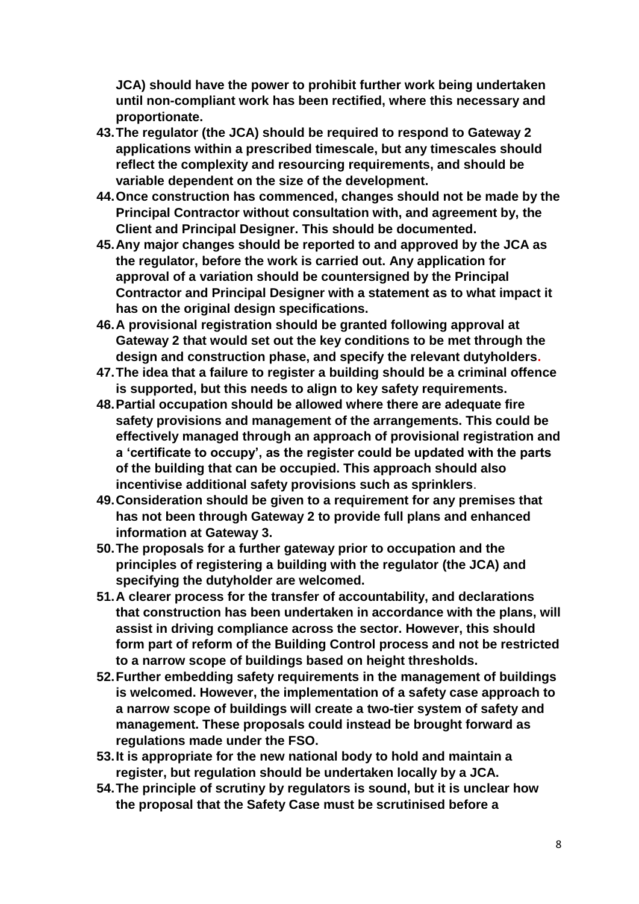**JCA) should have the power to prohibit further work being undertaken until non-compliant work has been rectified, where this necessary and proportionate.**

- **43.The regulator (the JCA) should be required to respond to Gateway 2 applications within a prescribed timescale, but any timescales should reflect the complexity and resourcing requirements, and should be variable dependent on the size of the development.**
- **44.Once construction has commenced, changes should not be made by the Principal Contractor without consultation with, and agreement by, the Client and Principal Designer. This should be documented.**
- **45.Any major changes should be reported to and approved by the JCA as the regulator, before the work is carried out. Any application for approval of a variation should be countersigned by the Principal Contractor and Principal Designer with a statement as to what impact it has on the original design specifications.**
- **46.A provisional registration should be granted following approval at Gateway 2 that would set out the key conditions to be met through the design and construction phase, and specify the relevant dutyholders.**
- **47.The idea that a failure to register a building should be a criminal offence is supported, but this needs to align to key safety requirements.**
- **48.Partial occupation should be allowed where there are adequate fire safety provisions and management of the arrangements. This could be effectively managed through an approach of provisional registration and a 'certificate to occupy', as the register could be updated with the parts of the building that can be occupied. This approach should also incentivise additional safety provisions such as sprinklers**.
- **49.Consideration should be given to a requirement for any premises that has not been through Gateway 2 to provide full plans and enhanced information at Gateway 3.**
- **50.The proposals for a further gateway prior to occupation and the principles of registering a building with the regulator (the JCA) and specifying the dutyholder are welcomed.**
- **51.A clearer process for the transfer of accountability, and declarations that construction has been undertaken in accordance with the plans, will assist in driving compliance across the sector. However, this should form part of reform of the Building Control process and not be restricted to a narrow scope of buildings based on height thresholds.**
- **52.Further embedding safety requirements in the management of buildings is welcomed. However, the implementation of a safety case approach to a narrow scope of buildings will create a two-tier system of safety and management. These proposals could instead be brought forward as regulations made under the FSO.**
- **53.It is appropriate for the new national body to hold and maintain a register, but regulation should be undertaken locally by a JCA.**
- **54.The principle of scrutiny by regulators is sound, but it is unclear how the proposal that the Safety Case must be scrutinised before a**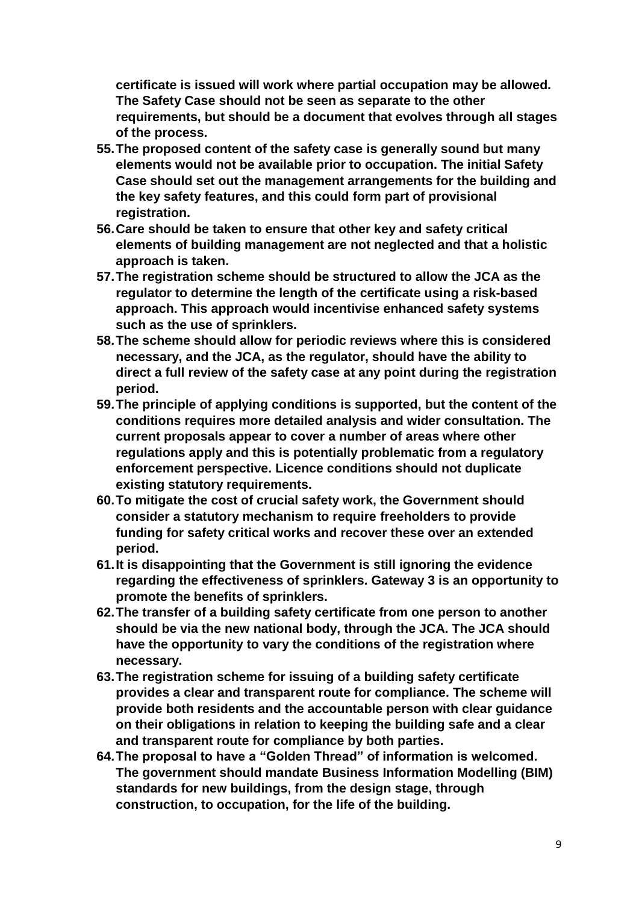**certificate is issued will work where partial occupation may be allowed. The Safety Case should not be seen as separate to the other requirements, but should be a document that evolves through all stages of the process.** 

- **55.The proposed content of the safety case is generally sound but many elements would not be available prior to occupation. The initial Safety Case should set out the management arrangements for the building and the key safety features, and this could form part of provisional registration.**
- **56.Care should be taken to ensure that other key and safety critical elements of building management are not neglected and that a holistic approach is taken.**
- **57.The registration scheme should be structured to allow the JCA as the regulator to determine the length of the certificate using a risk-based approach. This approach would incentivise enhanced safety systems such as the use of sprinklers.**
- **58.The scheme should allow for periodic reviews where this is considered necessary, and the JCA, as the regulator, should have the ability to direct a full review of the safety case at any point during the registration period.**
- **59.The principle of applying conditions is supported, but the content of the conditions requires more detailed analysis and wider consultation. The current proposals appear to cover a number of areas where other regulations apply and this is potentially problematic from a regulatory enforcement perspective. Licence conditions should not duplicate existing statutory requirements.**
- **60.To mitigate the cost of crucial safety work, the Government should consider a statutory mechanism to require freeholders to provide funding for safety critical works and recover these over an extended period.**
- **61.It is disappointing that the Government is still ignoring the evidence regarding the effectiveness of sprinklers. Gateway 3 is an opportunity to promote the benefits of sprinklers.**
- **62.The transfer of a building safety certificate from one person to another should be via the new national body, through the JCA. The JCA should have the opportunity to vary the conditions of the registration where necessary.**
- **63.The registration scheme for issuing of a building safety certificate provides a clear and transparent route for compliance. The scheme will provide both residents and the accountable person with clear guidance on their obligations in relation to keeping the building safe and a clear and transparent route for compliance by both parties.**
- **64.The proposal to have a "Golden Thread" of information is welcomed. The government should mandate Business Information Modelling (BIM) standards for new buildings, from the design stage, through construction, to occupation, for the life of the building.**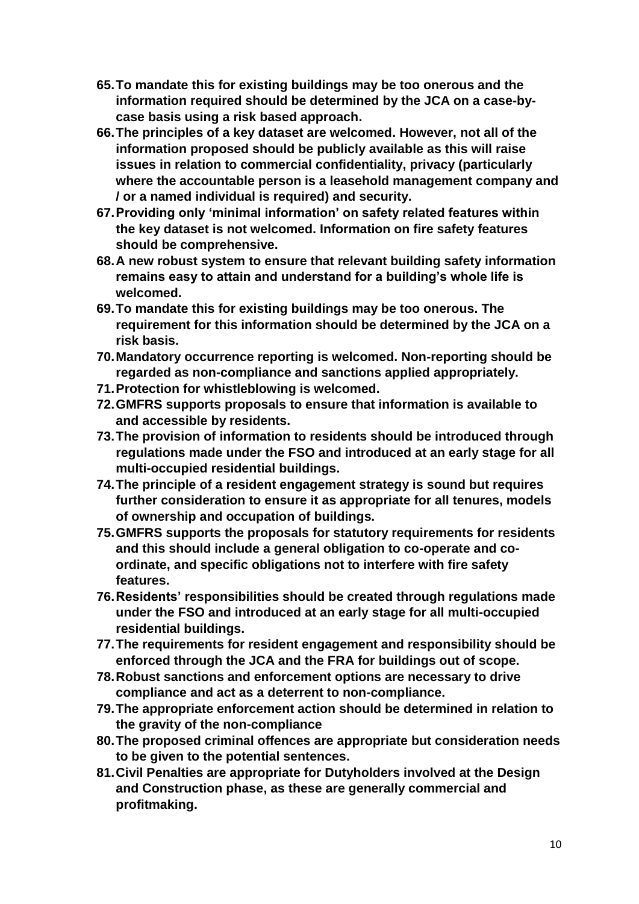- **65.To mandate this for existing buildings may be too onerous and the information required should be determined by the JCA on a case-bycase basis using a risk based approach.**
- **66.The principles of a key dataset are welcomed. However, not all of the information proposed should be publicly available as this will raise issues in relation to commercial confidentiality, privacy (particularly where the accountable person is a leasehold management company and / or a named individual is required) and security.**
- **67.Providing only 'minimal information' on safety related features within the key dataset is not welcomed. Information on fire safety features should be comprehensive.**
- **68.A new robust system to ensure that relevant building safety information remains easy to attain and understand for a building's whole life is welcomed.**
- **69.To mandate this for existing buildings may be too onerous. The requirement for this information should be determined by the JCA on a risk basis.**
- **70.Mandatory occurrence reporting is welcomed. Non-reporting should be regarded as non-compliance and sanctions applied appropriately.**
- **71.Protection for whistleblowing is welcomed.**
- **72.GMFRS supports proposals to ensure that information is available to and accessible by residents.**
- **73.The provision of information to residents should be introduced through regulations made under the FSO and introduced at an early stage for all multi-occupied residential buildings.**
- **74.The principle of a resident engagement strategy is sound but requires further consideration to ensure it as appropriate for all tenures, models of ownership and occupation of buildings.**
- **75.GMFRS supports the proposals for statutory requirements for residents and this should include a general obligation to co-operate and coordinate, and specific obligations not to interfere with fire safety features.**
- **76.Residents' responsibilities should be created through regulations made under the FSO and introduced at an early stage for all multi-occupied residential buildings.**
- **77.The requirements for resident engagement and responsibility should be enforced through the JCA and the FRA for buildings out of scope.**
- **78.Robust sanctions and enforcement options are necessary to drive compliance and act as a deterrent to non-compliance.**
- **79.The appropriate enforcement action should be determined in relation to the gravity of the non-compliance**
- **80.The proposed criminal offences are appropriate but consideration needs to be given to the potential sentences.**
- **81.Civil Penalties are appropriate for Dutyholders involved at the Design and Construction phase, as these are generally commercial and profitmaking.**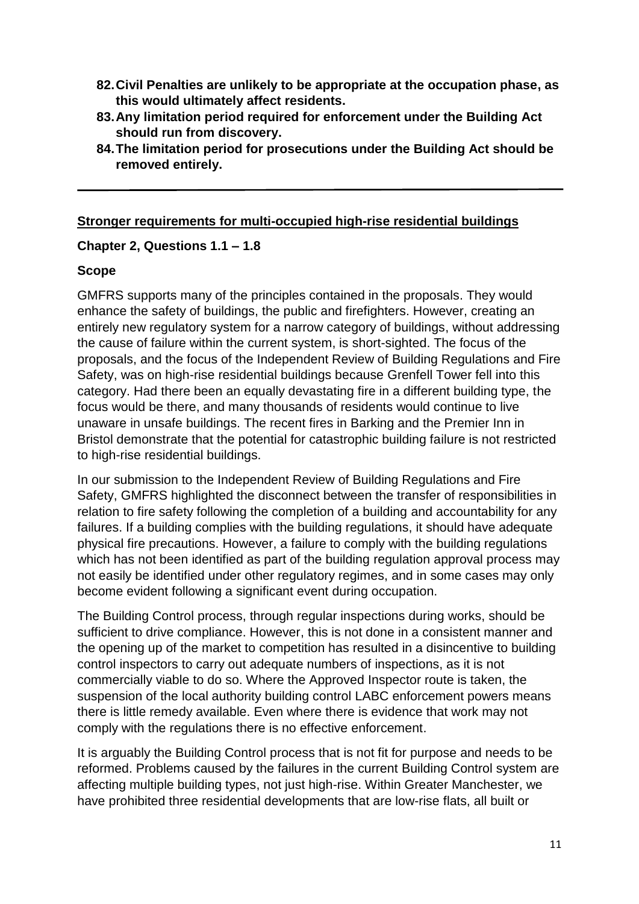- **82.Civil Penalties are unlikely to be appropriate at the occupation phase, as this would ultimately affect residents.**
- **83.Any limitation period required for enforcement under the Building Act should run from discovery.**
- **84.The limitation period for prosecutions under the Building Act should be removed entirely.**

### **Stronger requirements for multi-occupied high-rise residential buildings**

### **Chapter 2, Questions 1.1 – 1.8**

### **Scope**

GMFRS supports many of the principles contained in the proposals. They would enhance the safety of buildings, the public and firefighters. However, creating an entirely new regulatory system for a narrow category of buildings, without addressing the cause of failure within the current system, is short-sighted. The focus of the proposals, and the focus of the Independent Review of Building Regulations and Fire Safety, was on high-rise residential buildings because Grenfell Tower fell into this category. Had there been an equally devastating fire in a different building type, the focus would be there, and many thousands of residents would continue to live unaware in unsafe buildings. The recent fires in Barking and the Premier Inn in Bristol demonstrate that the potential for catastrophic building failure is not restricted to high-rise residential buildings.

In our submission to the Independent Review of Building Regulations and Fire Safety, GMFRS highlighted the disconnect between the transfer of responsibilities in relation to fire safety following the completion of a building and accountability for any failures. If a building complies with the building regulations, it should have adequate physical fire precautions. However, a failure to comply with the building regulations which has not been identified as part of the building regulation approval process may not easily be identified under other regulatory regimes, and in some cases may only become evident following a significant event during occupation.

The Building Control process, through regular inspections during works, should be sufficient to drive compliance. However, this is not done in a consistent manner and the opening up of the market to competition has resulted in a disincentive to building control inspectors to carry out adequate numbers of inspections, as it is not commercially viable to do so. Where the Approved Inspector route is taken, the suspension of the local authority building control LABC enforcement powers means there is little remedy available. Even where there is evidence that work may not comply with the regulations there is no effective enforcement.

It is arguably the Building Control process that is not fit for purpose and needs to be reformed. Problems caused by the failures in the current Building Control system are affecting multiple building types, not just high-rise. Within Greater Manchester, we have prohibited three residential developments that are low-rise flats, all built or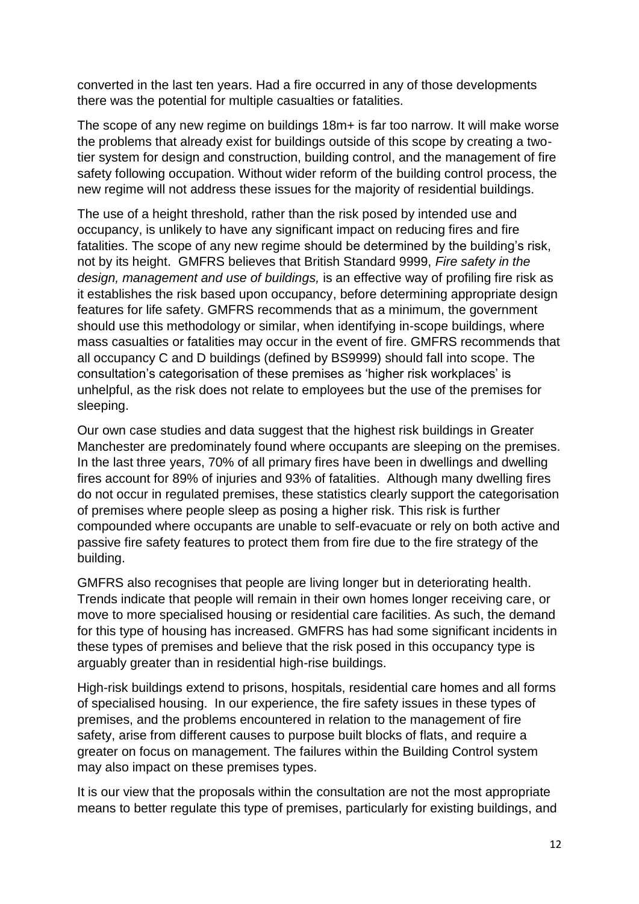converted in the last ten years. Had a fire occurred in any of those developments there was the potential for multiple casualties or fatalities.

The scope of any new regime on buildings 18m+ is far too narrow. It will make worse the problems that already exist for buildings outside of this scope by creating a twotier system for design and construction, building control, and the management of fire safety following occupation. Without wider reform of the building control process, the new regime will not address these issues for the majority of residential buildings.

The use of a height threshold, rather than the risk posed by intended use and occupancy, is unlikely to have any significant impact on reducing fires and fire fatalities. The scope of any new regime should be determined by the building's risk, not by its height. GMFRS believes that British Standard 9999, *Fire safety in the design, management and use of buildings,* is an effective way of profiling fire risk as it establishes the risk based upon occupancy, before determining appropriate design features for life safety. GMFRS recommends that as a minimum, the government should use this methodology or similar, when identifying in-scope buildings, where mass casualties or fatalities may occur in the event of fire. GMFRS recommends that all occupancy C and D buildings (defined by BS9999) should fall into scope. The consultation's categorisation of these premises as 'higher risk workplaces' is unhelpful, as the risk does not relate to employees but the use of the premises for sleeping.

Our own case studies and data suggest that the highest risk buildings in Greater Manchester are predominately found where occupants are sleeping on the premises. In the last three years, 70% of all primary fires have been in dwellings and dwelling fires account for 89% of injuries and 93% of fatalities. Although many dwelling fires do not occur in regulated premises, these statistics clearly support the categorisation of premises where people sleep as posing a higher risk. This risk is further compounded where occupants are unable to self-evacuate or rely on both active and passive fire safety features to protect them from fire due to the fire strategy of the building.

GMFRS also recognises that people are living longer but in deteriorating health. Trends indicate that people will remain in their own homes longer receiving care, or move to more specialised housing or residential care facilities. As such, the demand for this type of housing has increased. GMFRS has had some significant incidents in these types of premises and believe that the risk posed in this occupancy type is arguably greater than in residential high-rise buildings.

High-risk buildings extend to prisons, hospitals, residential care homes and all forms of specialised housing. In our experience, the fire safety issues in these types of premises, and the problems encountered in relation to the management of fire safety, arise from different causes to purpose built blocks of flats, and require a greater on focus on management. The failures within the Building Control system may also impact on these premises types.

It is our view that the proposals within the consultation are not the most appropriate means to better regulate this type of premises, particularly for existing buildings, and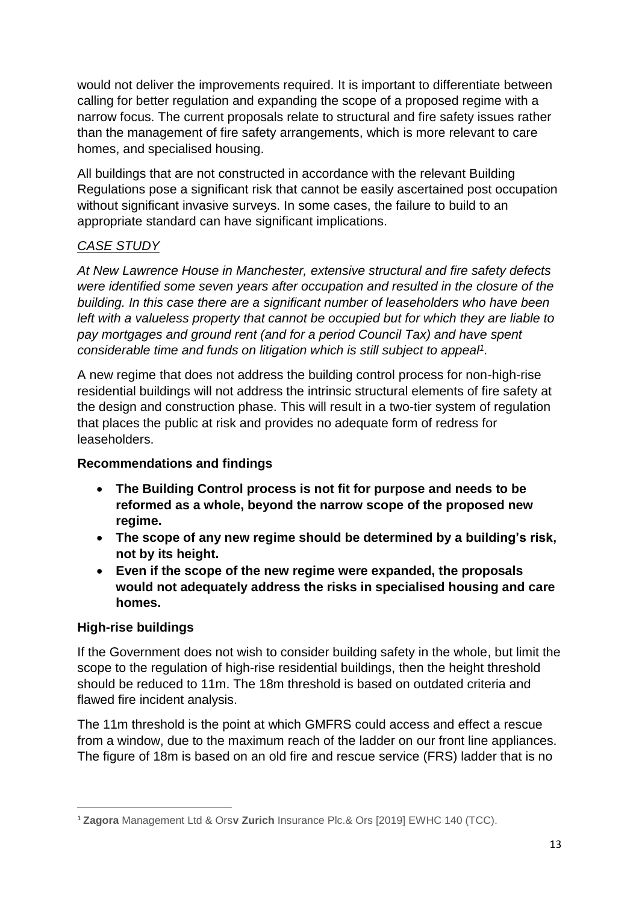would not deliver the improvements required. It is important to differentiate between calling for better regulation and expanding the scope of a proposed regime with a narrow focus. The current proposals relate to structural and fire safety issues rather than the management of fire safety arrangements, which is more relevant to care homes, and specialised housing.

All buildings that are not constructed in accordance with the relevant Building Regulations pose a significant risk that cannot be easily ascertained post occupation without significant invasive surveys. In some cases, the failure to build to an appropriate standard can have significant implications.

# *CASE STUDY*

*At New Lawrence House in Manchester, extensive structural and fire safety defects were identified some seven years after occupation and resulted in the closure of the building. In this case there are a significant number of leaseholders who have been left with a valueless property that cannot be occupied but for which they are liable to pay mortgages and ground rent (and for a period Council Tax) and have spent considerable time and funds on litigation which is still subject to appeal<sup>1</sup> .* 

A new regime that does not address the building control process for non-high-rise residential buildings will not address the intrinsic structural elements of fire safety at the design and construction phase. This will result in a two-tier system of regulation that places the public at risk and provides no adequate form of redress for leaseholders.

### **Recommendations and findings**

- **The Building Control process is not fit for purpose and needs to be reformed as a whole, beyond the narrow scope of the proposed new regime.**
- **The scope of any new regime should be determined by a building's risk, not by its height.**
- **Even if the scope of the new regime were expanded, the proposals would not adequately address the risks in specialised housing and care homes.**

### **High-rise buildings**

**.** 

If the Government does not wish to consider building safety in the whole, but limit the scope to the regulation of high-rise residential buildings, then the height threshold should be reduced to 11m. The 18m threshold is based on outdated criteria and flawed fire incident analysis.

The 11m threshold is the point at which GMFRS could access and effect a rescue from a window, due to the maximum reach of the ladder on our front line appliances. The figure of 18m is based on an old fire and rescue service (FRS) ladder that is no

<sup>1</sup> **Zagora** Management Ltd & Ors**v Zurich** Insurance Plc.& Ors [2019] EWHC 140 (TCC).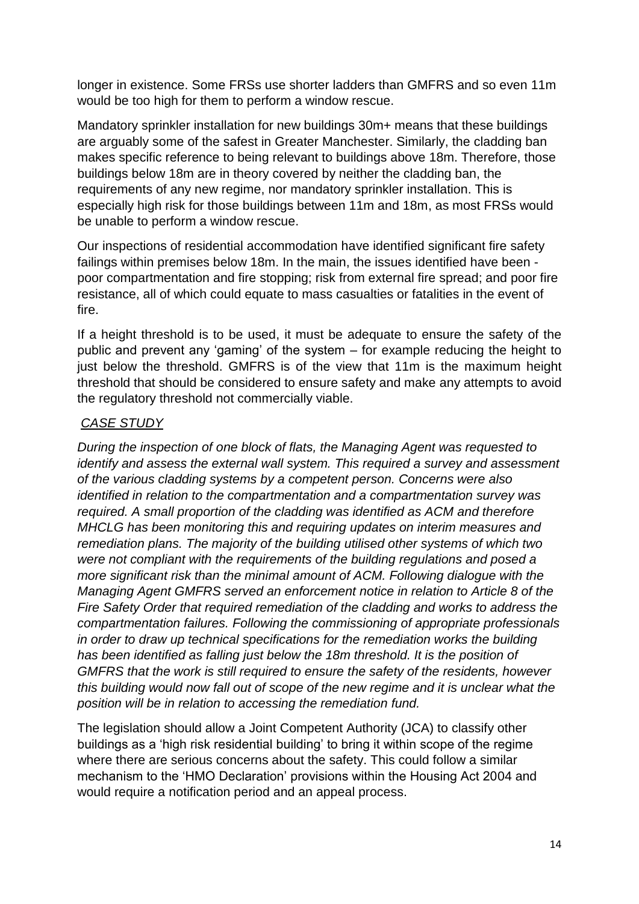longer in existence. Some FRSs use shorter ladders than GMFRS and so even 11m would be too high for them to perform a window rescue.

Mandatory sprinkler installation for new buildings 30m+ means that these buildings are arguably some of the safest in Greater Manchester. Similarly, the cladding ban makes specific reference to being relevant to buildings above 18m. Therefore, those buildings below 18m are in theory covered by neither the cladding ban, the requirements of any new regime, nor mandatory sprinkler installation. This is especially high risk for those buildings between 11m and 18m, as most FRSs would be unable to perform a window rescue.

Our inspections of residential accommodation have identified significant fire safety failings within premises below 18m. In the main, the issues identified have been poor compartmentation and fire stopping; risk from external fire spread; and poor fire resistance, all of which could equate to mass casualties or fatalities in the event of fire.

If a height threshold is to be used, it must be adequate to ensure the safety of the public and prevent any 'gaming' of the system – for example reducing the height to just below the threshold. GMFRS is of the view that 11m is the maximum height threshold that should be considered to ensure safety and make any attempts to avoid the regulatory threshold not commercially viable.

### *CASE STUDY*

*During the inspection of one block of flats, the Managing Agent was requested to identify and assess the external wall system. This required a survey and assessment of the various cladding systems by a competent person. Concerns were also identified in relation to the compartmentation and a compartmentation survey was required. A small proportion of the cladding was identified as ACM and therefore MHCLG has been monitoring this and requiring updates on interim measures and remediation plans. The majority of the building utilised other systems of which two were not compliant with the requirements of the building regulations and posed a more significant risk than the minimal amount of ACM. Following dialogue with the Managing Agent GMFRS served an enforcement notice in relation to Article 8 of the Fire Safety Order that required remediation of the cladding and works to address the compartmentation failures. Following the commissioning of appropriate professionals in order to draw up technical specifications for the remediation works the building has been identified as falling just below the 18m threshold. It is the position of GMFRS that the work is still required to ensure the safety of the residents, however this building would now fall out of scope of the new regime and it is unclear what the position will be in relation to accessing the remediation fund.* 

The legislation should allow a Joint Competent Authority (JCA) to classify other buildings as a 'high risk residential building' to bring it within scope of the regime where there are serious concerns about the safety. This could follow a similar mechanism to the 'HMO Declaration' provisions within the Housing Act 2004 and would require a notification period and an appeal process.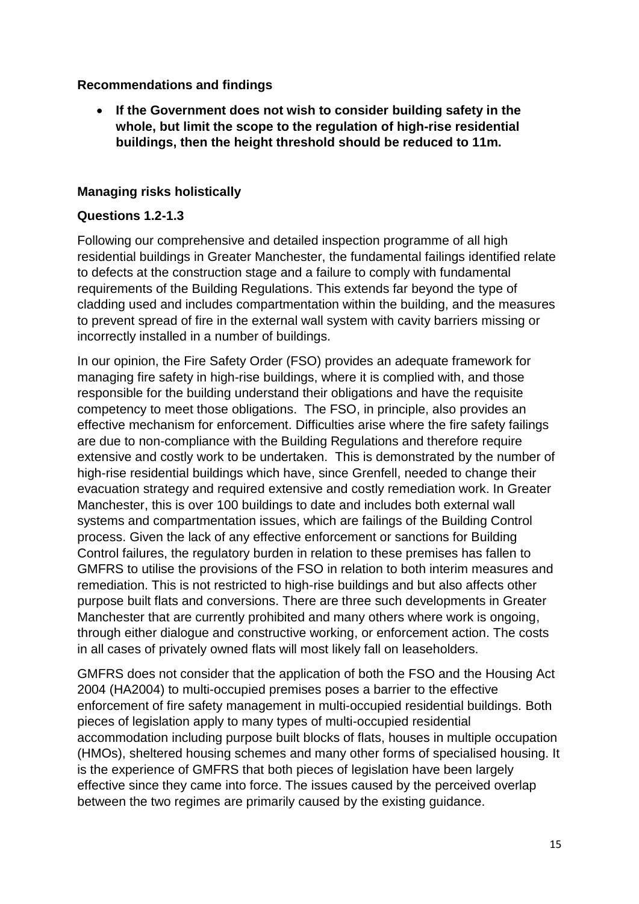### **Recommendations and findings**

 **If the Government does not wish to consider building safety in the whole, but limit the scope to the regulation of high-rise residential buildings, then the height threshold should be reduced to 11m.**

### **Managing risks holistically**

#### **Questions 1.2-1.3**

Following our comprehensive and detailed inspection programme of all high residential buildings in Greater Manchester, the fundamental failings identified relate to defects at the construction stage and a failure to comply with fundamental requirements of the Building Regulations. This extends far beyond the type of cladding used and includes compartmentation within the building, and the measures to prevent spread of fire in the external wall system with cavity barriers missing or incorrectly installed in a number of buildings.

In our opinion, the Fire Safety Order (FSO) provides an adequate framework for managing fire safety in high-rise buildings, where it is complied with, and those responsible for the building understand their obligations and have the requisite competency to meet those obligations. The FSO, in principle, also provides an effective mechanism for enforcement. Difficulties arise where the fire safety failings are due to non-compliance with the Building Regulations and therefore require extensive and costly work to be undertaken. This is demonstrated by the number of high-rise residential buildings which have, since Grenfell, needed to change their evacuation strategy and required extensive and costly remediation work. In Greater Manchester, this is over 100 buildings to date and includes both external wall systems and compartmentation issues, which are failings of the Building Control process. Given the lack of any effective enforcement or sanctions for Building Control failures, the regulatory burden in relation to these premises has fallen to GMFRS to utilise the provisions of the FSO in relation to both interim measures and remediation. This is not restricted to high-rise buildings and but also affects other purpose built flats and conversions. There are three such developments in Greater Manchester that are currently prohibited and many others where work is ongoing, through either dialogue and constructive working, or enforcement action. The costs in all cases of privately owned flats will most likely fall on leaseholders.

GMFRS does not consider that the application of both the FSO and the Housing Act 2004 (HA2004) to multi-occupied premises poses a barrier to the effective enforcement of fire safety management in multi-occupied residential buildings. Both pieces of legislation apply to many types of multi-occupied residential accommodation including purpose built blocks of flats, houses in multiple occupation (HMOs), sheltered housing schemes and many other forms of specialised housing. It is the experience of GMFRS that both pieces of legislation have been largely effective since they came into force. The issues caused by the perceived overlap between the two regimes are primarily caused by the existing guidance.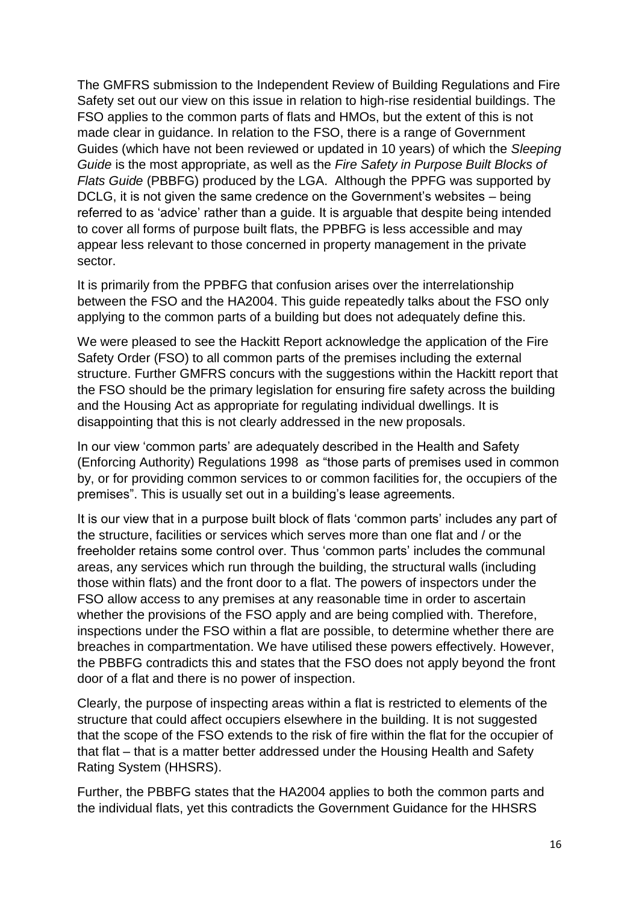The GMFRS submission to the Independent Review of Building Regulations and Fire Safety set out our view on this issue in relation to high-rise residential buildings. The FSO applies to the common parts of flats and HMOs, but the extent of this is not made clear in guidance. In relation to the FSO, there is a range of Government Guides (which have not been reviewed or updated in 10 years) of which the *Sleeping Guide* is the most appropriate, as well as the *Fire Safety in Purpose Built Blocks of Flats Guide* (PBBFG) produced by the LGA. Although the PPFG was supported by DCLG, it is not given the same credence on the Government's websites – being referred to as 'advice' rather than a guide. It is arguable that despite being intended to cover all forms of purpose built flats, the PPBFG is less accessible and may appear less relevant to those concerned in property management in the private sector.

It is primarily from the PPBFG that confusion arises over the interrelationship between the FSO and the HA2004. This guide repeatedly talks about the FSO only applying to the common parts of a building but does not adequately define this.

We were pleased to see the Hackitt Report acknowledge the application of the Fire Safety Order (FSO) to all common parts of the premises including the external structure. Further GMFRS concurs with the suggestions within the Hackitt report that the FSO should be the primary legislation for ensuring fire safety across the building and the Housing Act as appropriate for regulating individual dwellings. It is disappointing that this is not clearly addressed in the new proposals.

In our view 'common parts' are adequately described in the Health and Safety (Enforcing Authority) Regulations 1998 as "those parts of premises used in common by, or for providing common services to or common facilities for, the occupiers of the premises". This is usually set out in a building's lease agreements.

It is our view that in a purpose built block of flats 'common parts' includes any part of the structure, facilities or services which serves more than one flat and / or the freeholder retains some control over. Thus 'common parts' includes the communal areas, any services which run through the building, the structural walls (including those within flats) and the front door to a flat. The powers of inspectors under the FSO allow access to any premises at any reasonable time in order to ascertain whether the provisions of the FSO apply and are being complied with. Therefore, inspections under the FSO within a flat are possible, to determine whether there are breaches in compartmentation. We have utilised these powers effectively. However, the PBBFG contradicts this and states that the FSO does not apply beyond the front door of a flat and there is no power of inspection.

Clearly, the purpose of inspecting areas within a flat is restricted to elements of the structure that could affect occupiers elsewhere in the building. It is not suggested that the scope of the FSO extends to the risk of fire within the flat for the occupier of that flat – that is a matter better addressed under the Housing Health and Safety Rating System (HHSRS).

Further, the PBBFG states that the HA2004 applies to both the common parts and the individual flats, yet this contradicts the Government Guidance for the HHSRS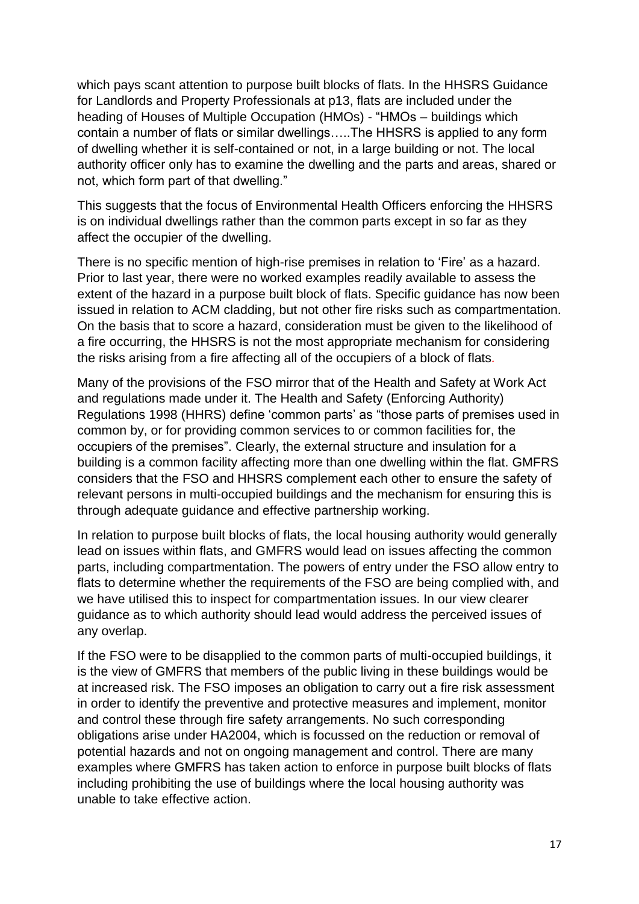which pays scant attention to purpose built blocks of flats. In the HHSRS Guidance for Landlords and Property Professionals at p13, flats are included under the heading of Houses of Multiple Occupation (HMOs) - "HMOs – buildings which contain a number of flats or similar dwellings…..The HHSRS is applied to any form of dwelling whether it is self-contained or not, in a large building or not. The local authority officer only has to examine the dwelling and the parts and areas, shared or not, which form part of that dwelling."

This suggests that the focus of Environmental Health Officers enforcing the HHSRS is on individual dwellings rather than the common parts except in so far as they affect the occupier of the dwelling.

There is no specific mention of high-rise premises in relation to 'Fire' as a hazard. Prior to last year, there were no worked examples readily available to assess the extent of the hazard in a purpose built block of flats. Specific guidance has now been issued in relation to ACM cladding, but not other fire risks such as compartmentation. On the basis that to score a hazard, consideration must be given to the likelihood of a fire occurring, the HHSRS is not the most appropriate mechanism for considering the risks arising from a fire affecting all of the occupiers of a block of flats*.*

Many of the provisions of the FSO mirror that of the Health and Safety at Work Act and regulations made under it. The Health and Safety (Enforcing Authority) Regulations 1998 (HHRS) define 'common parts' as "those parts of premises used in common by, or for providing common services to or common facilities for, the occupiers of the premises". Clearly, the external structure and insulation for a building is a common facility affecting more than one dwelling within the flat. GMFRS considers that the FSO and HHSRS complement each other to ensure the safety of relevant persons in multi-occupied buildings and the mechanism for ensuring this is through adequate guidance and effective partnership working.

In relation to purpose built blocks of flats, the local housing authority would generally lead on issues within flats, and GMFRS would lead on issues affecting the common parts, including compartmentation. The powers of entry under the FSO allow entry to flats to determine whether the requirements of the FSO are being complied with, and we have utilised this to inspect for compartmentation issues. In our view clearer guidance as to which authority should lead would address the perceived issues of any overlap.

If the FSO were to be disapplied to the common parts of multi-occupied buildings, it is the view of GMFRS that members of the public living in these buildings would be at increased risk. The FSO imposes an obligation to carry out a fire risk assessment in order to identify the preventive and protective measures and implement, monitor and control these through fire safety arrangements. No such corresponding obligations arise under HA2004, which is focussed on the reduction or removal of potential hazards and not on ongoing management and control. There are many examples where GMFRS has taken action to enforce in purpose built blocks of flats including prohibiting the use of buildings where the local housing authority was unable to take effective action.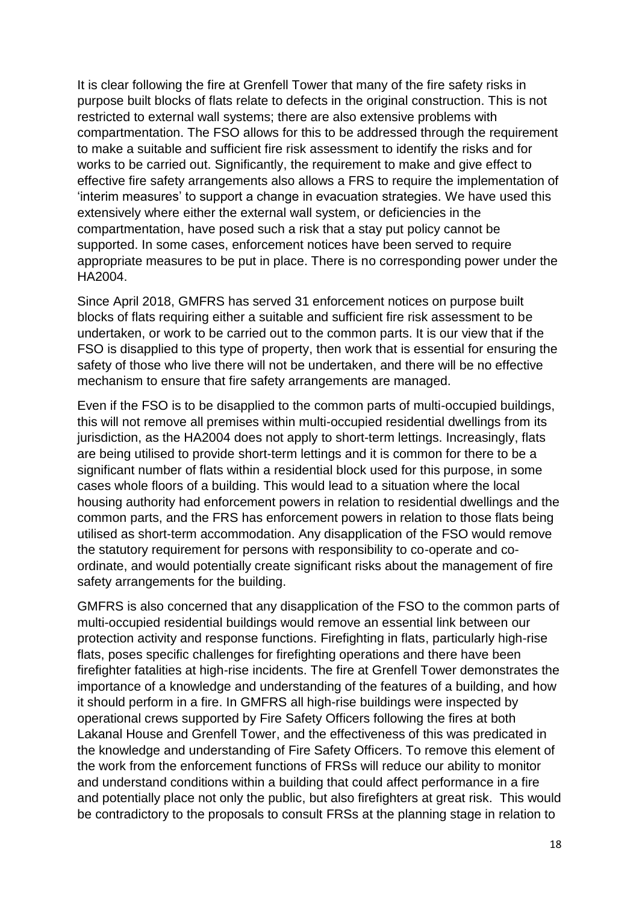It is clear following the fire at Grenfell Tower that many of the fire safety risks in purpose built blocks of flats relate to defects in the original construction. This is not restricted to external wall systems; there are also extensive problems with compartmentation. The FSO allows for this to be addressed through the requirement to make a suitable and sufficient fire risk assessment to identify the risks and for works to be carried out. Significantly, the requirement to make and give effect to effective fire safety arrangements also allows a FRS to require the implementation of 'interim measures' to support a change in evacuation strategies. We have used this extensively where either the external wall system, or deficiencies in the compartmentation, have posed such a risk that a stay put policy cannot be supported. In some cases, enforcement notices have been served to require appropriate measures to be put in place. There is no corresponding power under the HA2004.

Since April 2018, GMFRS has served 31 enforcement notices on purpose built blocks of flats requiring either a suitable and sufficient fire risk assessment to be undertaken, or work to be carried out to the common parts. It is our view that if the FSO is disapplied to this type of property, then work that is essential for ensuring the safety of those who live there will not be undertaken, and there will be no effective mechanism to ensure that fire safety arrangements are managed.

Even if the FSO is to be disapplied to the common parts of multi-occupied buildings, this will not remove all premises within multi-occupied residential dwellings from its jurisdiction, as the HA2004 does not apply to short-term lettings. Increasingly, flats are being utilised to provide short-term lettings and it is common for there to be a significant number of flats within a residential block used for this purpose, in some cases whole floors of a building. This would lead to a situation where the local housing authority had enforcement powers in relation to residential dwellings and the common parts, and the FRS has enforcement powers in relation to those flats being utilised as short-term accommodation. Any disapplication of the FSO would remove the statutory requirement for persons with responsibility to co-operate and coordinate, and would potentially create significant risks about the management of fire safety arrangements for the building.

GMFRS is also concerned that any disapplication of the FSO to the common parts of multi-occupied residential buildings would remove an essential link between our protection activity and response functions. Firefighting in flats, particularly high-rise flats, poses specific challenges for firefighting operations and there have been firefighter fatalities at high-rise incidents. The fire at Grenfell Tower demonstrates the importance of a knowledge and understanding of the features of a building, and how it should perform in a fire. In GMFRS all high-rise buildings were inspected by operational crews supported by Fire Safety Officers following the fires at both Lakanal House and Grenfell Tower, and the effectiveness of this was predicated in the knowledge and understanding of Fire Safety Officers. To remove this element of the work from the enforcement functions of FRSs will reduce our ability to monitor and understand conditions within a building that could affect performance in a fire and potentially place not only the public, but also firefighters at great risk. This would be contradictory to the proposals to consult FRSs at the planning stage in relation to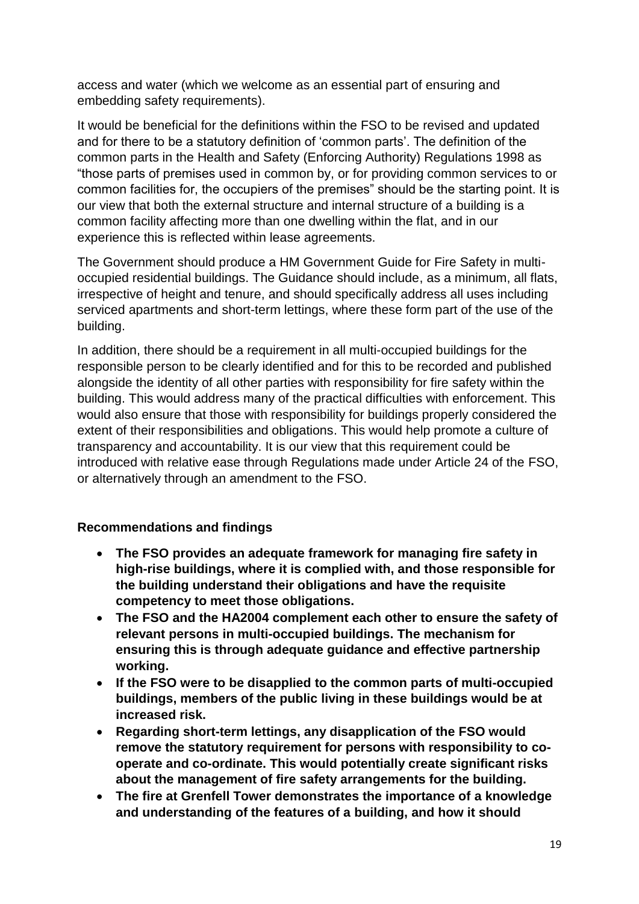access and water (which we welcome as an essential part of ensuring and embedding safety requirements).

It would be beneficial for the definitions within the FSO to be revised and updated and for there to be a statutory definition of 'common parts'. The definition of the common parts in the Health and Safety (Enforcing Authority) Regulations 1998 as "those parts of premises used in common by, or for providing common services to or common facilities for, the occupiers of the premises" should be the starting point. It is our view that both the external structure and internal structure of a building is a common facility affecting more than one dwelling within the flat, and in our experience this is reflected within lease agreements.

The Government should produce a HM Government Guide for Fire Safety in multioccupied residential buildings. The Guidance should include, as a minimum, all flats, irrespective of height and tenure, and should specifically address all uses including serviced apartments and short-term lettings, where these form part of the use of the building.

In addition, there should be a requirement in all multi-occupied buildings for the responsible person to be clearly identified and for this to be recorded and published alongside the identity of all other parties with responsibility for fire safety within the building. This would address many of the practical difficulties with enforcement. This would also ensure that those with responsibility for buildings properly considered the extent of their responsibilities and obligations. This would help promote a culture of transparency and accountability. It is our view that this requirement could be introduced with relative ease through Regulations made under Article 24 of the FSO, or alternatively through an amendment to the FSO.

### **Recommendations and findings**

- **The FSO provides an adequate framework for managing fire safety in high-rise buildings, where it is complied with, and those responsible for the building understand their obligations and have the requisite competency to meet those obligations.**
- **The FSO and the HA2004 complement each other to ensure the safety of relevant persons in multi-occupied buildings. The mechanism for ensuring this is through adequate guidance and effective partnership working.**
- **If the FSO were to be disapplied to the common parts of multi-occupied buildings, members of the public living in these buildings would be at increased risk.**
- **Regarding short-term lettings, any disapplication of the FSO would remove the statutory requirement for persons with responsibility to cooperate and co-ordinate. This would potentially create significant risks about the management of fire safety arrangements for the building.**
- **The fire at Grenfell Tower demonstrates the importance of a knowledge and understanding of the features of a building, and how it should**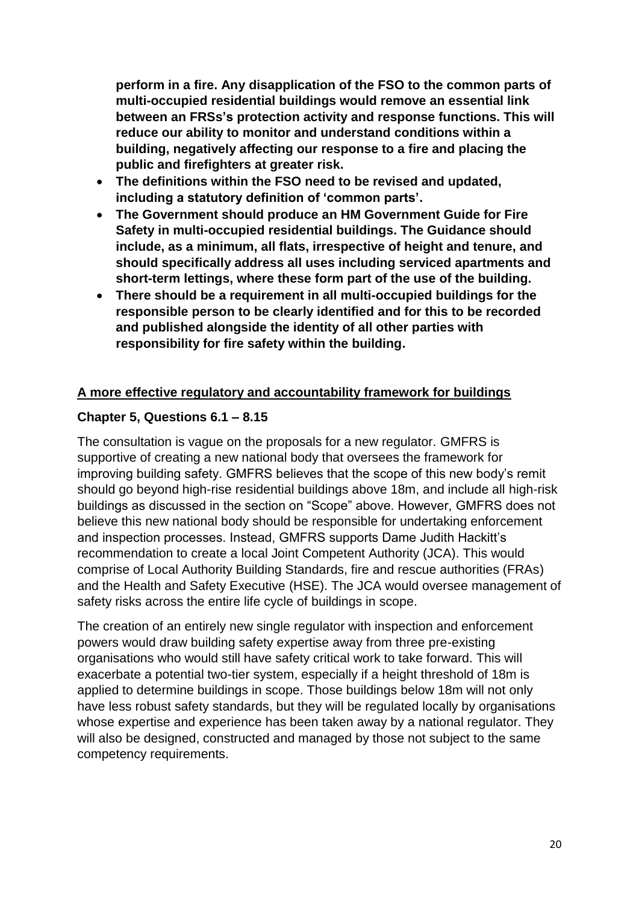**perform in a fire. Any disapplication of the FSO to the common parts of multi-occupied residential buildings would remove an essential link between an FRSs's protection activity and response functions. This will reduce our ability to monitor and understand conditions within a building, negatively affecting our response to a fire and placing the public and firefighters at greater risk.**

- **The definitions within the FSO need to be revised and updated, including a statutory definition of 'common parts'.**
- **The Government should produce an HM Government Guide for Fire Safety in multi-occupied residential buildings. The Guidance should include, as a minimum, all flats, irrespective of height and tenure, and should specifically address all uses including serviced apartments and short-term lettings, where these form part of the use of the building.**
- **There should be a requirement in all multi-occupied buildings for the responsible person to be clearly identified and for this to be recorded and published alongside the identity of all other parties with responsibility for fire safety within the building.**

### **A more effective regulatory and accountability framework for buildings**

# **Chapter 5, Questions 6.1 – 8.15**

The consultation is vague on the proposals for a new regulator. GMFRS is supportive of creating a new national body that oversees the framework for improving building safety. GMFRS believes that the scope of this new body's remit should go beyond high-rise residential buildings above 18m, and include all high-risk buildings as discussed in the section on "Scope" above. However, GMFRS does not believe this new national body should be responsible for undertaking enforcement and inspection processes. Instead, GMFRS supports Dame Judith Hackitt's recommendation to create a local Joint Competent Authority (JCA). This would comprise of Local Authority Building Standards, fire and rescue authorities (FRAs) and the Health and Safety Executive (HSE). The JCA would oversee management of safety risks across the entire life cycle of buildings in scope.

The creation of an entirely new single regulator with inspection and enforcement powers would draw building safety expertise away from three pre-existing organisations who would still have safety critical work to take forward. This will exacerbate a potential two-tier system, especially if a height threshold of 18m is applied to determine buildings in scope. Those buildings below 18m will not only have less robust safety standards, but they will be regulated locally by organisations whose expertise and experience has been taken away by a national regulator. They will also be designed, constructed and managed by those not subject to the same competency requirements.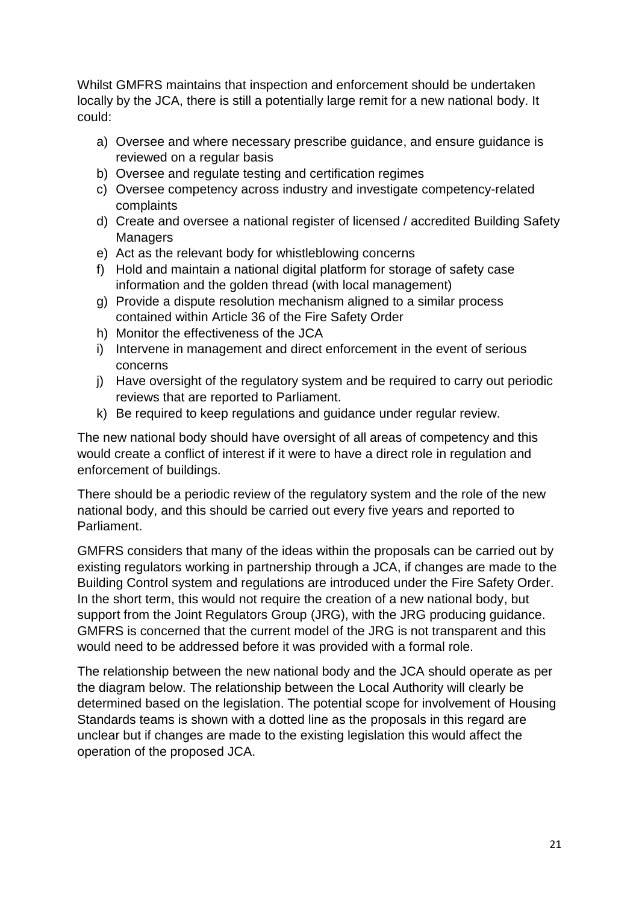Whilst GMFRS maintains that inspection and enforcement should be undertaken locally by the JCA, there is still a potentially large remit for a new national body. It could:

- a) Oversee and where necessary prescribe guidance, and ensure guidance is reviewed on a regular basis
- b) Oversee and regulate testing and certification regimes
- c) Oversee competency across industry and investigate competency-related complaints
- d) Create and oversee a national register of licensed / accredited Building Safety **Managers**
- e) Act as the relevant body for whistleblowing concerns
- f) Hold and maintain a national digital platform for storage of safety case information and the golden thread (with local management)
- g) Provide a dispute resolution mechanism aligned to a similar process contained within Article 36 of the Fire Safety Order
- h) Monitor the effectiveness of the JCA
- i) Intervene in management and direct enforcement in the event of serious concerns
- j) Have oversight of the regulatory system and be required to carry out periodic reviews that are reported to Parliament.
- k) Be required to keep regulations and guidance under regular review.

The new national body should have oversight of all areas of competency and this would create a conflict of interest if it were to have a direct role in regulation and enforcement of buildings.

There should be a periodic review of the regulatory system and the role of the new national body, and this should be carried out every five years and reported to Parliament.

GMFRS considers that many of the ideas within the proposals can be carried out by existing regulators working in partnership through a JCA, if changes are made to the Building Control system and regulations are introduced under the Fire Safety Order. In the short term, this would not require the creation of a new national body, but support from the Joint Regulators Group (JRG), with the JRG producing guidance. GMFRS is concerned that the current model of the JRG is not transparent and this would need to be addressed before it was provided with a formal role.

The relationship between the new national body and the JCA should operate as per the diagram below. The relationship between the Local Authority will clearly be determined based on the legislation. The potential scope for involvement of Housing Standards teams is shown with a dotted line as the proposals in this regard are unclear but if changes are made to the existing legislation this would affect the operation of the proposed JCA.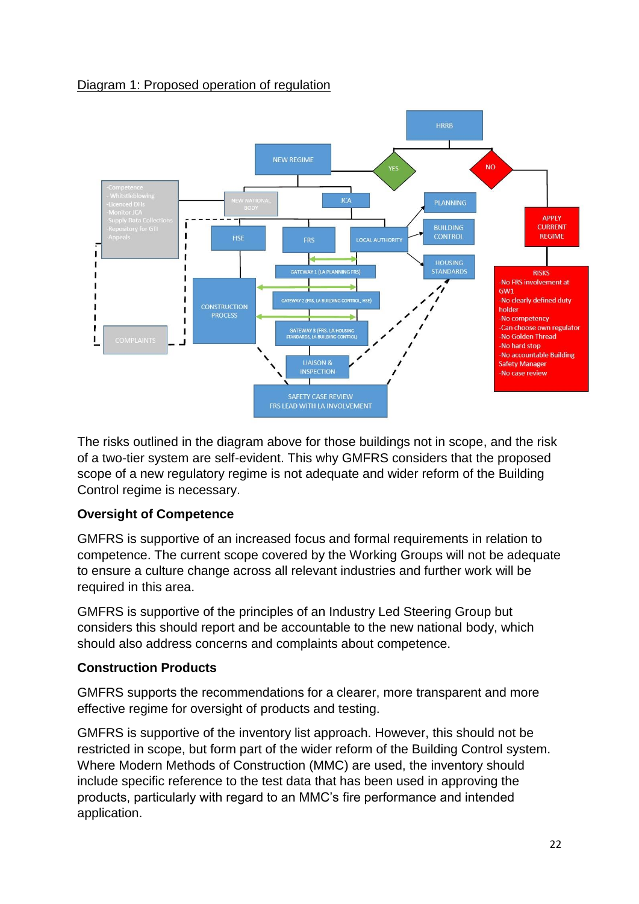# Diagram 1: Proposed operation of regulation



The risks outlined in the diagram above for those buildings not in scope, and the risk of a two-tier system are self-evident. This why GMFRS considers that the proposed scope of a new regulatory regime is not adequate and wider reform of the Building Control regime is necessary.

# **Oversight of Competence**

GMFRS is supportive of an increased focus and formal requirements in relation to competence. The current scope covered by the Working Groups will not be adequate to ensure a culture change across all relevant industries and further work will be required in this area.

GMFRS is supportive of the principles of an Industry Led Steering Group but considers this should report and be accountable to the new national body, which should also address concerns and complaints about competence.

# **Construction Products**

GMFRS supports the recommendations for a clearer, more transparent and more effective regime for oversight of products and testing.

GMFRS is supportive of the inventory list approach. However, this should not be restricted in scope, but form part of the wider reform of the Building Control system. Where Modern Methods of Construction (MMC) are used, the inventory should include specific reference to the test data that has been used in approving the products, particularly with regard to an MMC's fire performance and intended application.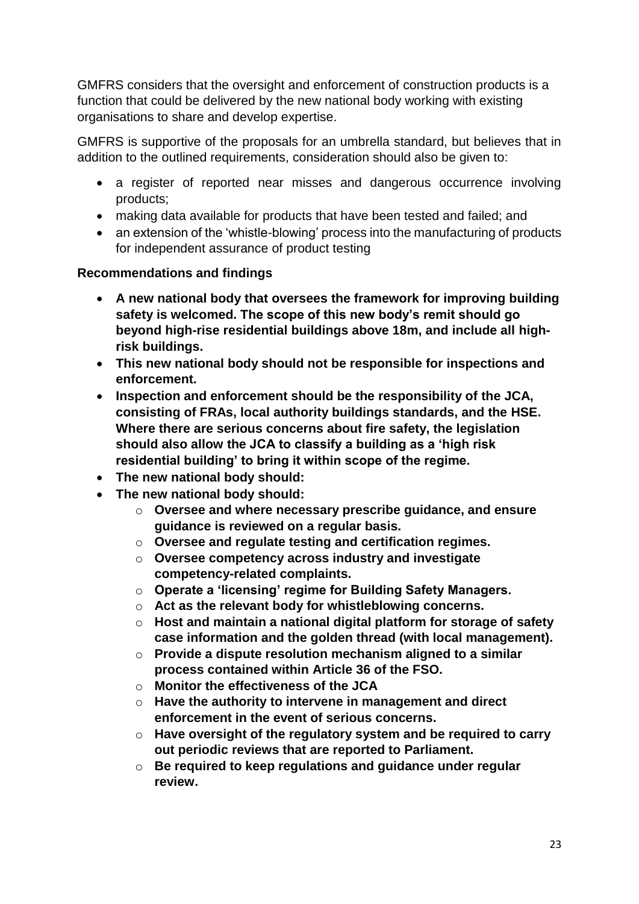GMFRS considers that the oversight and enforcement of construction products is a function that could be delivered by the new national body working with existing organisations to share and develop expertise.

GMFRS is supportive of the proposals for an umbrella standard, but believes that in addition to the outlined requirements, consideration should also be given to:

- a register of reported near misses and dangerous occurrence involving products;
- making data available for products that have been tested and failed; and
- an extension of the 'whistle-blowing' process into the manufacturing of products for independent assurance of product testing

# **Recommendations and findings**

- **A new national body that oversees the framework for improving building safety is welcomed. The scope of this new body's remit should go beyond high-rise residential buildings above 18m, and include all highrisk buildings.**
- **This new national body should not be responsible for inspections and enforcement.**
- **Inspection and enforcement should be the responsibility of the JCA, consisting of FRAs, local authority buildings standards, and the HSE. Where there are serious concerns about fire safety, the legislation should also allow the JCA to classify a building as a 'high risk residential building' to bring it within scope of the regime.**
- **The new national body should:**
- **The new national body should:**
	- o **Oversee and where necessary prescribe guidance, and ensure guidance is reviewed on a regular basis.**
	- o **Oversee and regulate testing and certification regimes.**
	- o **Oversee competency across industry and investigate competency-related complaints.**
	- o **Operate a 'licensing' regime for Building Safety Managers.**
	- o **Act as the relevant body for whistleblowing concerns.**
	- o **Host and maintain a national digital platform for storage of safety case information and the golden thread (with local management).**
	- o **Provide a dispute resolution mechanism aligned to a similar process contained within Article 36 of the FSO.**
	- o **Monitor the effectiveness of the JCA**
	- o **Have the authority to intervene in management and direct enforcement in the event of serious concerns.**
	- o **Have oversight of the regulatory system and be required to carry out periodic reviews that are reported to Parliament.**
	- o **Be required to keep regulations and guidance under regular review.**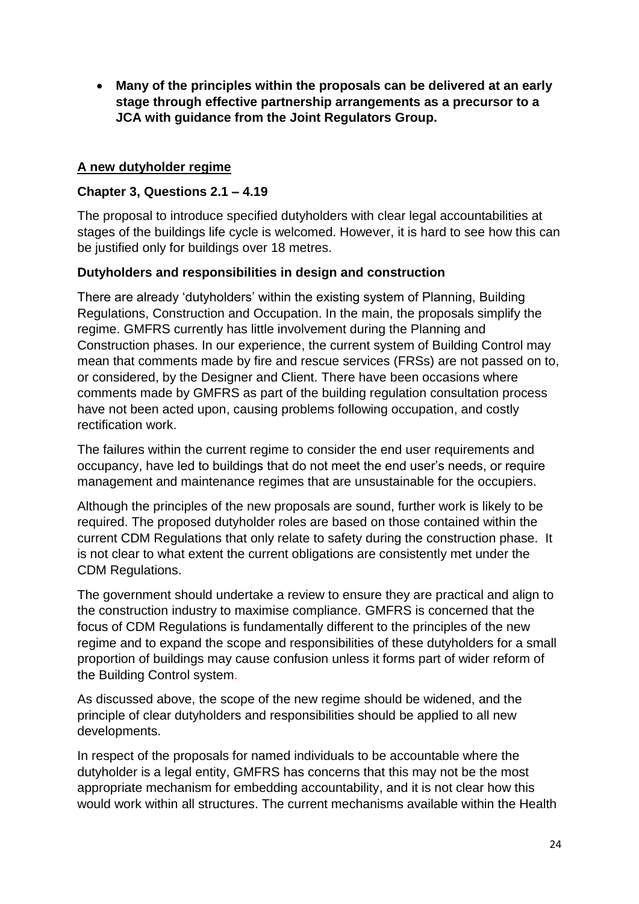**Many of the principles within the proposals can be delivered at an early stage through effective partnership arrangements as a precursor to a JCA with guidance from the Joint Regulators Group.** 

### **A new dutyholder regime**

## **Chapter 3, Questions 2.1 – 4.19**

The proposal to introduce specified dutyholders with clear legal accountabilities at stages of the buildings life cycle is welcomed. However, it is hard to see how this can be justified only for buildings over 18 metres.

# **Dutyholders and responsibilities in design and construction**

There are already 'dutyholders' within the existing system of Planning, Building Regulations, Construction and Occupation. In the main, the proposals simplify the regime. GMFRS currently has little involvement during the Planning and Construction phases. In our experience, the current system of Building Control may mean that comments made by fire and rescue services (FRSs) are not passed on to, or considered, by the Designer and Client. There have been occasions where comments made by GMFRS as part of the building regulation consultation process have not been acted upon, causing problems following occupation, and costly rectification work.

The failures within the current regime to consider the end user requirements and occupancy, have led to buildings that do not meet the end user's needs, or require management and maintenance regimes that are unsustainable for the occupiers.

Although the principles of the new proposals are sound, further work is likely to be required. The proposed dutyholder roles are based on those contained within the current CDM Regulations that only relate to safety during the construction phase. It is not clear to what extent the current obligations are consistently met under the CDM Regulations.

The government should undertake a review to ensure they are practical and align to the construction industry to maximise compliance. GMFRS is concerned that the focus of CDM Regulations is fundamentally different to the principles of the new regime and to expand the scope and responsibilities of these dutyholders for a small proportion of buildings may cause confusion unless it forms part of wider reform of the Building Control system.

As discussed above, the scope of the new regime should be widened, and the principle of clear dutyholders and responsibilities should be applied to all new developments.

In respect of the proposals for named individuals to be accountable where the dutyholder is a legal entity, GMFRS has concerns that this may not be the most appropriate mechanism for embedding accountability, and it is not clear how this would work within all structures. The current mechanisms available within the Health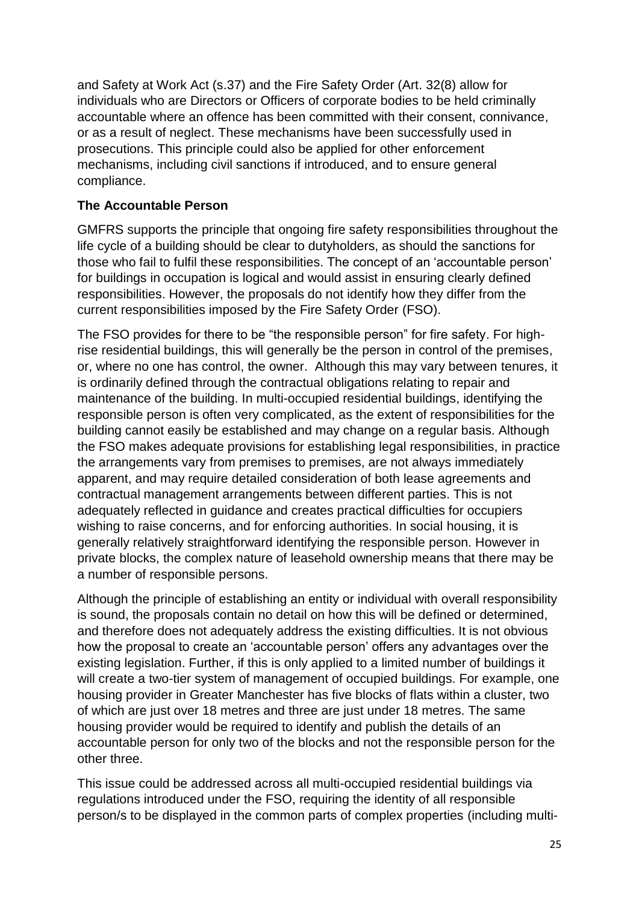and Safety at Work Act (s.37) and the Fire Safety Order (Art. 32(8) allow for individuals who are Directors or Officers of corporate bodies to be held criminally accountable where an offence has been committed with their consent, connivance, or as a result of neglect. These mechanisms have been successfully used in prosecutions. This principle could also be applied for other enforcement mechanisms, including civil sanctions if introduced, and to ensure general compliance.

## **The Accountable Person**

GMFRS supports the principle that ongoing fire safety responsibilities throughout the life cycle of a building should be clear to dutyholders, as should the sanctions for those who fail to fulfil these responsibilities. The concept of an 'accountable person' for buildings in occupation is logical and would assist in ensuring clearly defined responsibilities. However, the proposals do not identify how they differ from the current responsibilities imposed by the Fire Safety Order (FSO).

The FSO provides for there to be "the responsible person" for fire safety. For highrise residential buildings, this will generally be the person in control of the premises, or, where no one has control, the owner. Although this may vary between tenures, it is ordinarily defined through the contractual obligations relating to repair and maintenance of the building. In multi-occupied residential buildings, identifying the responsible person is often very complicated, as the extent of responsibilities for the building cannot easily be established and may change on a regular basis. Although the FSO makes adequate provisions for establishing legal responsibilities, in practice the arrangements vary from premises to premises, are not always immediately apparent, and may require detailed consideration of both lease agreements and contractual management arrangements between different parties. This is not adequately reflected in guidance and creates practical difficulties for occupiers wishing to raise concerns, and for enforcing authorities. In social housing, it is generally relatively straightforward identifying the responsible person. However in private blocks, the complex nature of leasehold ownership means that there may be a number of responsible persons.

Although the principle of establishing an entity or individual with overall responsibility is sound, the proposals contain no detail on how this will be defined or determined, and therefore does not adequately address the existing difficulties. It is not obvious how the proposal to create an 'accountable person' offers any advantages over the existing legislation. Further, if this is only applied to a limited number of buildings it will create a two-tier system of management of occupied buildings. For example, one housing provider in Greater Manchester has five blocks of flats within a cluster, two of which are just over 18 metres and three are just under 18 metres. The same housing provider would be required to identify and publish the details of an accountable person for only two of the blocks and not the responsible person for the other three.

This issue could be addressed across all multi-occupied residential buildings via regulations introduced under the FSO, requiring the identity of all responsible person/s to be displayed in the common parts of complex properties (including multi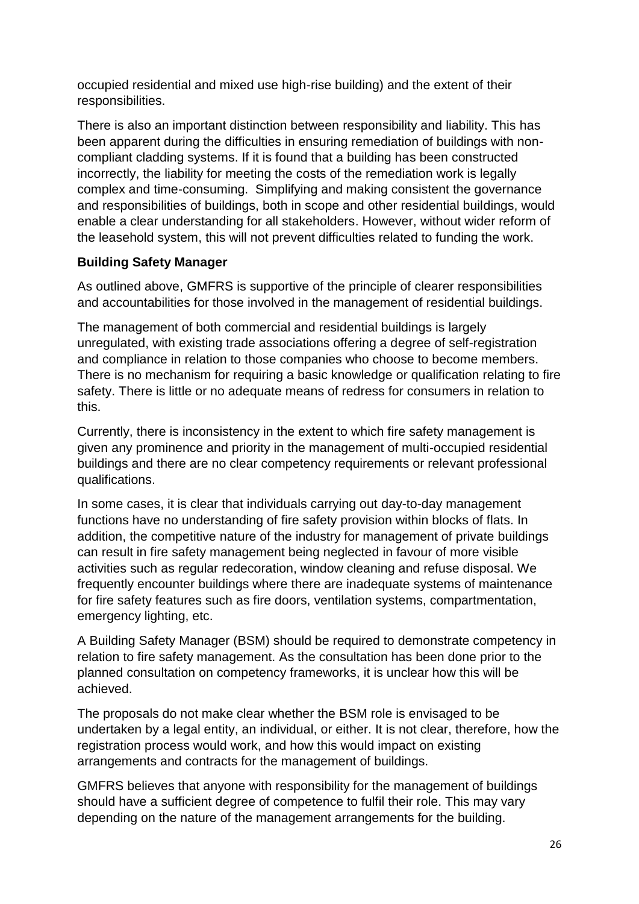occupied residential and mixed use high-rise building) and the extent of their responsibilities.

There is also an important distinction between responsibility and liability. This has been apparent during the difficulties in ensuring remediation of buildings with noncompliant cladding systems. If it is found that a building has been constructed incorrectly, the liability for meeting the costs of the remediation work is legally complex and time-consuming. Simplifying and making consistent the governance and responsibilities of buildings, both in scope and other residential buildings, would enable a clear understanding for all stakeholders. However, without wider reform of the leasehold system, this will not prevent difficulties related to funding the work.

# **Building Safety Manager**

As outlined above, GMFRS is supportive of the principle of clearer responsibilities and accountabilities for those involved in the management of residential buildings.

The management of both commercial and residential buildings is largely unregulated, with existing trade associations offering a degree of self-registration and compliance in relation to those companies who choose to become members. There is no mechanism for requiring a basic knowledge or qualification relating to fire safety. There is little or no adequate means of redress for consumers in relation to this.

Currently, there is inconsistency in the extent to which fire safety management is given any prominence and priority in the management of multi-occupied residential buildings and there are no clear competency requirements or relevant professional qualifications.

In some cases, it is clear that individuals carrying out day-to-day management functions have no understanding of fire safety provision within blocks of flats. In addition, the competitive nature of the industry for management of private buildings can result in fire safety management being neglected in favour of more visible activities such as regular redecoration, window cleaning and refuse disposal. We frequently encounter buildings where there are inadequate systems of maintenance for fire safety features such as fire doors, ventilation systems, compartmentation, emergency lighting, etc.

A Building Safety Manager (BSM) should be required to demonstrate competency in relation to fire safety management. As the consultation has been done prior to the planned consultation on competency frameworks, it is unclear how this will be achieved.

The proposals do not make clear whether the BSM role is envisaged to be undertaken by a legal entity, an individual, or either. It is not clear, therefore, how the registration process would work, and how this would impact on existing arrangements and contracts for the management of buildings.

GMFRS believes that anyone with responsibility for the management of buildings should have a sufficient degree of competence to fulfil their role. This may vary depending on the nature of the management arrangements for the building.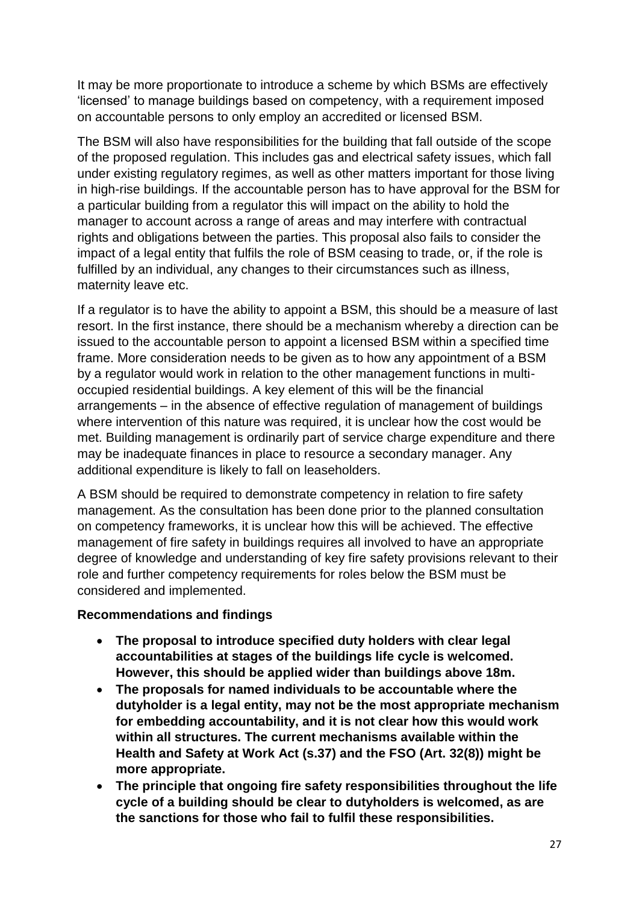It may be more proportionate to introduce a scheme by which BSMs are effectively 'licensed' to manage buildings based on competency, with a requirement imposed on accountable persons to only employ an accredited or licensed BSM.

The BSM will also have responsibilities for the building that fall outside of the scope of the proposed regulation. This includes gas and electrical safety issues, which fall under existing regulatory regimes, as well as other matters important for those living in high-rise buildings. If the accountable person has to have approval for the BSM for a particular building from a regulator this will impact on the ability to hold the manager to account across a range of areas and may interfere with contractual rights and obligations between the parties. This proposal also fails to consider the impact of a legal entity that fulfils the role of BSM ceasing to trade, or, if the role is fulfilled by an individual, any changes to their circumstances such as illness, maternity leave etc.

If a regulator is to have the ability to appoint a BSM, this should be a measure of last resort. In the first instance, there should be a mechanism whereby a direction can be issued to the accountable person to appoint a licensed BSM within a specified time frame. More consideration needs to be given as to how any appointment of a BSM by a regulator would work in relation to the other management functions in multioccupied residential buildings. A key element of this will be the financial arrangements – in the absence of effective regulation of management of buildings where intervention of this nature was required, it is unclear how the cost would be met. Building management is ordinarily part of service charge expenditure and there may be inadequate finances in place to resource a secondary manager. Any additional expenditure is likely to fall on leaseholders.

A BSM should be required to demonstrate competency in relation to fire safety management. As the consultation has been done prior to the planned consultation on competency frameworks, it is unclear how this will be achieved. The effective management of fire safety in buildings requires all involved to have an appropriate degree of knowledge and understanding of key fire safety provisions relevant to their role and further competency requirements for roles below the BSM must be considered and implemented.

### **Recommendations and findings**

- **The proposal to introduce specified duty holders with clear legal accountabilities at stages of the buildings life cycle is welcomed. However, this should be applied wider than buildings above 18m.**
- **The proposals for named individuals to be accountable where the dutyholder is a legal entity, may not be the most appropriate mechanism for embedding accountability, and it is not clear how this would work within all structures. The current mechanisms available within the Health and Safety at Work Act (s.37) and the FSO (Art. 32(8)) might be more appropriate.**
- **The principle that ongoing fire safety responsibilities throughout the life cycle of a building should be clear to dutyholders is welcomed, as are the sanctions for those who fail to fulfil these responsibilities.**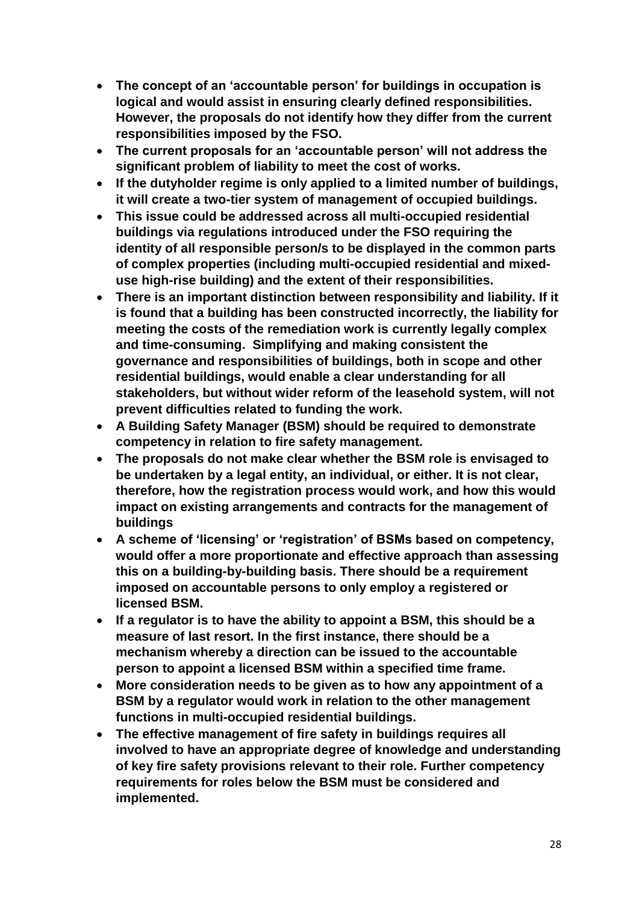- **The concept of an 'accountable person' for buildings in occupation is logical and would assist in ensuring clearly defined responsibilities. However, the proposals do not identify how they differ from the current responsibilities imposed by the FSO.**
- **The current proposals for an 'accountable person' will not address the significant problem of liability to meet the cost of works.**
- **If the dutyholder regime is only applied to a limited number of buildings, it will create a two-tier system of management of occupied buildings.**
- **This issue could be addressed across all multi-occupied residential buildings via regulations introduced under the FSO requiring the identity of all responsible person/s to be displayed in the common parts of complex properties (including multi-occupied residential and mixeduse high-rise building) and the extent of their responsibilities.**
- **There is an important distinction between responsibility and liability. If it is found that a building has been constructed incorrectly, the liability for meeting the costs of the remediation work is currently legally complex and time-consuming. Simplifying and making consistent the governance and responsibilities of buildings, both in scope and other residential buildings, would enable a clear understanding for all stakeholders, but without wider reform of the leasehold system, will not prevent difficulties related to funding the work.**
- **A Building Safety Manager (BSM) should be required to demonstrate competency in relation to fire safety management.**
- **The proposals do not make clear whether the BSM role is envisaged to be undertaken by a legal entity, an individual, or either. It is not clear, therefore, how the registration process would work, and how this would impact on existing arrangements and contracts for the management of buildings**
- **A scheme of 'licensing' or 'registration' of BSMs based on competency, would offer a more proportionate and effective approach than assessing this on a building-by-building basis. There should be a requirement imposed on accountable persons to only employ a registered or licensed BSM.**
- **If a regulator is to have the ability to appoint a BSM, this should be a measure of last resort. In the first instance, there should be a mechanism whereby a direction can be issued to the accountable person to appoint a licensed BSM within a specified time frame.**
- **More consideration needs to be given as to how any appointment of a BSM by a regulator would work in relation to the other management functions in multi-occupied residential buildings.**
- **The effective management of fire safety in buildings requires all involved to have an appropriate degree of knowledge and understanding of key fire safety provisions relevant to their role. Further competency requirements for roles below the BSM must be considered and implemented.**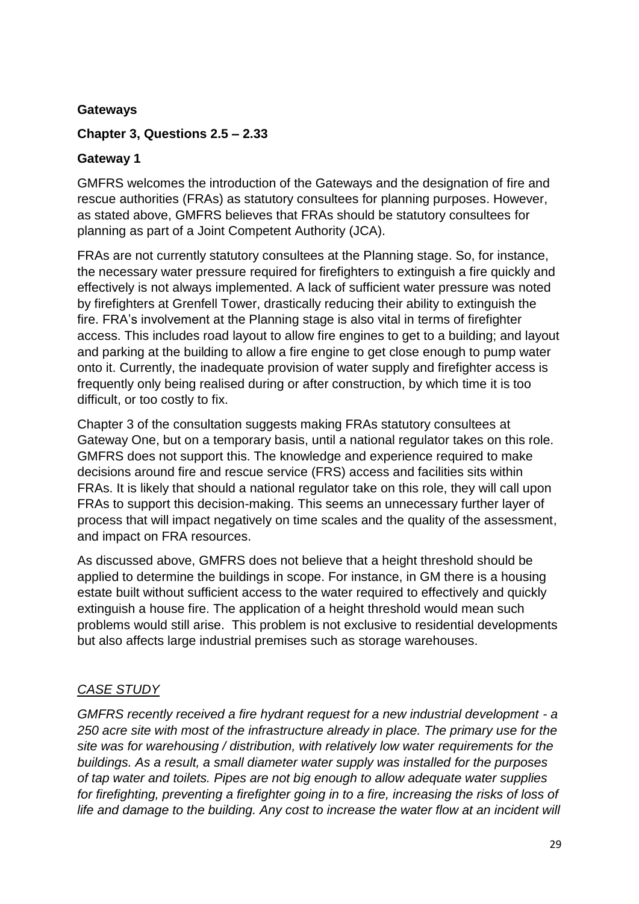### **Gateways**

### **Chapter 3, Questions 2.5 – 2.33**

### **Gateway 1**

GMFRS welcomes the introduction of the Gateways and the designation of fire and rescue authorities (FRAs) as statutory consultees for planning purposes. However, as stated above, GMFRS believes that FRAs should be statutory consultees for planning as part of a Joint Competent Authority (JCA).

FRAs are not currently statutory consultees at the Planning stage. So, for instance, the necessary water pressure required for firefighters to extinguish a fire quickly and effectively is not always implemented. A lack of sufficient water pressure was noted by firefighters at Grenfell Tower, drastically reducing their ability to extinguish the fire. FRA's involvement at the Planning stage is also vital in terms of firefighter access. This includes road layout to allow fire engines to get to a building; and layout and parking at the building to allow a fire engine to get close enough to pump water onto it. Currently, the inadequate provision of water supply and firefighter access is frequently only being realised during or after construction, by which time it is too difficult, or too costly to fix.

Chapter 3 of the consultation suggests making FRAs statutory consultees at Gateway One, but on a temporary basis, until a national regulator takes on this role. GMFRS does not support this. The knowledge and experience required to make decisions around fire and rescue service (FRS) access and facilities sits within FRAs. It is likely that should a national regulator take on this role, they will call upon FRAs to support this decision-making. This seems an unnecessary further layer of process that will impact negatively on time scales and the quality of the assessment, and impact on FRA resources.

As discussed above, GMFRS does not believe that a height threshold should be applied to determine the buildings in scope. For instance, in GM there is a housing estate built without sufficient access to the water required to effectively and quickly extinguish a house fire. The application of a height threshold would mean such problems would still arise. This problem is not exclusive to residential developments but also affects large industrial premises such as storage warehouses.

### *CASE STUDY*

*GMFRS recently received a fire hydrant request for a new industrial development - a 250 acre site with most of the infrastructure already in place. The primary use for the site was for warehousing / distribution, with relatively low water requirements for the buildings. As a result, a small diameter water supply was installed for the purposes of tap water and toilets. Pipes are not big enough to allow adequate water supplies for firefighting, preventing a firefighter going in to a fire, increasing the risks of loss of life and damage to the building. Any cost to increase the water flow at an incident will*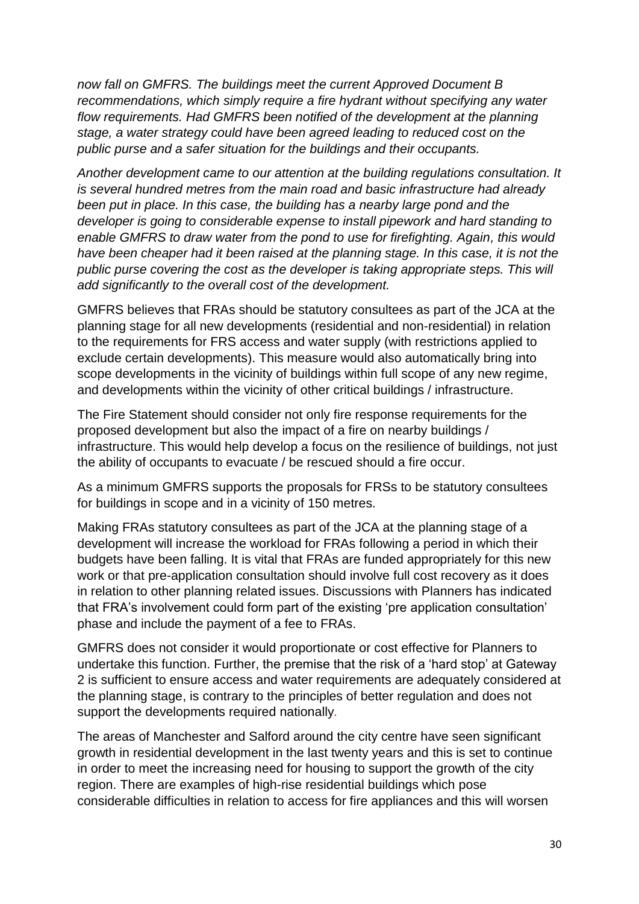*now fall on GMFRS. The buildings meet the current Approved Document B recommendations, which simply require a fire hydrant without specifying any water flow requirements. Had GMFRS been notified of the development at the planning stage, a water strategy could have been agreed leading to reduced cost on the public purse and a safer situation for the buildings and their occupants.*

*Another development came to our attention at the building regulations consultation. It is several hundred metres from the main road and basic infrastructure had already been put in place. In this case, the building has a nearby large pond and the developer is going to considerable expense to install pipework and hard standing to enable GMFRS to draw water from the pond to use for firefighting. Again, this would have been cheaper had it been raised at the planning stage. In this case, it is not the public purse covering the cost as the developer is taking appropriate steps. This will add significantly to the overall cost of the development.*

GMFRS believes that FRAs should be statutory consultees as part of the JCA at the planning stage for all new developments (residential and non-residential) in relation to the requirements for FRS access and water supply (with restrictions applied to exclude certain developments). This measure would also automatically bring into scope developments in the vicinity of buildings within full scope of any new regime, and developments within the vicinity of other critical buildings / infrastructure.

The Fire Statement should consider not only fire response requirements for the proposed development but also the impact of a fire on nearby buildings / infrastructure. This would help develop a focus on the resilience of buildings, not just the ability of occupants to evacuate / be rescued should a fire occur.

As a minimum GMFRS supports the proposals for FRSs to be statutory consultees for buildings in scope and in a vicinity of 150 metres.

Making FRAs statutory consultees as part of the JCA at the planning stage of a development will increase the workload for FRAs following a period in which their budgets have been falling. It is vital that FRAs are funded appropriately for this new work or that pre-application consultation should involve full cost recovery as it does in relation to other planning related issues. Discussions with Planners has indicated that FRA's involvement could form part of the existing 'pre application consultation' phase and include the payment of a fee to FRAs.

GMFRS does not consider it would proportionate or cost effective for Planners to undertake this function. Further, the premise that the risk of a 'hard stop' at Gateway 2 is sufficient to ensure access and water requirements are adequately considered at the planning stage, is contrary to the principles of better regulation and does not support the developments required nationally*.* 

The areas of Manchester and Salford around the city centre have seen significant growth in residential development in the last twenty years and this is set to continue in order to meet the increasing need for housing to support the growth of the city region. There are examples of high-rise residential buildings which pose considerable difficulties in relation to access for fire appliances and this will worsen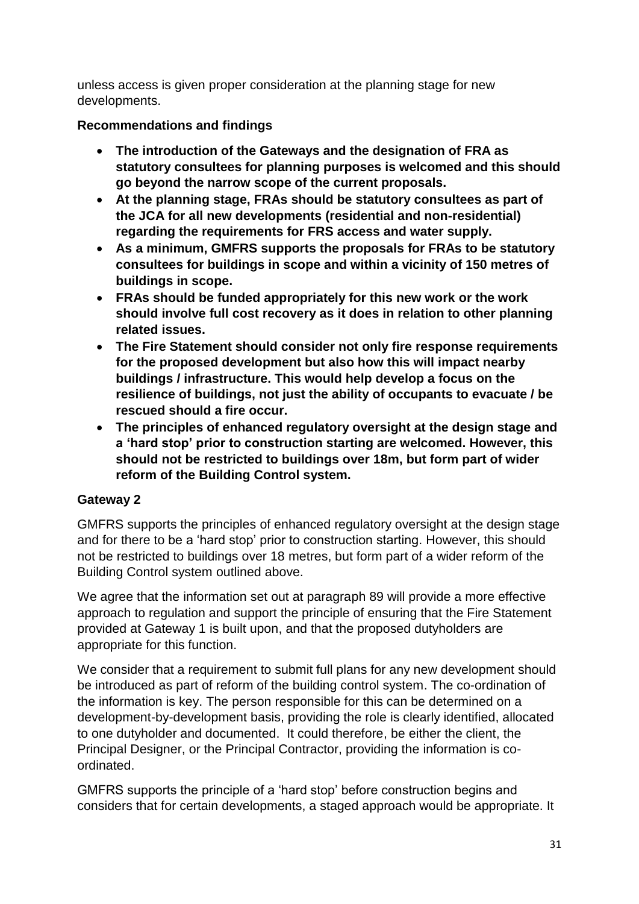unless access is given proper consideration at the planning stage for new developments.

# **Recommendations and findings**

- **The introduction of the Gateways and the designation of FRA as statutory consultees for planning purposes is welcomed and this should go beyond the narrow scope of the current proposals.**
- **At the planning stage, FRAs should be statutory consultees as part of the JCA for all new developments (residential and non-residential) regarding the requirements for FRS access and water supply.**
- **As a minimum, GMFRS supports the proposals for FRAs to be statutory consultees for buildings in scope and within a vicinity of 150 metres of buildings in scope.**
- **FRAs should be funded appropriately for this new work or the work should involve full cost recovery as it does in relation to other planning related issues.**
- **The Fire Statement should consider not only fire response requirements for the proposed development but also how this will impact nearby buildings / infrastructure. This would help develop a focus on the resilience of buildings, not just the ability of occupants to evacuate / be rescued should a fire occur.**
- **The principles of enhanced regulatory oversight at the design stage and a 'hard stop' prior to construction starting are welcomed. However, this should not be restricted to buildings over 18m, but form part of wider reform of the Building Control system.**

# **Gateway 2**

GMFRS supports the principles of enhanced regulatory oversight at the design stage and for there to be a 'hard stop' prior to construction starting. However, this should not be restricted to buildings over 18 metres, but form part of a wider reform of the Building Control system outlined above.

We agree that the information set out at paragraph 89 will provide a more effective approach to regulation and support the principle of ensuring that the Fire Statement provided at Gateway 1 is built upon, and that the proposed dutyholders are appropriate for this function.

We consider that a requirement to submit full plans for any new development should be introduced as part of reform of the building control system. The co-ordination of the information is key. The person responsible for this can be determined on a development-by-development basis, providing the role is clearly identified, allocated to one dutyholder and documented. It could therefore, be either the client, the Principal Designer, or the Principal Contractor, providing the information is coordinated.

GMFRS supports the principle of a 'hard stop' before construction begins and considers that for certain developments, a staged approach would be appropriate. It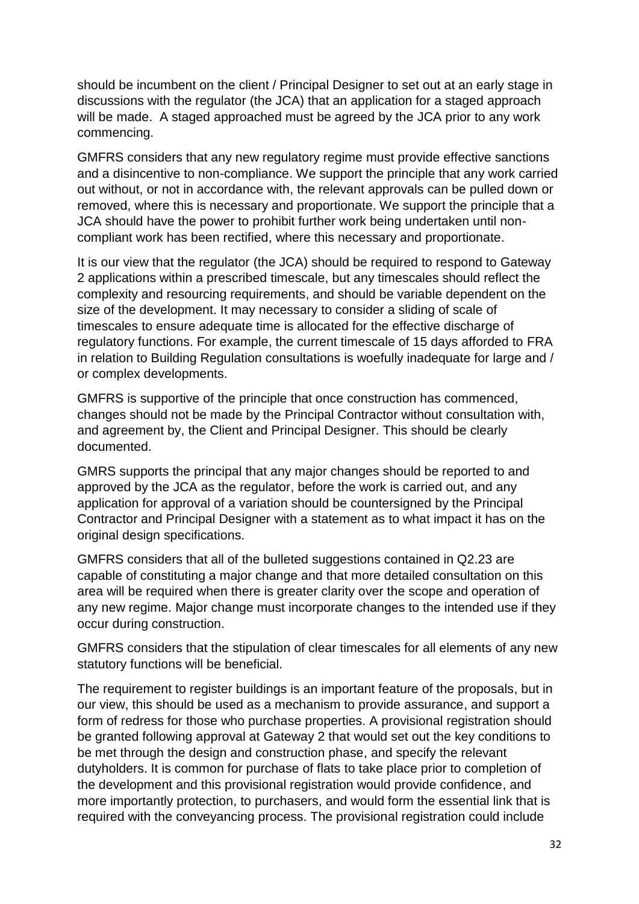should be incumbent on the client / Principal Designer to set out at an early stage in discussions with the regulator (the JCA) that an application for a staged approach will be made. A staged approached must be agreed by the JCA prior to any work commencing.

GMFRS considers that any new regulatory regime must provide effective sanctions and a disincentive to non-compliance. We support the principle that any work carried out without, or not in accordance with, the relevant approvals can be pulled down or removed, where this is necessary and proportionate. We support the principle that a JCA should have the power to prohibit further work being undertaken until noncompliant work has been rectified, where this necessary and proportionate.

It is our view that the regulator (the JCA) should be required to respond to Gateway 2 applications within a prescribed timescale, but any timescales should reflect the complexity and resourcing requirements, and should be variable dependent on the size of the development. It may necessary to consider a sliding of scale of timescales to ensure adequate time is allocated for the effective discharge of regulatory functions. For example, the current timescale of 15 days afforded to FRA in relation to Building Regulation consultations is woefully inadequate for large and / or complex developments.

GMFRS is supportive of the principle that once construction has commenced, changes should not be made by the Principal Contractor without consultation with, and agreement by, the Client and Principal Designer. This should be clearly documented.

GMRS supports the principal that any major changes should be reported to and approved by the JCA as the regulator, before the work is carried out, and any application for approval of a variation should be countersigned by the Principal Contractor and Principal Designer with a statement as to what impact it has on the original design specifications.

GMFRS considers that all of the bulleted suggestions contained in Q2.23 are capable of constituting a major change and that more detailed consultation on this area will be required when there is greater clarity over the scope and operation of any new regime. Major change must incorporate changes to the intended use if they occur during construction.

GMFRS considers that the stipulation of clear timescales for all elements of any new statutory functions will be beneficial.

The requirement to register buildings is an important feature of the proposals, but in our view, this should be used as a mechanism to provide assurance, and support a form of redress for those who purchase properties. A provisional registration should be granted following approval at Gateway 2 that would set out the key conditions to be met through the design and construction phase, and specify the relevant dutyholders. It is common for purchase of flats to take place prior to completion of the development and this provisional registration would provide confidence, and more importantly protection, to purchasers, and would form the essential link that is required with the conveyancing process. The provisional registration could include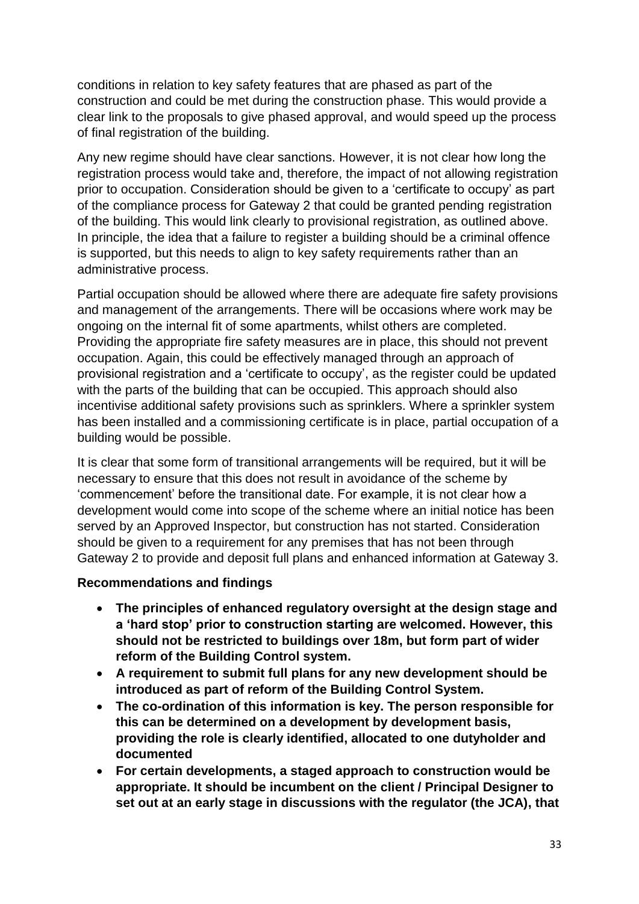conditions in relation to key safety features that are phased as part of the construction and could be met during the construction phase. This would provide a clear link to the proposals to give phased approval, and would speed up the process of final registration of the building.

Any new regime should have clear sanctions. However, it is not clear how long the registration process would take and, therefore, the impact of not allowing registration prior to occupation. Consideration should be given to a 'certificate to occupy' as part of the compliance process for Gateway 2 that could be granted pending registration of the building. This would link clearly to provisional registration, as outlined above. In principle, the idea that a failure to register a building should be a criminal offence is supported, but this needs to align to key safety requirements rather than an administrative process.

Partial occupation should be allowed where there are adequate fire safety provisions and management of the arrangements. There will be occasions where work may be ongoing on the internal fit of some apartments, whilst others are completed. Providing the appropriate fire safety measures are in place, this should not prevent occupation. Again, this could be effectively managed through an approach of provisional registration and a 'certificate to occupy', as the register could be updated with the parts of the building that can be occupied. This approach should also incentivise additional safety provisions such as sprinklers. Where a sprinkler system has been installed and a commissioning certificate is in place, partial occupation of a building would be possible.

It is clear that some form of transitional arrangements will be required, but it will be necessary to ensure that this does not result in avoidance of the scheme by 'commencement' before the transitional date. For example, it is not clear how a development would come into scope of the scheme where an initial notice has been served by an Approved Inspector, but construction has not started. Consideration should be given to a requirement for any premises that has not been through Gateway 2 to provide and deposit full plans and enhanced information at Gateway 3.

### **Recommendations and findings**

- **The principles of enhanced regulatory oversight at the design stage and a 'hard stop' prior to construction starting are welcomed. However, this should not be restricted to buildings over 18m, but form part of wider reform of the Building Control system.**
- **A requirement to submit full plans for any new development should be introduced as part of reform of the Building Control System.**
- **The co-ordination of this information is key. The person responsible for this can be determined on a development by development basis, providing the role is clearly identified, allocated to one dutyholder and documented**
- **For certain developments, a staged approach to construction would be appropriate. It should be incumbent on the client / Principal Designer to set out at an early stage in discussions with the regulator (the JCA), that**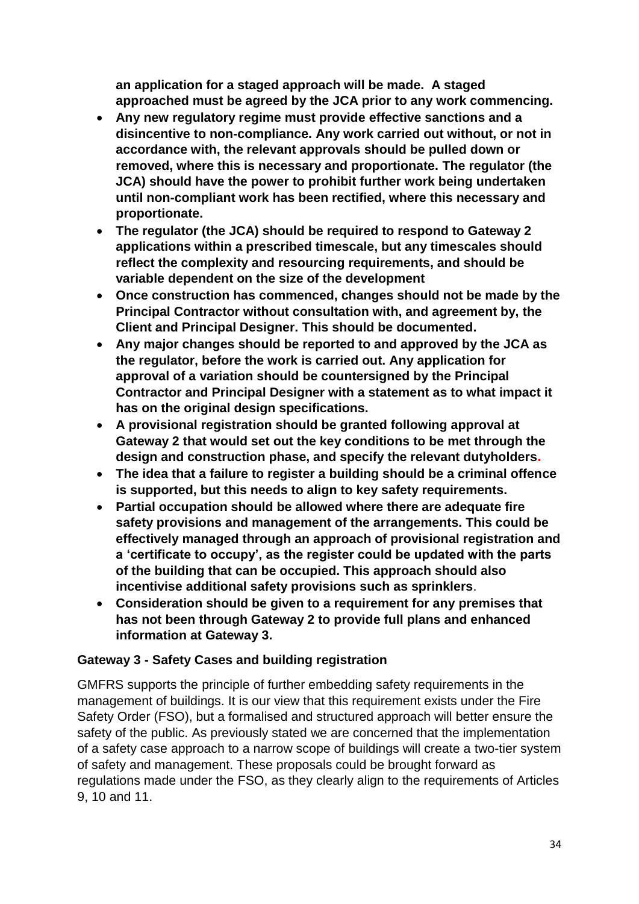**an application for a staged approach will be made. A staged approached must be agreed by the JCA prior to any work commencing.**

- **Any new regulatory regime must provide effective sanctions and a disincentive to non-compliance. Any work carried out without, or not in accordance with, the relevant approvals should be pulled down or removed, where this is necessary and proportionate. The regulator (the JCA) should have the power to prohibit further work being undertaken until non-compliant work has been rectified, where this necessary and proportionate.**
- **The regulator (the JCA) should be required to respond to Gateway 2 applications within a prescribed timescale, but any timescales should reflect the complexity and resourcing requirements, and should be variable dependent on the size of the development**
- **Once construction has commenced, changes should not be made by the Principal Contractor without consultation with, and agreement by, the Client and Principal Designer. This should be documented.**
- **Any major changes should be reported to and approved by the JCA as the regulator, before the work is carried out. Any application for approval of a variation should be countersigned by the Principal Contractor and Principal Designer with a statement as to what impact it has on the original design specifications.**
- **A provisional registration should be granted following approval at Gateway 2 that would set out the key conditions to be met through the design and construction phase, and specify the relevant dutyholders.**
- **The idea that a failure to register a building should be a criminal offence is supported, but this needs to align to key safety requirements.**
- **Partial occupation should be allowed where there are adequate fire safety provisions and management of the arrangements. This could be effectively managed through an approach of provisional registration and a 'certificate to occupy', as the register could be updated with the parts of the building that can be occupied. This approach should also incentivise additional safety provisions such as sprinklers**.
- **Consideration should be given to a requirement for any premises that has not been through Gateway 2 to provide full plans and enhanced information at Gateway 3.**

### **Gateway 3 - Safety Cases and building registration**

GMFRS supports the principle of further embedding safety requirements in the management of buildings. It is our view that this requirement exists under the Fire Safety Order (FSO), but a formalised and structured approach will better ensure the safety of the public. As previously stated we are concerned that the implementation of a safety case approach to a narrow scope of buildings will create a two-tier system of safety and management. These proposals could be brought forward as regulations made under the FSO, as they clearly align to the requirements of Articles 9, 10 and 11.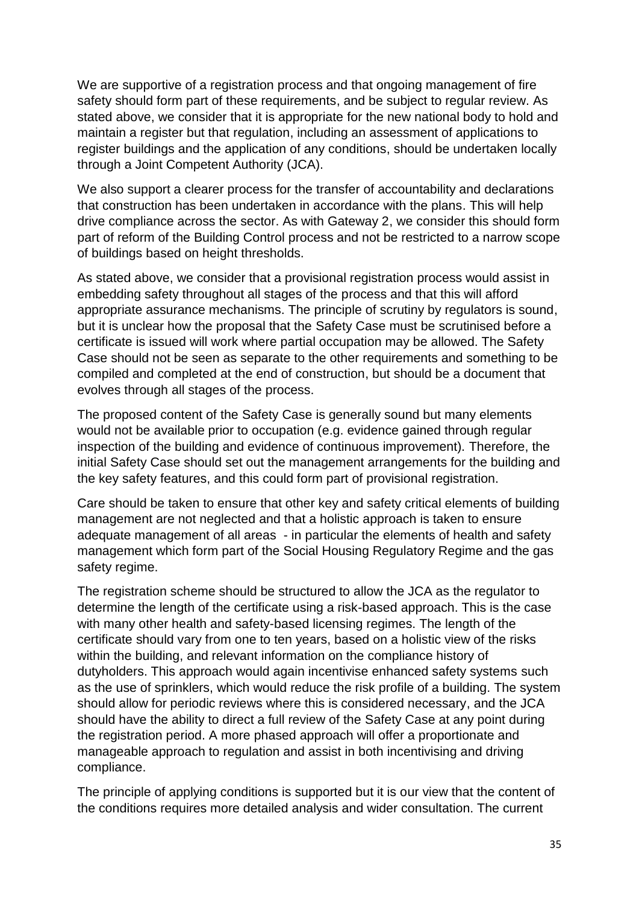We are supportive of a registration process and that ongoing management of fire safety should form part of these requirements, and be subject to regular review. As stated above, we consider that it is appropriate for the new national body to hold and maintain a register but that regulation, including an assessment of applications to register buildings and the application of any conditions, should be undertaken locally through a Joint Competent Authority (JCA).

We also support a clearer process for the transfer of accountability and declarations that construction has been undertaken in accordance with the plans. This will help drive compliance across the sector. As with Gateway 2, we consider this should form part of reform of the Building Control process and not be restricted to a narrow scope of buildings based on height thresholds.

As stated above, we consider that a provisional registration process would assist in embedding safety throughout all stages of the process and that this will afford appropriate assurance mechanisms. The principle of scrutiny by regulators is sound, but it is unclear how the proposal that the Safety Case must be scrutinised before a certificate is issued will work where partial occupation may be allowed. The Safety Case should not be seen as separate to the other requirements and something to be compiled and completed at the end of construction, but should be a document that evolves through all stages of the process.

The proposed content of the Safety Case is generally sound but many elements would not be available prior to occupation (e.g. evidence gained through regular inspection of the building and evidence of continuous improvement). Therefore, the initial Safety Case should set out the management arrangements for the building and the key safety features, and this could form part of provisional registration.

Care should be taken to ensure that other key and safety critical elements of building management are not neglected and that a holistic approach is taken to ensure adequate management of all areas - in particular the elements of health and safety management which form part of the Social Housing Regulatory Regime and the gas safety regime.

The registration scheme should be structured to allow the JCA as the regulator to determine the length of the certificate using a risk-based approach. This is the case with many other health and safety-based licensing regimes. The length of the certificate should vary from one to ten years, based on a holistic view of the risks within the building, and relevant information on the compliance history of dutyholders. This approach would again incentivise enhanced safety systems such as the use of sprinklers, which would reduce the risk profile of a building. The system should allow for periodic reviews where this is considered necessary, and the JCA should have the ability to direct a full review of the Safety Case at any point during the registration period. A more phased approach will offer a proportionate and manageable approach to regulation and assist in both incentivising and driving compliance.

The principle of applying conditions is supported but it is our view that the content of the conditions requires more detailed analysis and wider consultation. The current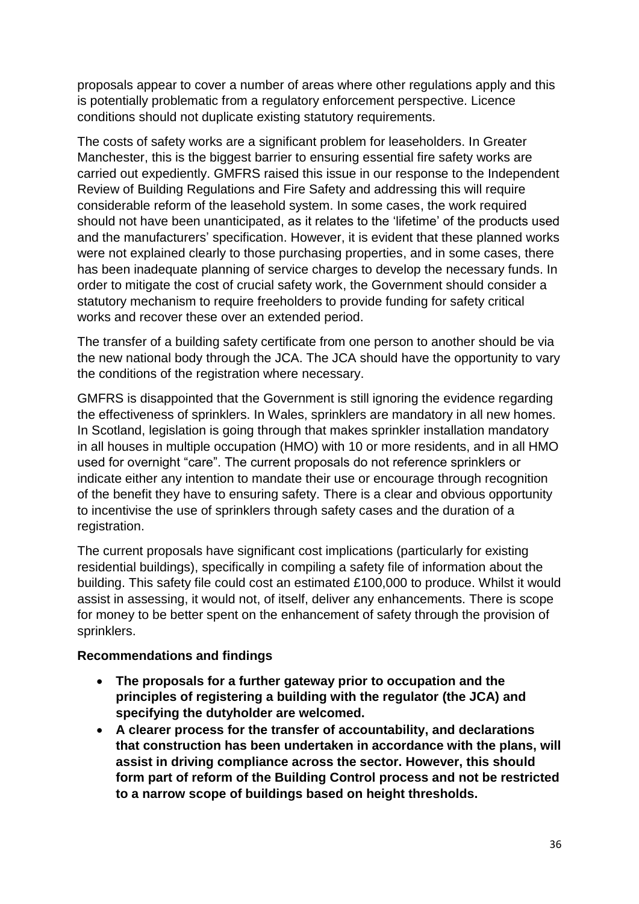proposals appear to cover a number of areas where other regulations apply and this is potentially problematic from a regulatory enforcement perspective. Licence conditions should not duplicate existing statutory requirements.

The costs of safety works are a significant problem for leaseholders. In Greater Manchester, this is the biggest barrier to ensuring essential fire safety works are carried out expediently. GMFRS raised this issue in our response to the Independent Review of Building Regulations and Fire Safety and addressing this will require considerable reform of the leasehold system. In some cases, the work required should not have been unanticipated, as it relates to the 'lifetime' of the products used and the manufacturers' specification. However, it is evident that these planned works were not explained clearly to those purchasing properties, and in some cases, there has been inadequate planning of service charges to develop the necessary funds. In order to mitigate the cost of crucial safety work, the Government should consider a statutory mechanism to require freeholders to provide funding for safety critical works and recover these over an extended period.

The transfer of a building safety certificate from one person to another should be via the new national body through the JCA. The JCA should have the opportunity to vary the conditions of the registration where necessary.

GMFRS is disappointed that the Government is still ignoring the evidence regarding the effectiveness of sprinklers. In Wales, sprinklers are mandatory in all new homes. In Scotland, legislation is going through that makes sprinkler installation mandatory in all houses in multiple occupation (HMO) with 10 or more residents, and in all HMO used for overnight "care". The current proposals do not reference sprinklers or indicate either any intention to mandate their use or encourage through recognition of the benefit they have to ensuring safety. There is a clear and obvious opportunity to incentivise the use of sprinklers through safety cases and the duration of a registration.

The current proposals have significant cost implications (particularly for existing residential buildings), specifically in compiling a safety file of information about the building. This safety file could cost an estimated £100,000 to produce. Whilst it would assist in assessing, it would not, of itself, deliver any enhancements. There is scope for money to be better spent on the enhancement of safety through the provision of sprinklers.

#### **Recommendations and findings**

- **The proposals for a further gateway prior to occupation and the principles of registering a building with the regulator (the JCA) and specifying the dutyholder are welcomed.**
- **A clearer process for the transfer of accountability, and declarations that construction has been undertaken in accordance with the plans, will assist in driving compliance across the sector. However, this should form part of reform of the Building Control process and not be restricted to a narrow scope of buildings based on height thresholds.**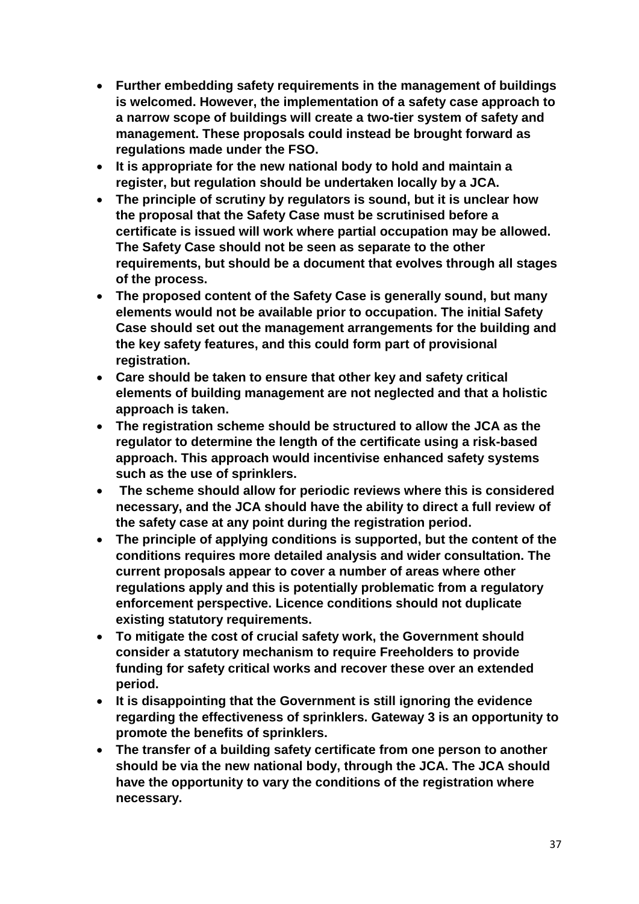- **Further embedding safety requirements in the management of buildings is welcomed. However, the implementation of a safety case approach to a narrow scope of buildings will create a two-tier system of safety and management. These proposals could instead be brought forward as regulations made under the FSO.**
- **It is appropriate for the new national body to hold and maintain a register, but regulation should be undertaken locally by a JCA.**
- **The principle of scrutiny by regulators is sound, but it is unclear how the proposal that the Safety Case must be scrutinised before a certificate is issued will work where partial occupation may be allowed. The Safety Case should not be seen as separate to the other requirements, but should be a document that evolves through all stages of the process.**
- **The proposed content of the Safety Case is generally sound, but many elements would not be available prior to occupation. The initial Safety Case should set out the management arrangements for the building and the key safety features, and this could form part of provisional registration.**
- **Care should be taken to ensure that other key and safety critical elements of building management are not neglected and that a holistic approach is taken.**
- **The registration scheme should be structured to allow the JCA as the regulator to determine the length of the certificate using a risk-based approach. This approach would incentivise enhanced safety systems such as the use of sprinklers.**
- **The scheme should allow for periodic reviews where this is considered necessary, and the JCA should have the ability to direct a full review of the safety case at any point during the registration period.**
- **The principle of applying conditions is supported, but the content of the conditions requires more detailed analysis and wider consultation. The current proposals appear to cover a number of areas where other regulations apply and this is potentially problematic from a regulatory enforcement perspective. Licence conditions should not duplicate existing statutory requirements.**
- **To mitigate the cost of crucial safety work, the Government should consider a statutory mechanism to require Freeholders to provide funding for safety critical works and recover these over an extended period.**
- **It is disappointing that the Government is still ignoring the evidence regarding the effectiveness of sprinklers. Gateway 3 is an opportunity to promote the benefits of sprinklers.**
- **The transfer of a building safety certificate from one person to another should be via the new national body, through the JCA. The JCA should have the opportunity to vary the conditions of the registration where necessary.**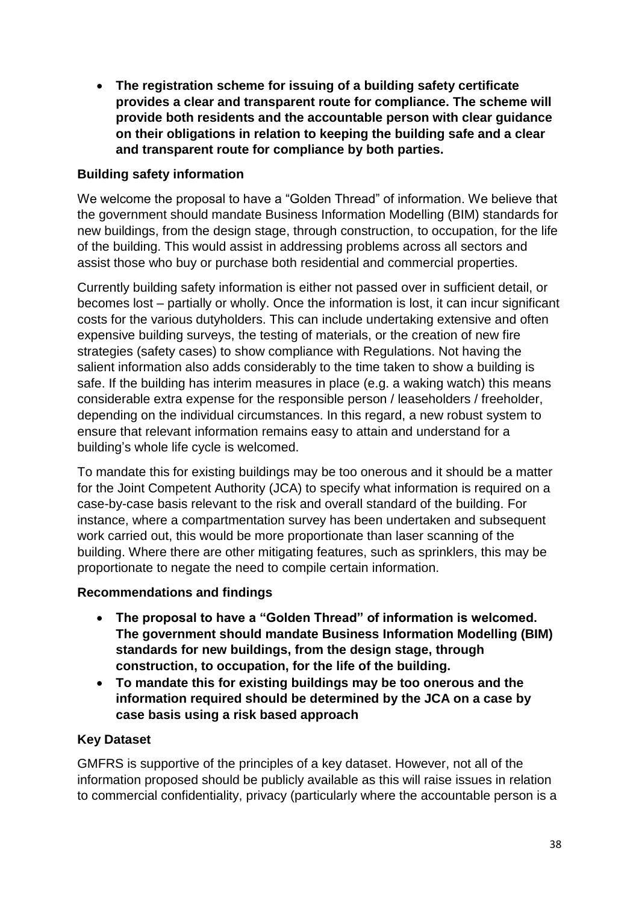**The registration scheme for issuing of a building safety certificate provides a clear and transparent route for compliance. The scheme will provide both residents and the accountable person with clear guidance on their obligations in relation to keeping the building safe and a clear and transparent route for compliance by both parties.**

## **Building safety information**

We welcome the proposal to have a "Golden Thread" of information. We believe that the government should mandate Business Information Modelling (BIM) standards for new buildings, from the design stage, through construction, to occupation, for the life of the building. This would assist in addressing problems across all sectors and assist those who buy or purchase both residential and commercial properties.

Currently building safety information is either not passed over in sufficient detail, or becomes lost – partially or wholly. Once the information is lost, it can incur significant costs for the various dutyholders. This can include undertaking extensive and often expensive building surveys, the testing of materials, or the creation of new fire strategies (safety cases) to show compliance with Regulations. Not having the salient information also adds considerably to the time taken to show a building is safe. If the building has interim measures in place (e.g. a waking watch) this means considerable extra expense for the responsible person / leaseholders / freeholder, depending on the individual circumstances. In this regard, a new robust system to ensure that relevant information remains easy to attain and understand for a building's whole life cycle is welcomed.

To mandate this for existing buildings may be too onerous and it should be a matter for the Joint Competent Authority (JCA) to specify what information is required on a case-by-case basis relevant to the risk and overall standard of the building. For instance, where a compartmentation survey has been undertaken and subsequent work carried out, this would be more proportionate than laser scanning of the building. Where there are other mitigating features, such as sprinklers, this may be proportionate to negate the need to compile certain information.

#### **Recommendations and findings**

- **The proposal to have a "Golden Thread" of information is welcomed. The government should mandate Business Information Modelling (BIM) standards for new buildings, from the design stage, through construction, to occupation, for the life of the building.**
- **To mandate this for existing buildings may be too onerous and the information required should be determined by the JCA on a case by case basis using a risk based approach**

#### **Key Dataset**

GMFRS is supportive of the principles of a key dataset. However, not all of the information proposed should be publicly available as this will raise issues in relation to commercial confidentiality, privacy (particularly where the accountable person is a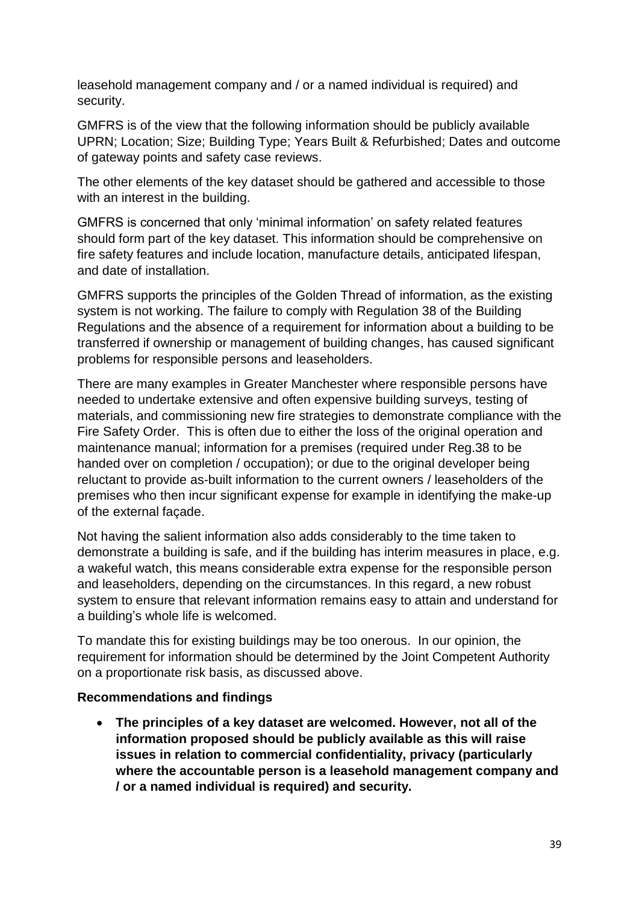leasehold management company and / or a named individual is required) and security.

GMFRS is of the view that the following information should be publicly available UPRN; Location; Size; Building Type; Years Built & Refurbished; Dates and outcome of gateway points and safety case reviews.

The other elements of the key dataset should be gathered and accessible to those with an interest in the building.

GMFRS is concerned that only 'minimal information' on safety related features should form part of the key dataset. This information should be comprehensive on fire safety features and include location, manufacture details, anticipated lifespan, and date of installation.

GMFRS supports the principles of the Golden Thread of information, as the existing system is not working. The failure to comply with Regulation 38 of the Building Regulations and the absence of a requirement for information about a building to be transferred if ownership or management of building changes, has caused significant problems for responsible persons and leaseholders.

There are many examples in Greater Manchester where responsible persons have needed to undertake extensive and often expensive building surveys, testing of materials, and commissioning new fire strategies to demonstrate compliance with the Fire Safety Order. This is often due to either the loss of the original operation and maintenance manual; information for a premises (required under Reg.38 to be handed over on completion / occupation); or due to the original developer being reluctant to provide as-built information to the current owners / leaseholders of the premises who then incur significant expense for example in identifying the make-up of the external façade.

Not having the salient information also adds considerably to the time taken to demonstrate a building is safe, and if the building has interim measures in place, e.g. a wakeful watch, this means considerable extra expense for the responsible person and leaseholders, depending on the circumstances. In this regard, a new robust system to ensure that relevant information remains easy to attain and understand for a building's whole life is welcomed.

To mandate this for existing buildings may be too onerous. In our opinion, the requirement for information should be determined by the Joint Competent Authority on a proportionate risk basis, as discussed above.

#### **Recommendations and findings**

 **The principles of a key dataset are welcomed. However, not all of the information proposed should be publicly available as this will raise issues in relation to commercial confidentiality, privacy (particularly where the accountable person is a leasehold management company and / or a named individual is required) and security.**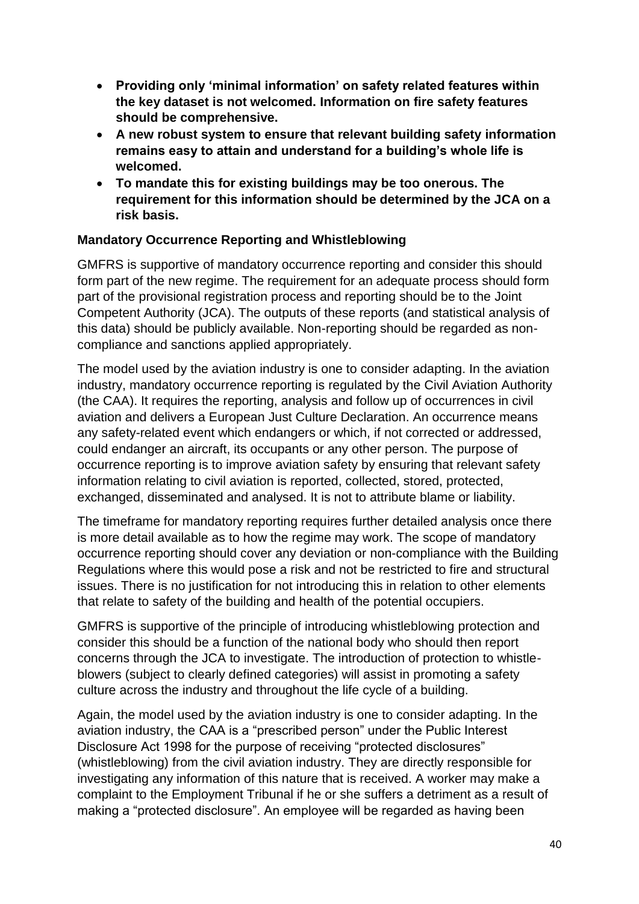- **Providing only 'minimal information' on safety related features within the key dataset is not welcomed. Information on fire safety features should be comprehensive.**
- **A new robust system to ensure that relevant building safety information remains easy to attain and understand for a building's whole life is welcomed.**
- **To mandate this for existing buildings may be too onerous. The requirement for this information should be determined by the JCA on a risk basis.**

### **Mandatory Occurrence Reporting and Whistleblowing**

GMFRS is supportive of mandatory occurrence reporting and consider this should form part of the new regime. The requirement for an adequate process should form part of the provisional registration process and reporting should be to the Joint Competent Authority (JCA). The outputs of these reports (and statistical analysis of this data) should be publicly available. Non-reporting should be regarded as noncompliance and sanctions applied appropriately.

The model used by the aviation industry is one to consider adapting. In the aviation industry, mandatory occurrence reporting is regulated by the Civil Aviation Authority (the CAA). It requires the reporting, analysis and follow up of occurrences in civil aviation and delivers a European Just Culture Declaration. An occurrence means any safety-related event which endangers or which, if not corrected or addressed, could endanger an aircraft, its occupants or any other person. The purpose of occurrence reporting is to improve aviation safety by ensuring that relevant safety information relating to civil aviation is reported, collected, stored, protected, exchanged, disseminated and analysed. It is not to attribute blame or liability.

The timeframe for mandatory reporting requires further detailed analysis once there is more detail available as to how the regime may work. The scope of mandatory occurrence reporting should cover any deviation or non-compliance with the Building Regulations where this would pose a risk and not be restricted to fire and structural issues. There is no justification for not introducing this in relation to other elements that relate to safety of the building and health of the potential occupiers.

GMFRS is supportive of the principle of introducing whistleblowing protection and consider this should be a function of the national body who should then report concerns through the JCA to investigate. The introduction of protection to whistleblowers (subject to clearly defined categories) will assist in promoting a safety culture across the industry and throughout the life cycle of a building.

Again, the model used by the aviation industry is one to consider adapting. In the aviation industry, the CAA is a "prescribed person" under the Public Interest Disclosure Act 1998 for the purpose of receiving "protected disclosures" (whistleblowing) from the civil aviation industry. They are directly responsible for investigating any information of this nature that is received. A worker may make a complaint to the Employment Tribunal if he or she suffers a detriment as a result of making a "protected disclosure". An employee will be regarded as having been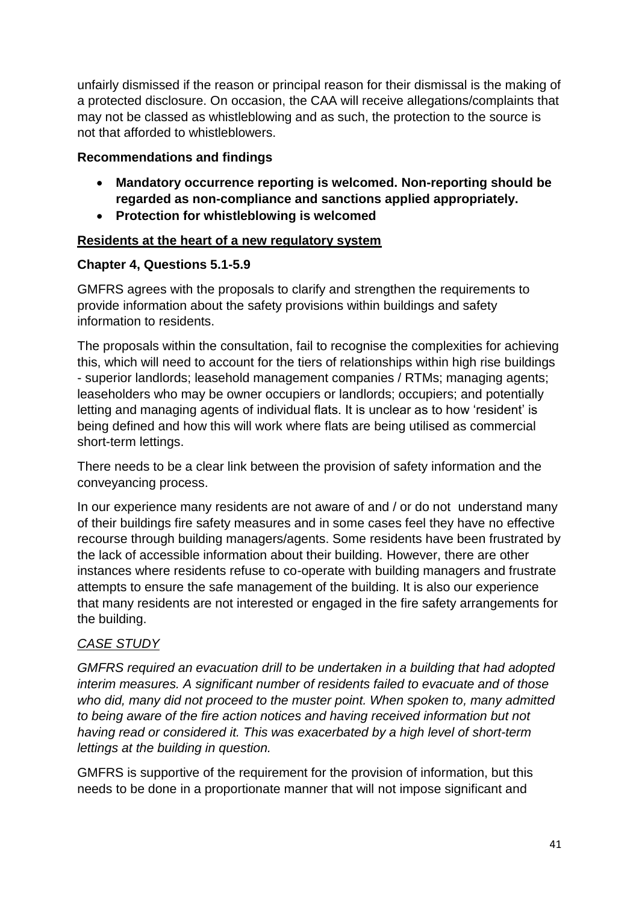unfairly dismissed if the reason or principal reason for their dismissal is the making of a protected disclosure. On occasion, the CAA will receive allegations/complaints that may not be classed as whistleblowing and as such, the protection to the source is not that afforded to whistleblowers.

### **Recommendations and findings**

- **Mandatory occurrence reporting is welcomed. Non-reporting should be regarded as non-compliance and sanctions applied appropriately.**
- **Protection for whistleblowing is welcomed**

## **Residents at the heart of a new regulatory system**

### **Chapter 4, Questions 5.1-5.9**

GMFRS agrees with the proposals to clarify and strengthen the requirements to provide information about the safety provisions within buildings and safety information to residents.

The proposals within the consultation, fail to recognise the complexities for achieving this, which will need to account for the tiers of relationships within high rise buildings - superior landlords; leasehold management companies / RTMs; managing agents; leaseholders who may be owner occupiers or landlords; occupiers; and potentially letting and managing agents of individual flats. It is unclear as to how 'resident' is being defined and how this will work where flats are being utilised as commercial short-term lettings.

There needs to be a clear link between the provision of safety information and the conveyancing process.

In our experience many residents are not aware of and / or do not understand many of their buildings fire safety measures and in some cases feel they have no effective recourse through building managers/agents. Some residents have been frustrated by the lack of accessible information about their building. However, there are other instances where residents refuse to co-operate with building managers and frustrate attempts to ensure the safe management of the building. It is also our experience that many residents are not interested or engaged in the fire safety arrangements for the building.

## *CASE STUDY*

*GMFRS required an evacuation drill to be undertaken in a building that had adopted interim measures. A significant number of residents failed to evacuate and of those who did, many did not proceed to the muster point. When spoken to, many admitted to being aware of the fire action notices and having received information but not having read or considered it. This was exacerbated by a high level of short-term lettings at the building in question.* 

GMFRS is supportive of the requirement for the provision of information, but this needs to be done in a proportionate manner that will not impose significant and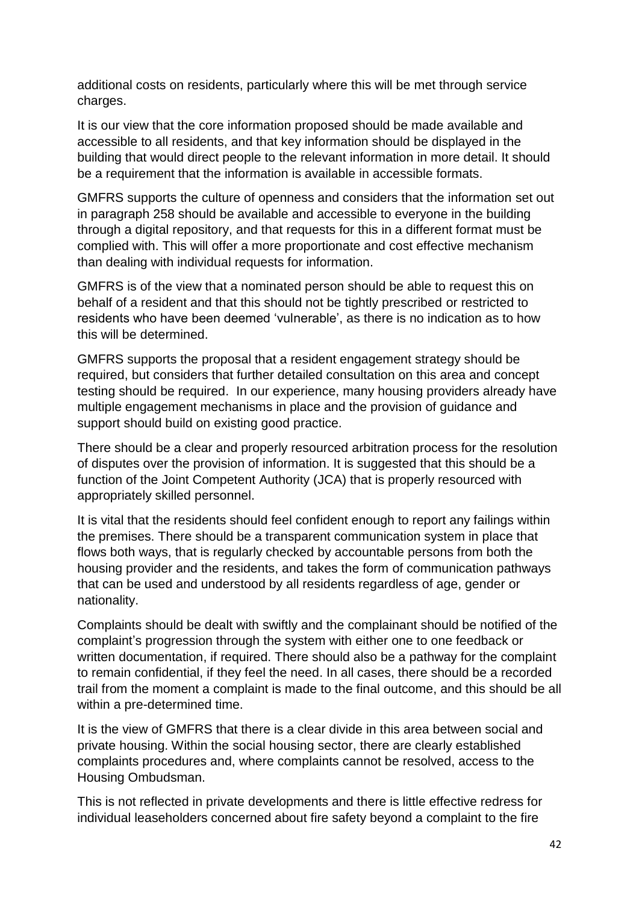additional costs on residents, particularly where this will be met through service charges.

It is our view that the core information proposed should be made available and accessible to all residents, and that key information should be displayed in the building that would direct people to the relevant information in more detail. It should be a requirement that the information is available in accessible formats.

GMFRS supports the culture of openness and considers that the information set out in paragraph 258 should be available and accessible to everyone in the building through a digital repository, and that requests for this in a different format must be complied with. This will offer a more proportionate and cost effective mechanism than dealing with individual requests for information.

GMFRS is of the view that a nominated person should be able to request this on behalf of a resident and that this should not be tightly prescribed or restricted to residents who have been deemed 'vulnerable', as there is no indication as to how this will be determined.

GMFRS supports the proposal that a resident engagement strategy should be required, but considers that further detailed consultation on this area and concept testing should be required. In our experience, many housing providers already have multiple engagement mechanisms in place and the provision of guidance and support should build on existing good practice.

There should be a clear and properly resourced arbitration process for the resolution of disputes over the provision of information. It is suggested that this should be a function of the Joint Competent Authority (JCA) that is properly resourced with appropriately skilled personnel.

It is vital that the residents should feel confident enough to report any failings within the premises. There should be a transparent communication system in place that flows both ways, that is regularly checked by accountable persons from both the housing provider and the residents, and takes the form of communication pathways that can be used and understood by all residents regardless of age, gender or nationality.

Complaints should be dealt with swiftly and the complainant should be notified of the complaint's progression through the system with either one to one feedback or written documentation, if required. There should also be a pathway for the complaint to remain confidential, if they feel the need. In all cases, there should be a recorded trail from the moment a complaint is made to the final outcome, and this should be all within a pre-determined time.

It is the view of GMFRS that there is a clear divide in this area between social and private housing. Within the social housing sector, there are clearly established complaints procedures and, where complaints cannot be resolved, access to the Housing Ombudsman.

This is not reflected in private developments and there is little effective redress for individual leaseholders concerned about fire safety beyond a complaint to the fire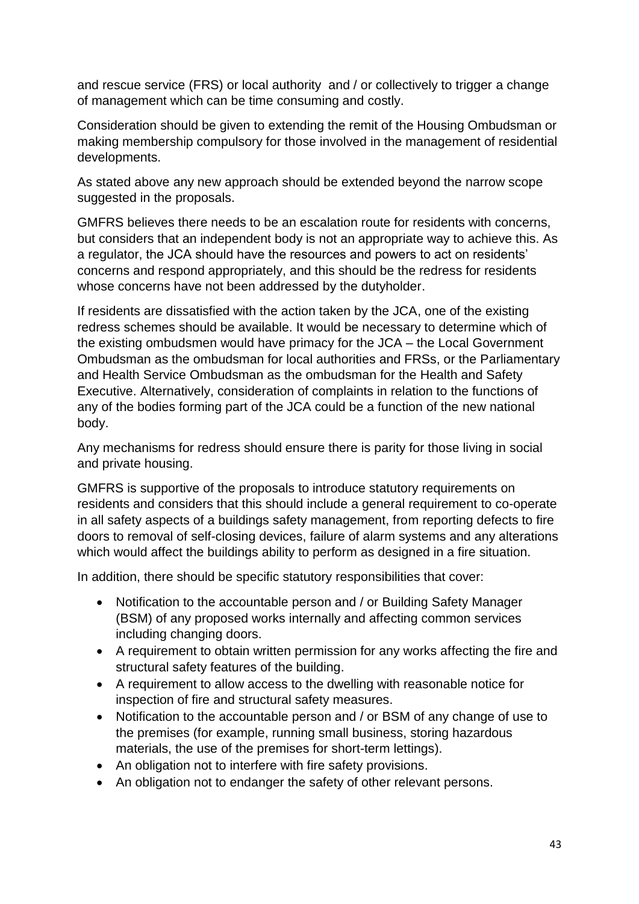and rescue service (FRS) or local authority and / or collectively to trigger a change of management which can be time consuming and costly.

Consideration should be given to extending the remit of the Housing Ombudsman or making membership compulsory for those involved in the management of residential developments.

As stated above any new approach should be extended beyond the narrow scope suggested in the proposals.

GMFRS believes there needs to be an escalation route for residents with concerns, but considers that an independent body is not an appropriate way to achieve this. As a regulator, the JCA should have the resources and powers to act on residents' concerns and respond appropriately, and this should be the redress for residents whose concerns have not been addressed by the dutyholder.

If residents are dissatisfied with the action taken by the JCA, one of the existing redress schemes should be available. It would be necessary to determine which of the existing ombudsmen would have primacy for the JCA – the Local Government Ombudsman as the ombudsman for local authorities and FRSs, or the Parliamentary and Health Service Ombudsman as the ombudsman for the Health and Safety Executive. Alternatively, consideration of complaints in relation to the functions of any of the bodies forming part of the JCA could be a function of the new national body.

Any mechanisms for redress should ensure there is parity for those living in social and private housing.

GMFRS is supportive of the proposals to introduce statutory requirements on residents and considers that this should include a general requirement to co-operate in all safety aspects of a buildings safety management, from reporting defects to fire doors to removal of self-closing devices, failure of alarm systems and any alterations which would affect the buildings ability to perform as designed in a fire situation.

In addition, there should be specific statutory responsibilities that cover:

- Notification to the accountable person and / or Building Safety Manager (BSM) of any proposed works internally and affecting common services including changing doors.
- A requirement to obtain written permission for any works affecting the fire and structural safety features of the building.
- A requirement to allow access to the dwelling with reasonable notice for inspection of fire and structural safety measures.
- Notification to the accountable person and / or BSM of any change of use to the premises (for example, running small business, storing hazardous materials, the use of the premises for short-term lettings).
- An obligation not to interfere with fire safety provisions.
- An obligation not to endanger the safety of other relevant persons.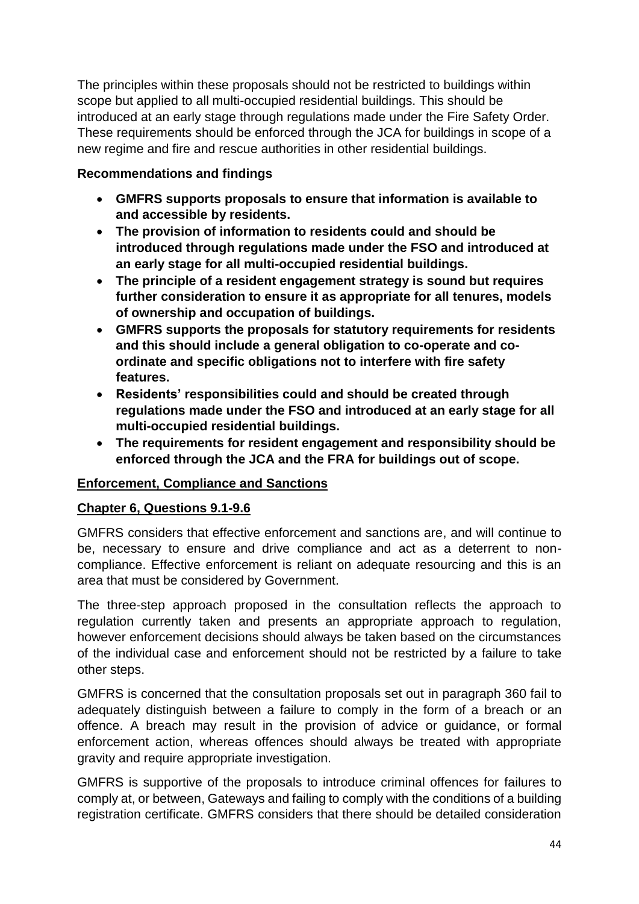The principles within these proposals should not be restricted to buildings within scope but applied to all multi-occupied residential buildings. This should be introduced at an early stage through regulations made under the Fire Safety Order. These requirements should be enforced through the JCA for buildings in scope of a new regime and fire and rescue authorities in other residential buildings.

### **Recommendations and findings**

- **GMFRS supports proposals to ensure that information is available to and accessible by residents.**
- **The provision of information to residents could and should be introduced through regulations made under the FSO and introduced at an early stage for all multi-occupied residential buildings.**
- **The principle of a resident engagement strategy is sound but requires further consideration to ensure it as appropriate for all tenures, models of ownership and occupation of buildings.**
- **GMFRS supports the proposals for statutory requirements for residents and this should include a general obligation to co-operate and coordinate and specific obligations not to interfere with fire safety features.**
- **Residents' responsibilities could and should be created through regulations made under the FSO and introduced at an early stage for all multi-occupied residential buildings.**
- **The requirements for resident engagement and responsibility should be enforced through the JCA and the FRA for buildings out of scope.**

## **Enforcement, Compliance and Sanctions**

#### **Chapter 6, Questions 9.1-9.6**

GMFRS considers that effective enforcement and sanctions are, and will continue to be, necessary to ensure and drive compliance and act as a deterrent to noncompliance. Effective enforcement is reliant on adequate resourcing and this is an area that must be considered by Government.

The three-step approach proposed in the consultation reflects the approach to regulation currently taken and presents an appropriate approach to regulation, however enforcement decisions should always be taken based on the circumstances of the individual case and enforcement should not be restricted by a failure to take other steps.

GMFRS is concerned that the consultation proposals set out in paragraph 360 fail to adequately distinguish between a failure to comply in the form of a breach or an offence. A breach may result in the provision of advice or guidance, or formal enforcement action, whereas offences should always be treated with appropriate gravity and require appropriate investigation.

GMFRS is supportive of the proposals to introduce criminal offences for failures to comply at, or between, Gateways and failing to comply with the conditions of a building registration certificate. GMFRS considers that there should be detailed consideration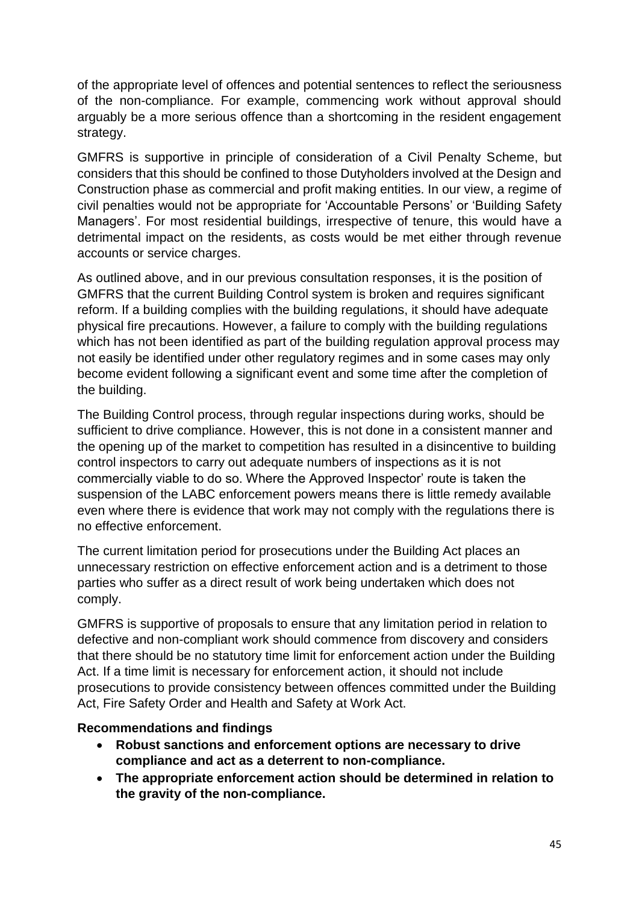of the appropriate level of offences and potential sentences to reflect the seriousness of the non-compliance. For example, commencing work without approval should arguably be a more serious offence than a shortcoming in the resident engagement strategy.

GMFRS is supportive in principle of consideration of a Civil Penalty Scheme, but considers that this should be confined to those Dutyholders involved at the Design and Construction phase as commercial and profit making entities. In our view, a regime of civil penalties would not be appropriate for 'Accountable Persons' or 'Building Safety Managers'. For most residential buildings, irrespective of tenure, this would have a detrimental impact on the residents, as costs would be met either through revenue accounts or service charges.

As outlined above, and in our previous consultation responses, it is the position of GMFRS that the current Building Control system is broken and requires significant reform. If a building complies with the building regulations, it should have adequate physical fire precautions. However, a failure to comply with the building regulations which has not been identified as part of the building regulation approval process may not easily be identified under other regulatory regimes and in some cases may only become evident following a significant event and some time after the completion of the building.

The Building Control process, through regular inspections during works, should be sufficient to drive compliance. However, this is not done in a consistent manner and the opening up of the market to competition has resulted in a disincentive to building control inspectors to carry out adequate numbers of inspections as it is not commercially viable to do so. Where the Approved Inspector' route is taken the suspension of the LABC enforcement powers means there is little remedy available even where there is evidence that work may not comply with the regulations there is no effective enforcement.

The current limitation period for prosecutions under the Building Act places an unnecessary restriction on effective enforcement action and is a detriment to those parties who suffer as a direct result of work being undertaken which does not comply.

GMFRS is supportive of proposals to ensure that any limitation period in relation to defective and non-compliant work should commence from discovery and considers that there should be no statutory time limit for enforcement action under the Building Act. If a time limit is necessary for enforcement action, it should not include prosecutions to provide consistency between offences committed under the Building Act, Fire Safety Order and Health and Safety at Work Act.

#### **Recommendations and findings**

- **Robust sanctions and enforcement options are necessary to drive compliance and act as a deterrent to non-compliance.**
- **The appropriate enforcement action should be determined in relation to the gravity of the non-compliance.**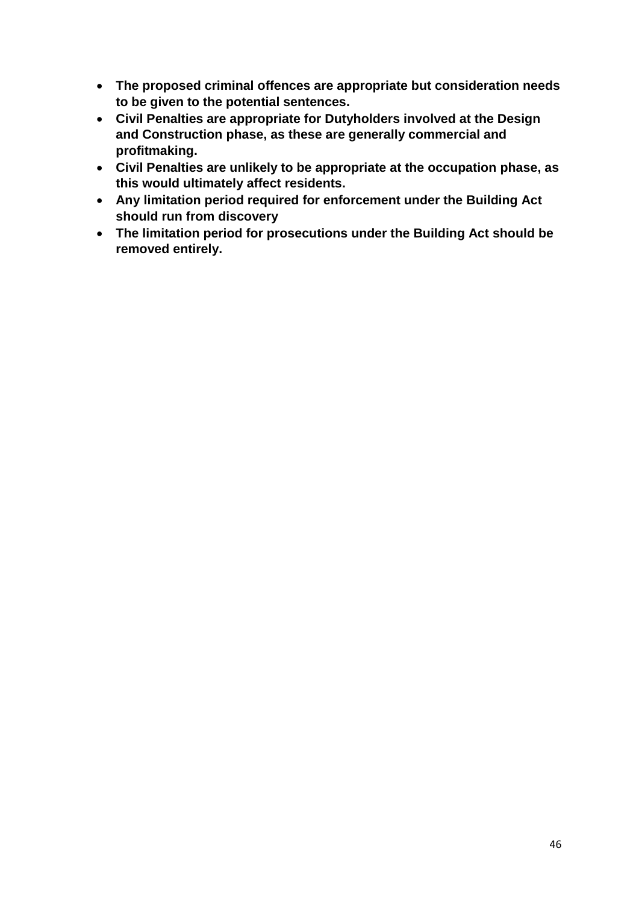- **The proposed criminal offences are appropriate but consideration needs to be given to the potential sentences.**
- **Civil Penalties are appropriate for Dutyholders involved at the Design and Construction phase, as these are generally commercial and profitmaking.**
- **Civil Penalties are unlikely to be appropriate at the occupation phase, as this would ultimately affect residents.**
- **Any limitation period required for enforcement under the Building Act should run from discovery**
- **The limitation period for prosecutions under the Building Act should be removed entirely.**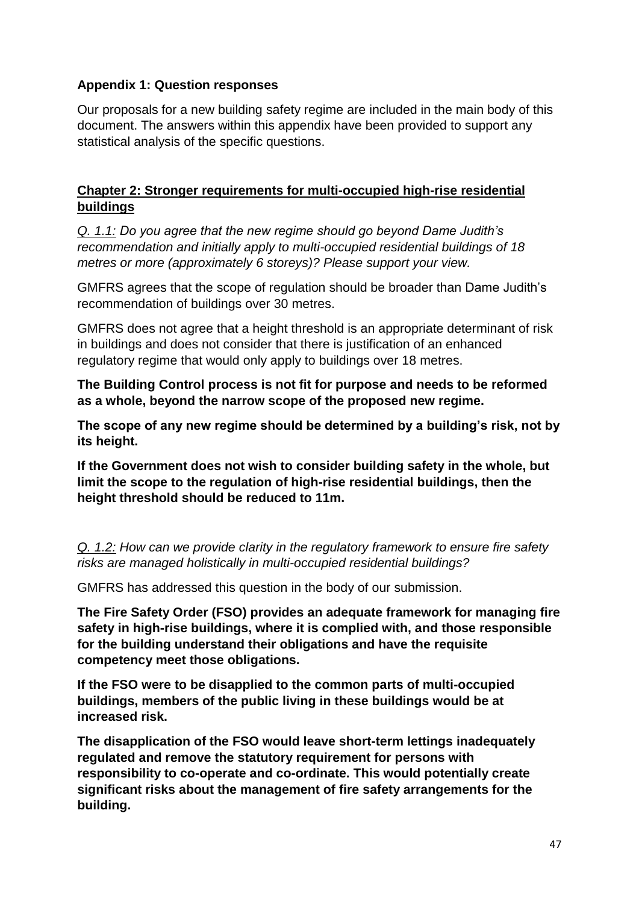### **Appendix 1: Question responses**

Our proposals for a new building safety regime are included in the main body of this document. The answers within this appendix have been provided to support any statistical analysis of the specific questions.

#### **Chapter 2: Stronger requirements for multi-occupied high-rise residential buildings**

*Q. 1.1: Do you agree that the new regime should go beyond Dame Judith's recommendation and initially apply to multi-occupied residential buildings of 18 metres or more (approximately 6 storeys)? Please support your view.*

GMFRS agrees that the scope of regulation should be broader than Dame Judith's recommendation of buildings over 30 metres.

GMFRS does not agree that a height threshold is an appropriate determinant of risk in buildings and does not consider that there is justification of an enhanced regulatory regime that would only apply to buildings over 18 metres.

**The Building Control process is not fit for purpose and needs to be reformed as a whole, beyond the narrow scope of the proposed new regime.**

**The scope of any new regime should be determined by a building's risk, not by its height.** 

**If the Government does not wish to consider building safety in the whole, but limit the scope to the regulation of high-rise residential buildings, then the height threshold should be reduced to 11m.**

*Q. 1.2: How can we provide clarity in the regulatory framework to ensure fire safety risks are managed holistically in multi-occupied residential buildings?*

GMFRS has addressed this question in the body of our submission.

**The Fire Safety Order (FSO) provides an adequate framework for managing fire safety in high-rise buildings, where it is complied with, and those responsible for the building understand their obligations and have the requisite competency meet those obligations.** 

**If the FSO were to be disapplied to the common parts of multi-occupied buildings, members of the public living in these buildings would be at increased risk.**

**The disapplication of the FSO would leave short-term lettings inadequately regulated and remove the statutory requirement for persons with responsibility to co-operate and co-ordinate. This would potentially create significant risks about the management of fire safety arrangements for the building.**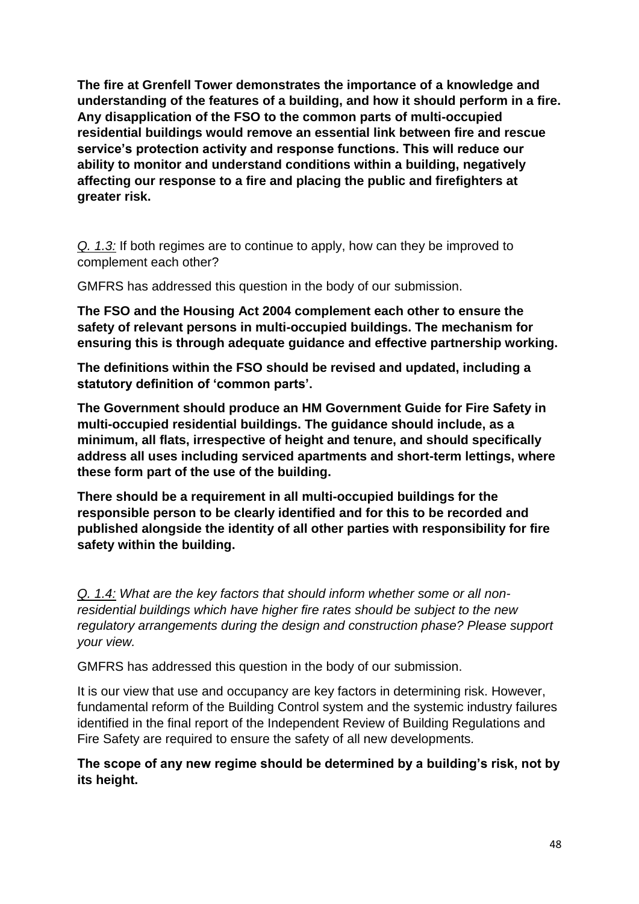**The fire at Grenfell Tower demonstrates the importance of a knowledge and understanding of the features of a building, and how it should perform in a fire. Any disapplication of the FSO to the common parts of multi-occupied residential buildings would remove an essential link between fire and rescue service's protection activity and response functions. This will reduce our ability to monitor and understand conditions within a building, negatively affecting our response to a fire and placing the public and firefighters at greater risk.**

*Q. 1.3:* If both regimes are to continue to apply, how can they be improved to complement each other?

GMFRS has addressed this question in the body of our submission.

**The FSO and the Housing Act 2004 complement each other to ensure the safety of relevant persons in multi-occupied buildings. The mechanism for ensuring this is through adequate guidance and effective partnership working.**

**The definitions within the FSO should be revised and updated, including a statutory definition of 'common parts'.**

**The Government should produce an HM Government Guide for Fire Safety in multi-occupied residential buildings. The guidance should include, as a minimum, all flats, irrespective of height and tenure, and should specifically address all uses including serviced apartments and short-term lettings, where these form part of the use of the building.**

**There should be a requirement in all multi-occupied buildings for the responsible person to be clearly identified and for this to be recorded and published alongside the identity of all other parties with responsibility for fire safety within the building.**

*Q. 1.4: What are the key factors that should inform whether some or all nonresidential buildings which have higher fire rates should be subject to the new regulatory arrangements during the design and construction phase? Please support your view.*

GMFRS has addressed this question in the body of our submission.

It is our view that use and occupancy are key factors in determining risk. However, fundamental reform of the Building Control system and the systemic industry failures identified in the final report of the Independent Review of Building Regulations and Fire Safety are required to ensure the safety of all new developments*.* 

**The scope of any new regime should be determined by a building's risk, not by its height.**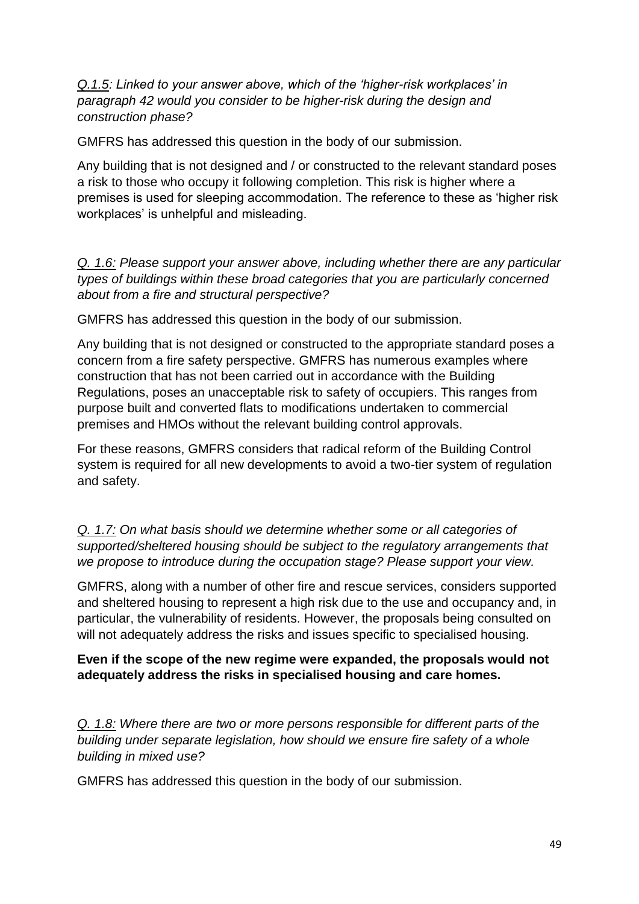*Q.1.5: Linked to your answer above, which of the 'higher-risk workplaces' in paragraph 42 would you consider to be higher-risk during the design and construction phase?*

GMFRS has addressed this question in the body of our submission.

Any building that is not designed and / or constructed to the relevant standard poses a risk to those who occupy it following completion. This risk is higher where a premises is used for sleeping accommodation. The reference to these as 'higher risk workplaces' is unhelpful and misleading.

*Q. 1.6: Please support your answer above, including whether there are any particular types of buildings within these broad categories that you are particularly concerned about from a fire and structural perspective?*

GMFRS has addressed this question in the body of our submission.

Any building that is not designed or constructed to the appropriate standard poses a concern from a fire safety perspective. GMFRS has numerous examples where construction that has not been carried out in accordance with the Building Regulations, poses an unacceptable risk to safety of occupiers. This ranges from purpose built and converted flats to modifications undertaken to commercial premises and HMOs without the relevant building control approvals.

For these reasons, GMFRS considers that radical reform of the Building Control system is required for all new developments to avoid a two-tier system of regulation and safety.

*Q. 1.7: On what basis should we determine whether some or all categories of supported/sheltered housing should be subject to the regulatory arrangements that we propose to introduce during the occupation stage? Please support your view.*

GMFRS, along with a number of other fire and rescue services, considers supported and sheltered housing to represent a high risk due to the use and occupancy and, in particular, the vulnerability of residents. However, the proposals being consulted on will not adequately address the risks and issues specific to specialised housing.

#### **Even if the scope of the new regime were expanded, the proposals would not adequately address the risks in specialised housing and care homes.**

*Q. 1.8: Where there are two or more persons responsible for different parts of the building under separate legislation, how should we ensure fire safety of a whole building in mixed use?*

GMFRS has addressed this question in the body of our submission.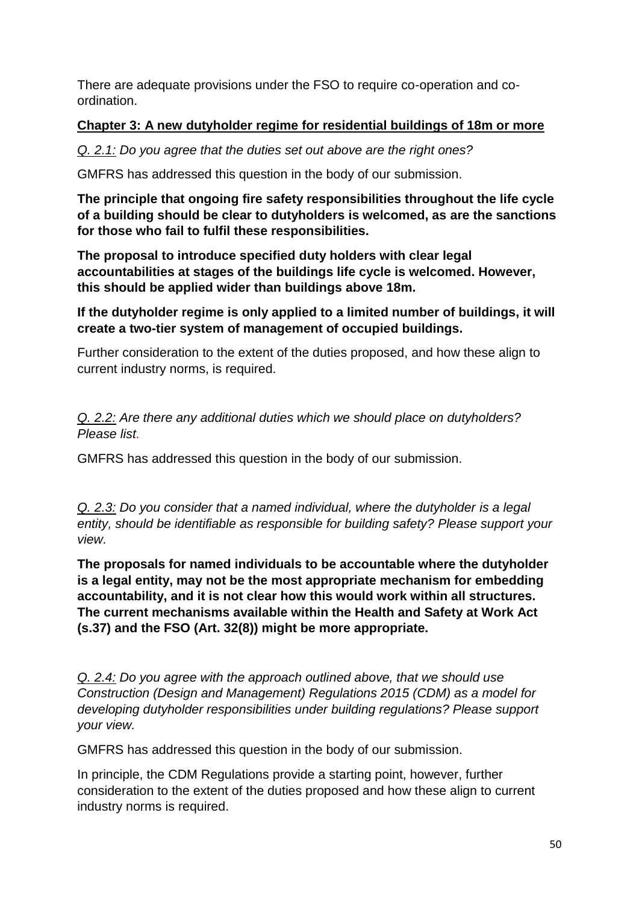There are adequate provisions under the FSO to require co-operation and coordination.

### **Chapter 3: A new dutyholder regime for residential buildings of 18m or more**

### *Q. 2.1: Do you agree that the duties set out above are the right ones?*

GMFRS has addressed this question in the body of our submission.

**The principle that ongoing fire safety responsibilities throughout the life cycle of a building should be clear to dutyholders is welcomed, as are the sanctions for those who fail to fulfil these responsibilities.**

**The proposal to introduce specified duty holders with clear legal accountabilities at stages of the buildings life cycle is welcomed. However, this should be applied wider than buildings above 18m.**

**If the dutyholder regime is only applied to a limited number of buildings, it will create a two-tier system of management of occupied buildings.**

Further consideration to the extent of the duties proposed, and how these align to current industry norms, is required.

*Q. 2.2: Are there any additional duties which we should place on dutyholders? Please list.*

GMFRS has addressed this question in the body of our submission.

*Q. 2.3: Do you consider that a named individual, where the dutyholder is a legal entity, should be identifiable as responsible for building safety? Please support your view.*

**The proposals for named individuals to be accountable where the dutyholder is a legal entity, may not be the most appropriate mechanism for embedding accountability, and it is not clear how this would work within all structures. The current mechanisms available within the Health and Safety at Work Act (s.37) and the FSO (Art. 32(8)) might be more appropriate.**

*Q. 2.4: Do you agree with the approach outlined above, that we should use Construction (Design and Management) Regulations 2015 (CDM) as a model for developing dutyholder responsibilities under building regulations? Please support your view.*

GMFRS has addressed this question in the body of our submission.

In principle, the CDM Regulations provide a starting point, however, further consideration to the extent of the duties proposed and how these align to current industry norms is required.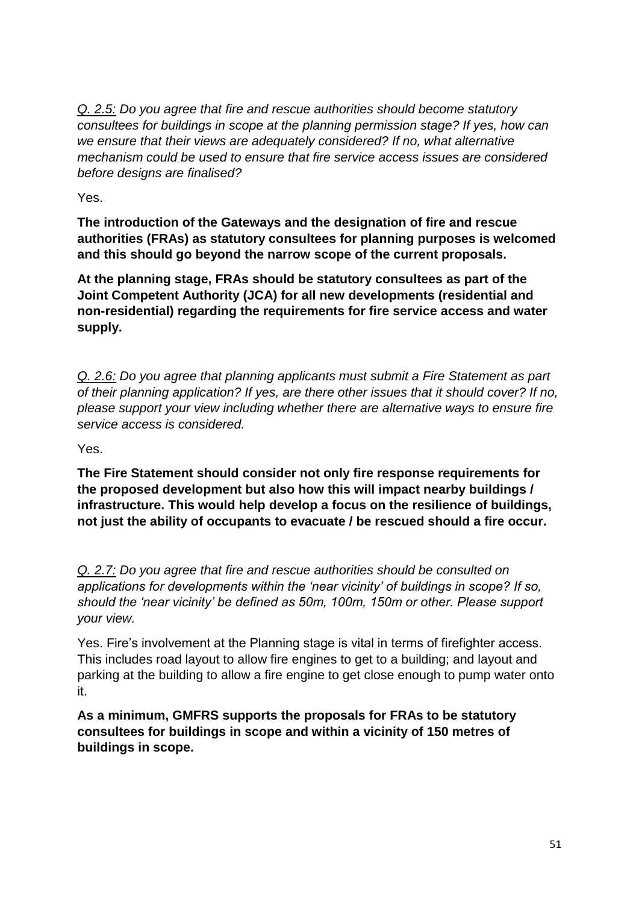*Q. 2.5: Do you agree that fire and rescue authorities should become statutory consultees for buildings in scope at the planning permission stage? If yes, how can we ensure that their views are adequately considered? If no, what alternative mechanism could be used to ensure that fire service access issues are considered before designs are finalised?*

Yes.

**The introduction of the Gateways and the designation of fire and rescue authorities (FRAs) as statutory consultees for planning purposes is welcomed and this should go beyond the narrow scope of the current proposals.** 

**At the planning stage, FRAs should be statutory consultees as part of the Joint Competent Authority (JCA) for all new developments (residential and non-residential) regarding the requirements for fire service access and water supply.**

*Q. 2.6: Do you agree that planning applicants must submit a Fire Statement as part of their planning application? If yes, are there other issues that it should cover? If no, please support your view including whether there are alternative ways to ensure fire service access is considered.*

Yes.

**The Fire Statement should consider not only fire response requirements for the proposed development but also how this will impact nearby buildings / infrastructure. This would help develop a focus on the resilience of buildings, not just the ability of occupants to evacuate / be rescued should a fire occur.**

*Q. 2.7: Do you agree that fire and rescue authorities should be consulted on applications for developments within the 'near vicinity' of buildings in scope? If so, should the 'near vicinity' be defined as 50m, 100m, 150m or other. Please support your view.*

Yes. Fire's involvement at the Planning stage is vital in terms of firefighter access. This includes road layout to allow fire engines to get to a building; and layout and parking at the building to allow a fire engine to get close enough to pump water onto it.

**As a minimum, GMFRS supports the proposals for FRAs to be statutory consultees for buildings in scope and within a vicinity of 150 metres of buildings in scope.**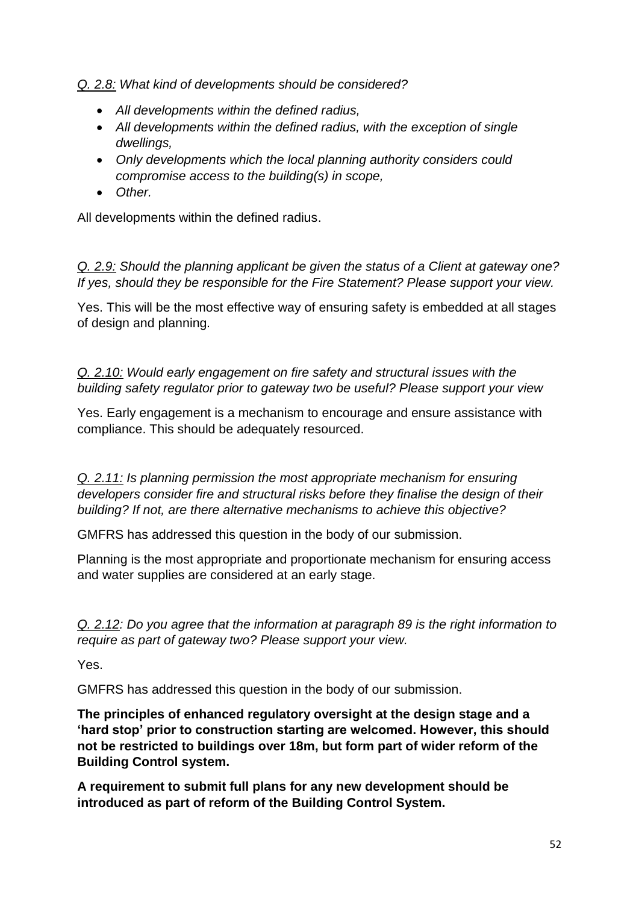*Q. 2.8: What kind of developments should be considered?*

- *All developments within the defined radius,*
- *All developments within the defined radius, with the exception of single dwellings,*
- *Only developments which the local planning authority considers could compromise access to the building(s) in scope,*
- *Other.*

All developments within the defined radius.

*Q. 2.9: Should the planning applicant be given the status of a Client at gateway one? If yes, should they be responsible for the Fire Statement? Please support your view.*

Yes. This will be the most effective way of ensuring safety is embedded at all stages of design and planning.

*Q. 2.10: Would early engagement on fire safety and structural issues with the building safety regulator prior to gateway two be useful? Please support your view*

Yes. Early engagement is a mechanism to encourage and ensure assistance with compliance. This should be adequately resourced.

*Q. 2.11: Is planning permission the most appropriate mechanism for ensuring developers consider fire and structural risks before they finalise the design of their building? If not, are there alternative mechanisms to achieve this objective?*

GMFRS has addressed this question in the body of our submission.

Planning is the most appropriate and proportionate mechanism for ensuring access and water supplies are considered at an early stage.

*Q. 2.12: Do you agree that the information at paragraph 89 is the right information to require as part of gateway two? Please support your view.*

Yes.

GMFRS has addressed this question in the body of our submission.

**The principles of enhanced regulatory oversight at the design stage and a 'hard stop' prior to construction starting are welcomed. However, this should not be restricted to buildings over 18m, but form part of wider reform of the Building Control system.**

**A requirement to submit full plans for any new development should be introduced as part of reform of the Building Control System.**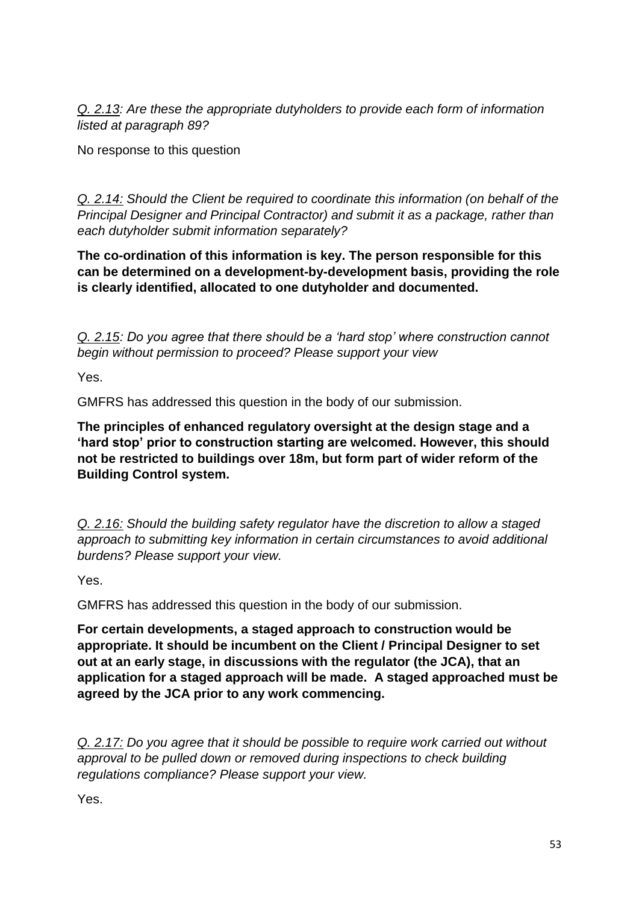*Q. 2.13: Are these the appropriate dutyholders to provide each form of information listed at paragraph 89?*

No response to this question

*Q. 2.14: Should the Client be required to coordinate this information (on behalf of the Principal Designer and Principal Contractor) and submit it as a package, rather than each dutyholder submit information separately?*

**The co-ordination of this information is key. The person responsible for this can be determined on a development-by-development basis, providing the role is clearly identified, allocated to one dutyholder and documented.**

*Q. 2.15: Do you agree that there should be a 'hard stop' where construction cannot begin without permission to proceed? Please support your view*

Yes.

GMFRS has addressed this question in the body of our submission.

**The principles of enhanced regulatory oversight at the design stage and a 'hard stop' prior to construction starting are welcomed. However, this should not be restricted to buildings over 18m, but form part of wider reform of the Building Control system.**

*Q. 2.16: Should the building safety regulator have the discretion to allow a staged approach to submitting key information in certain circumstances to avoid additional burdens? Please support your view.*

Yes.

GMFRS has addressed this question in the body of our submission.

**For certain developments, a staged approach to construction would be appropriate. It should be incumbent on the Client / Principal Designer to set out at an early stage, in discussions with the regulator (the JCA), that an application for a staged approach will be made. A staged approached must be agreed by the JCA prior to any work commencing.**

*Q. 2.17: Do you agree that it should be possible to require work carried out without approval to be pulled down or removed during inspections to check building regulations compliance? Please support your view.*

Yes.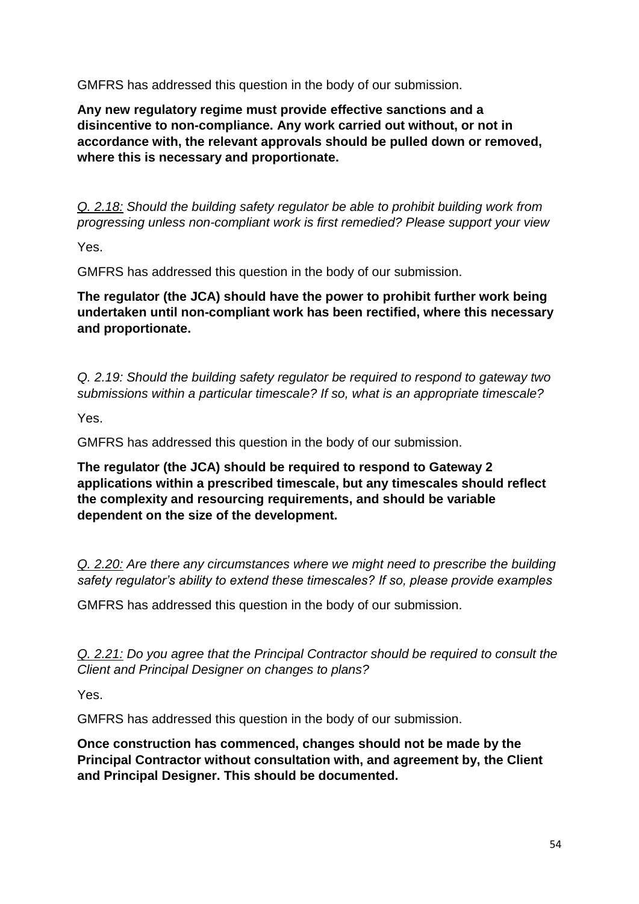GMFRS has addressed this question in the body of our submission.

**Any new regulatory regime must provide effective sanctions and a disincentive to non-compliance. Any work carried out without, or not in accordance with, the relevant approvals should be pulled down or removed, where this is necessary and proportionate.** 

*Q. 2.18: Should the building safety regulator be able to prohibit building work from progressing unless non-compliant work is first remedied? Please support your view*

Yes.

GMFRS has addressed this question in the body of our submission.

**The regulator (the JCA) should have the power to prohibit further work being undertaken until non-compliant work has been rectified, where this necessary and proportionate.**

*Q. 2.19: Should the building safety regulator be required to respond to gateway two submissions within a particular timescale? If so, what is an appropriate timescale?*

Yes.

GMFRS has addressed this question in the body of our submission.

**The regulator (the JCA) should be required to respond to Gateway 2 applications within a prescribed timescale, but any timescales should reflect the complexity and resourcing requirements, and should be variable dependent on the size of the development.**

*Q. 2.20: Are there any circumstances where we might need to prescribe the building safety regulator's ability to extend these timescales? If so, please provide examples*

GMFRS has addressed this question in the body of our submission.

*Q. 2.21: Do you agree that the Principal Contractor should be required to consult the Client and Principal Designer on changes to plans?*

Yes.

GMFRS has addressed this question in the body of our submission.

**Once construction has commenced, changes should not be made by the Principal Contractor without consultation with, and agreement by, the Client and Principal Designer. This should be documented.**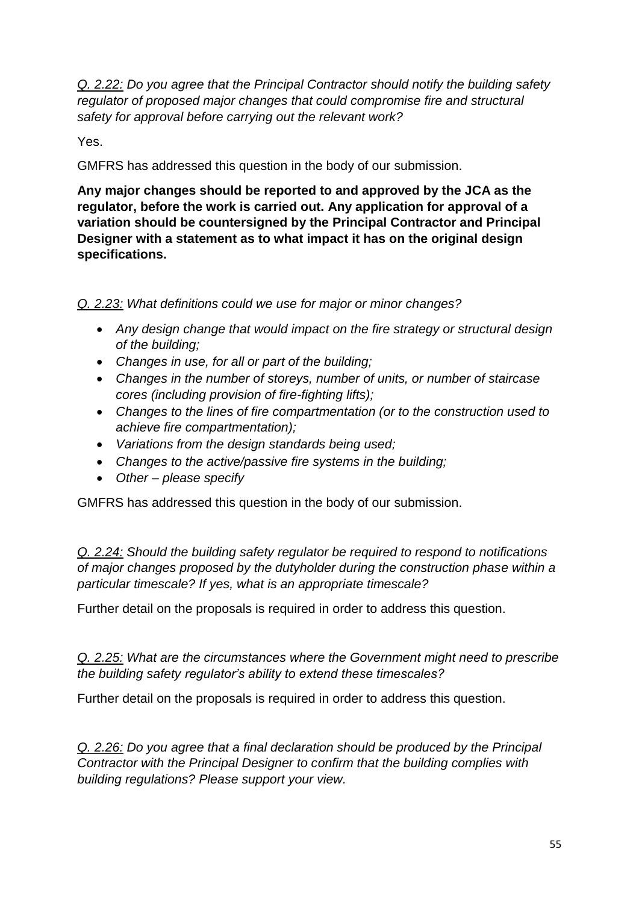*Q. 2.22: Do you agree that the Principal Contractor should notify the building safety regulator of proposed major changes that could compromise fire and structural safety for approval before carrying out the relevant work?*

Yes.

GMFRS has addressed this question in the body of our submission.

**Any major changes should be reported to and approved by the JCA as the regulator, before the work is carried out. Any application for approval of a variation should be countersigned by the Principal Contractor and Principal Designer with a statement as to what impact it has on the original design specifications.** 

*Q. 2.23: What definitions could we use for major or minor changes?*

- *Any design change that would impact on the fire strategy or structural design of the building;*
- *Changes in use, for all or part of the building;*
- *Changes in the number of storeys, number of units, or number of staircase cores (including provision of fire-fighting lifts);*
- *Changes to the lines of fire compartmentation (or to the construction used to achieve fire compartmentation);*
- *Variations from the design standards being used;*
- *Changes to the active/passive fire systems in the building;*
- *Other – please specify*

GMFRS has addressed this question in the body of our submission.

*Q. 2.24: Should the building safety regulator be required to respond to notifications of major changes proposed by the dutyholder during the construction phase within a particular timescale? If yes, what is an appropriate timescale?*

Further detail on the proposals is required in order to address this question.

*Q. 2.25: What are the circumstances where the Government might need to prescribe the building safety regulator's ability to extend these timescales?*

Further detail on the proposals is required in order to address this question.

*Q. 2.26: Do you agree that a final declaration should be produced by the Principal Contractor with the Principal Designer to confirm that the building complies with building regulations? Please support your view.*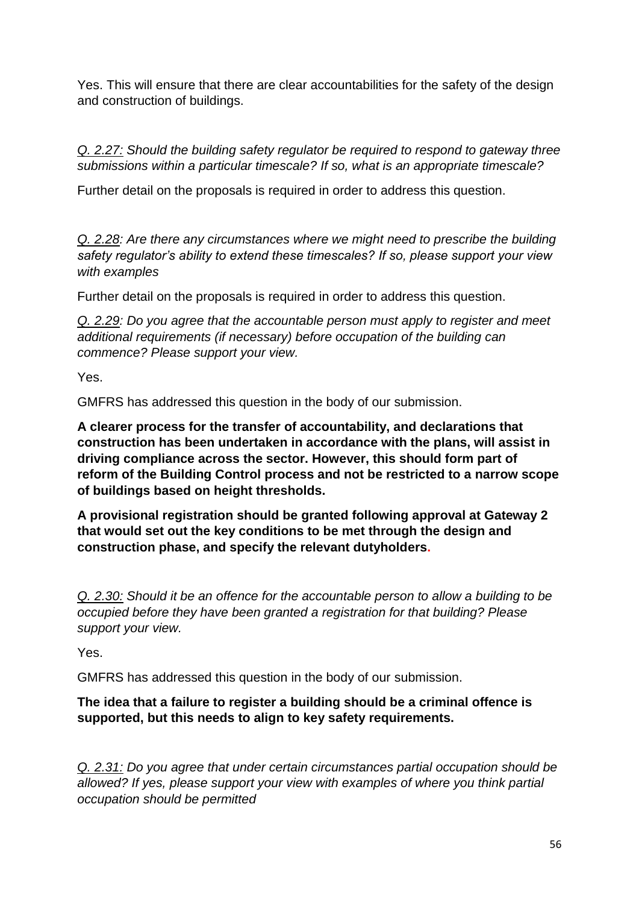Yes. This will ensure that there are clear accountabilities for the safety of the design and construction of buildings.

*Q. 2.27: Should the building safety regulator be required to respond to gateway three submissions within a particular timescale? If so, what is an appropriate timescale?*

Further detail on the proposals is required in order to address this question.

*Q. 2.28: Are there any circumstances where we might need to prescribe the building safety regulator's ability to extend these timescales? If so, please support your view with examples*

Further detail on the proposals is required in order to address this question.

*Q. 2.29: Do you agree that the accountable person must apply to register and meet additional requirements (if necessary) before occupation of the building can commence? Please support your view.*

Yes.

GMFRS has addressed this question in the body of our submission.

**A clearer process for the transfer of accountability, and declarations that construction has been undertaken in accordance with the plans, will assist in driving compliance across the sector. However, this should form part of reform of the Building Control process and not be restricted to a narrow scope of buildings based on height thresholds.**

**A provisional registration should be granted following approval at Gateway 2 that would set out the key conditions to be met through the design and construction phase, and specify the relevant dutyholders.**

*Q. 2.30: Should it be an offence for the accountable person to allow a building to be occupied before they have been granted a registration for that building? Please support your view.*

Yes.

GMFRS has addressed this question in the body of our submission.

### **The idea that a failure to register a building should be a criminal offence is supported, but this needs to align to key safety requirements.**

*Q. 2.31: Do you agree that under certain circumstances partial occupation should be allowed? If yes, please support your view with examples of where you think partial occupation should be permitted*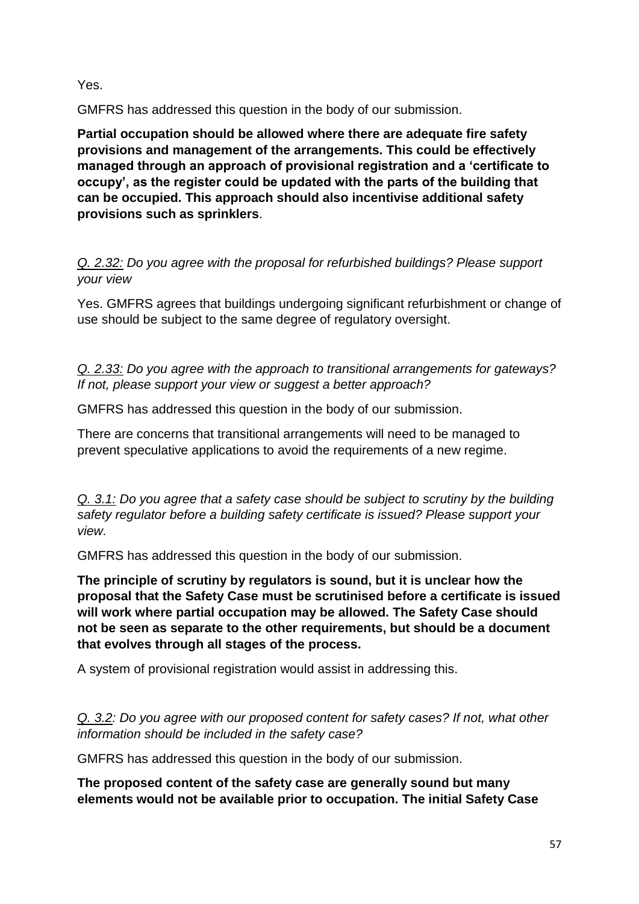Yes.

GMFRS has addressed this question in the body of our submission.

**Partial occupation should be allowed where there are adequate fire safety provisions and management of the arrangements. This could be effectively managed through an approach of provisional registration and a 'certificate to occupy', as the register could be updated with the parts of the building that can be occupied. This approach should also incentivise additional safety provisions such as sprinklers**.

*Q. 2.32: Do you agree with the proposal for refurbished buildings? Please support your view*

Yes. GMFRS agrees that buildings undergoing significant refurbishment or change of use should be subject to the same degree of regulatory oversight.

*Q. 2.33: Do you agree with the approach to transitional arrangements for gateways? If not, please support your view or suggest a better approach?*

GMFRS has addressed this question in the body of our submission.

There are concerns that transitional arrangements will need to be managed to prevent speculative applications to avoid the requirements of a new regime.

*Q. 3.1: Do you agree that a safety case should be subject to scrutiny by the building safety regulator before a building safety certificate is issued? Please support your view.*

GMFRS has addressed this question in the body of our submission.

**The principle of scrutiny by regulators is sound, but it is unclear how the proposal that the Safety Case must be scrutinised before a certificate is issued will work where partial occupation may be allowed. The Safety Case should not be seen as separate to the other requirements, but should be a document that evolves through all stages of the process.** 

A system of provisional registration would assist in addressing this.

*Q. 3.2: Do you agree with our proposed content for safety cases? If not, what other information should be included in the safety case?*

GMFRS has addressed this question in the body of our submission.

**The proposed content of the safety case are generally sound but many elements would not be available prior to occupation. The initial Safety Case**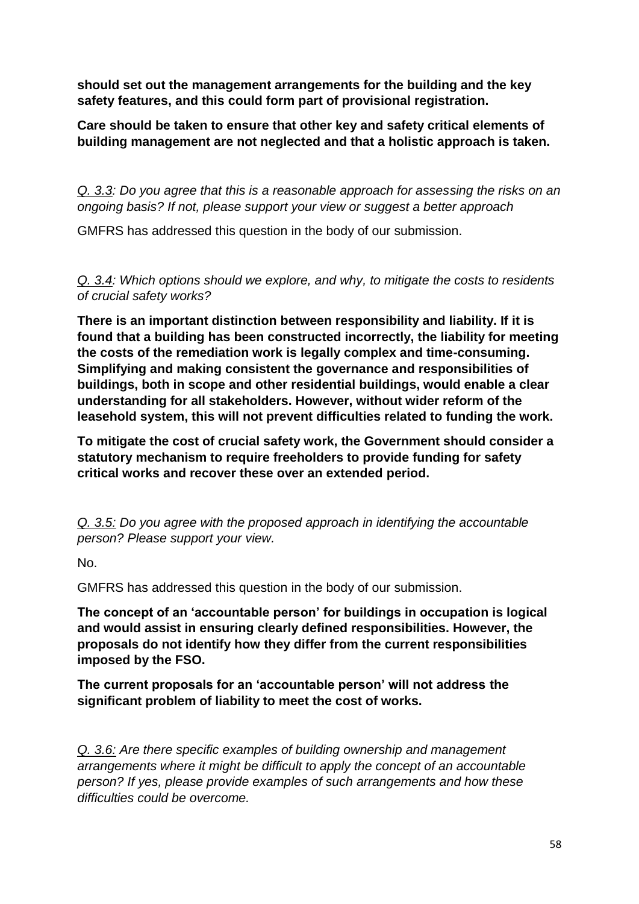**should set out the management arrangements for the building and the key safety features, and this could form part of provisional registration.** 

**Care should be taken to ensure that other key and safety critical elements of building management are not neglected and that a holistic approach is taken.** 

*Q. 3.3: Do you agree that this is a reasonable approach for assessing the risks on an ongoing basis? If not, please support your view or suggest a better approach*

GMFRS has addressed this question in the body of our submission.

*Q. 3.4: Which options should we explore, and why, to mitigate the costs to residents of crucial safety works?*

**There is an important distinction between responsibility and liability. If it is found that a building has been constructed incorrectly, the liability for meeting the costs of the remediation work is legally complex and time-consuming. Simplifying and making consistent the governance and responsibilities of buildings, both in scope and other residential buildings, would enable a clear understanding for all stakeholders. However, without wider reform of the leasehold system, this will not prevent difficulties related to funding the work.** 

**To mitigate the cost of crucial safety work, the Government should consider a statutory mechanism to require freeholders to provide funding for safety critical works and recover these over an extended period.** 

*Q. 3.5: Do you agree with the proposed approach in identifying the accountable person? Please support your view.*

No.

GMFRS has addressed this question in the body of our submission.

**The concept of an 'accountable person' for buildings in occupation is logical and would assist in ensuring clearly defined responsibilities. However, the proposals do not identify how they differ from the current responsibilities imposed by the FSO.** 

**The current proposals for an 'accountable person' will not address the significant problem of liability to meet the cost of works.**

*Q. 3.6: Are there specific examples of building ownership and management arrangements where it might be difficult to apply the concept of an accountable person? If yes, please provide examples of such arrangements and how these difficulties could be overcome.*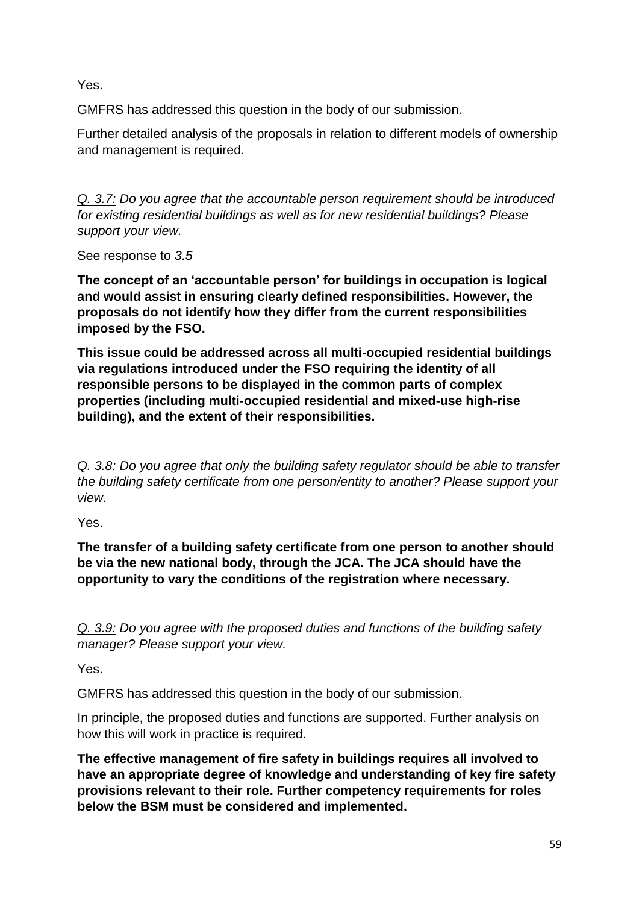Yes.

GMFRS has addressed this question in the body of our submission.

Further detailed analysis of the proposals in relation to different models of ownership and management is required.

*Q. 3.7: Do you agree that the accountable person requirement should be introduced for existing residential buildings as well as for new residential buildings? Please support your view.*

See response to *3.5*

**The concept of an 'accountable person' for buildings in occupation is logical and would assist in ensuring clearly defined responsibilities. However, the proposals do not identify how they differ from the current responsibilities imposed by the FSO.** 

**This issue could be addressed across all multi-occupied residential buildings via regulations introduced under the FSO requiring the identity of all responsible persons to be displayed in the common parts of complex properties (including multi-occupied residential and mixed-use high-rise building), and the extent of their responsibilities.**

*Q. 3.8: Do you agree that only the building safety regulator should be able to transfer the building safety certificate from one person/entity to another? Please support your view.*

Yes.

**The transfer of a building safety certificate from one person to another should be via the new national body, through the JCA. The JCA should have the opportunity to vary the conditions of the registration where necessary.** 

*Q. 3.9: Do you agree with the proposed duties and functions of the building safety manager? Please support your view.*

Yes.

GMFRS has addressed this question in the body of our submission.

In principle, the proposed duties and functions are supported. Further analysis on how this will work in practice is required.

**The effective management of fire safety in buildings requires all involved to have an appropriate degree of knowledge and understanding of key fire safety provisions relevant to their role. Further competency requirements for roles below the BSM must be considered and implemented.**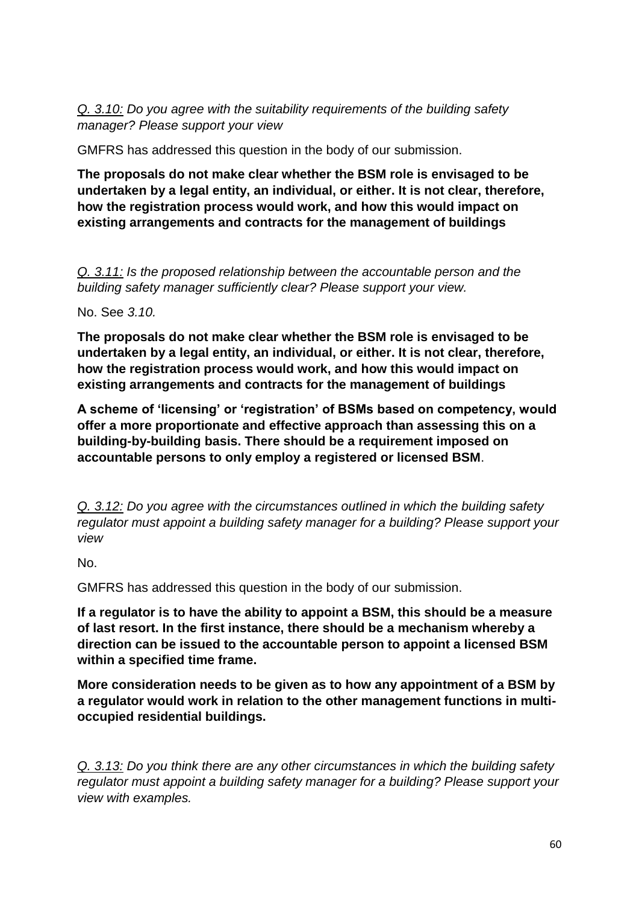*Q. 3.10: Do you agree with the suitability requirements of the building safety manager? Please support your view*

GMFRS has addressed this question in the body of our submission.

**The proposals do not make clear whether the BSM role is envisaged to be undertaken by a legal entity, an individual, or either. It is not clear, therefore, how the registration process would work, and how this would impact on existing arrangements and contracts for the management of buildings**

*Q. 3.11: Is the proposed relationship between the accountable person and the building safety manager sufficiently clear? Please support your view.*

No. See *3.10.*

**The proposals do not make clear whether the BSM role is envisaged to be undertaken by a legal entity, an individual, or either. It is not clear, therefore, how the registration process would work, and how this would impact on existing arrangements and contracts for the management of buildings**

**A scheme of 'licensing' or 'registration' of BSMs based on competency, would offer a more proportionate and effective approach than assessing this on a building-by-building basis. There should be a requirement imposed on accountable persons to only employ a registered or licensed BSM**.

*Q. 3.12: Do you agree with the circumstances outlined in which the building safety regulator must appoint a building safety manager for a building? Please support your view*

No.

GMFRS has addressed this question in the body of our submission.

**If a regulator is to have the ability to appoint a BSM, this should be a measure of last resort. In the first instance, there should be a mechanism whereby a direction can be issued to the accountable person to appoint a licensed BSM within a specified time frame.**

**More consideration needs to be given as to how any appointment of a BSM by a regulator would work in relation to the other management functions in multioccupied residential buildings.**

*Q. 3.13: Do you think there are any other circumstances in which the building safety regulator must appoint a building safety manager for a building? Please support your view with examples.*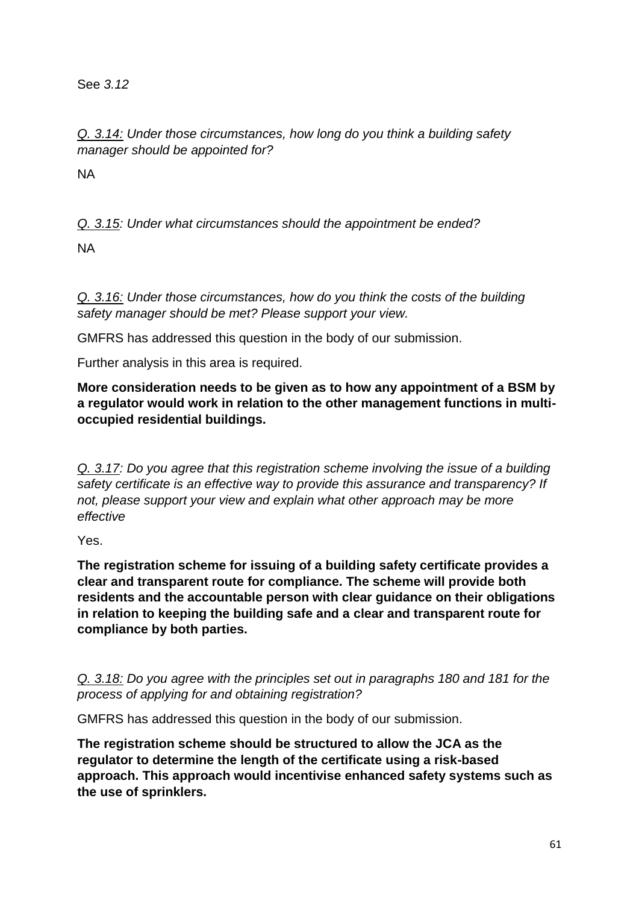See *3.12*

*Q. 3.14: Under those circumstances, how long do you think a building safety manager should be appointed for?*

NA

*Q. 3.15: Under what circumstances should the appointment be ended?*

NA

*Q. 3.16: Under those circumstances, how do you think the costs of the building safety manager should be met? Please support your view.*

GMFRS has addressed this question in the body of our submission.

Further analysis in this area is required.

**More consideration needs to be given as to how any appointment of a BSM by a regulator would work in relation to the other management functions in multioccupied residential buildings.**

*Q. 3.17: Do you agree that this registration scheme involving the issue of a building safety certificate is an effective way to provide this assurance and transparency? If not, please support your view and explain what other approach may be more effective*

Yes.

**The registration scheme for issuing of a building safety certificate provides a clear and transparent route for compliance. The scheme will provide both residents and the accountable person with clear guidance on their obligations in relation to keeping the building safe and a clear and transparent route for compliance by both parties.**

*Q. 3.18: Do you agree with the principles set out in paragraphs 180 and 181 for the process of applying for and obtaining registration?*

GMFRS has addressed this question in the body of our submission.

**The registration scheme should be structured to allow the JCA as the regulator to determine the length of the certificate using a risk-based approach. This approach would incentivise enhanced safety systems such as the use of sprinklers.**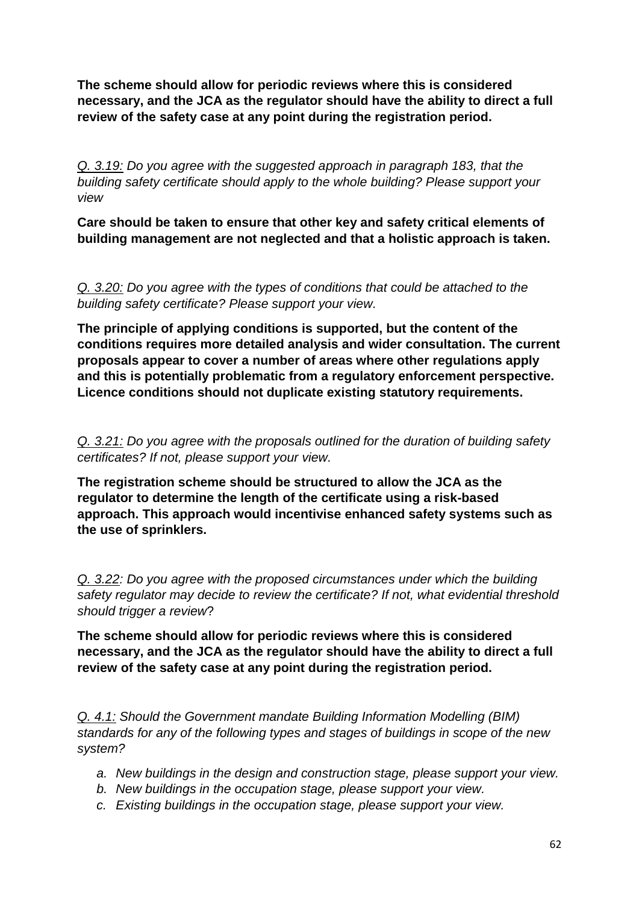**The scheme should allow for periodic reviews where this is considered necessary, and the JCA as the regulator should have the ability to direct a full review of the safety case at any point during the registration period.** 

*Q. 3.19: Do you agree with the suggested approach in paragraph 183, that the building safety certificate should apply to the whole building? Please support your view*

**Care should be taken to ensure that other key and safety critical elements of building management are not neglected and that a holistic approach is taken.** 

*Q. 3.20: Do you agree with the types of conditions that could be attached to the building safety certificate? Please support your view.*

**The principle of applying conditions is supported, but the content of the conditions requires more detailed analysis and wider consultation. The current proposals appear to cover a number of areas where other regulations apply and this is potentially problematic from a regulatory enforcement perspective. Licence conditions should not duplicate existing statutory requirements.** 

*Q. 3.21: Do you agree with the proposals outlined for the duration of building safety certificates? If not, please support your view.*

**The registration scheme should be structured to allow the JCA as the regulator to determine the length of the certificate using a risk-based approach. This approach would incentivise enhanced safety systems such as the use of sprinklers.**

*Q. 3.22: Do you agree with the proposed circumstances under which the building safety regulator may decide to review the certificate? If not, what evidential threshold should trigger a review*?

**The scheme should allow for periodic reviews where this is considered necessary, and the JCA as the regulator should have the ability to direct a full review of the safety case at any point during the registration period.** 

*Q. 4.1: Should the Government mandate Building Information Modelling (BIM) standards for any of the following types and stages of buildings in scope of the new system?*

- *a. New buildings in the design and construction stage, please support your view.*
- *b. New buildings in the occupation stage, please support your view.*
- *c. Existing buildings in the occupation stage, please support your view.*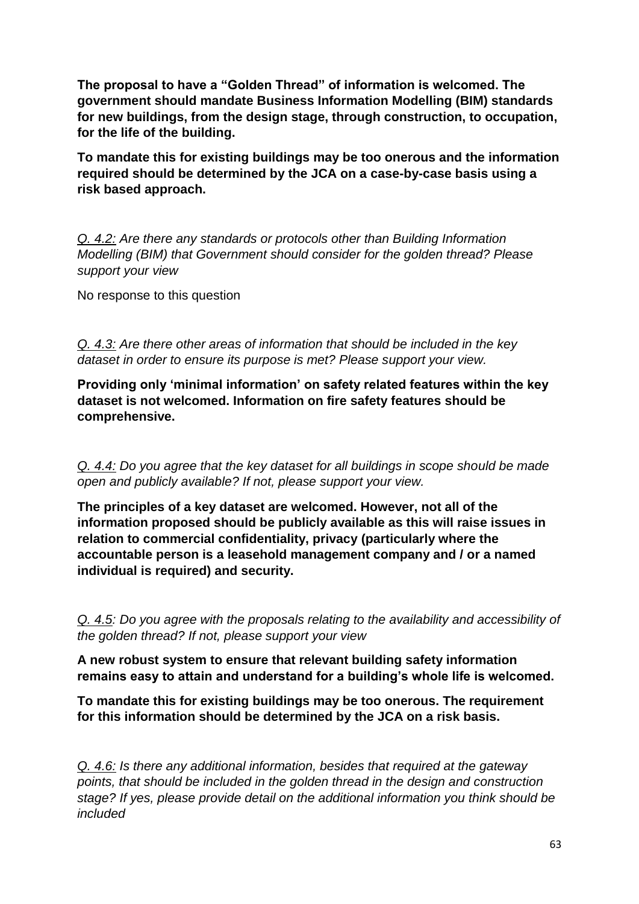**The proposal to have a "Golden Thread" of information is welcomed. The government should mandate Business Information Modelling (BIM) standards for new buildings, from the design stage, through construction, to occupation, for the life of the building.**

**To mandate this for existing buildings may be too onerous and the information required should be determined by the JCA on a case-by-case basis using a risk based approach.** 

*Q. 4.2: Are there any standards or protocols other than Building Information Modelling (BIM) that Government should consider for the golden thread? Please support your view*

No response to this question

*Q. 4.3: Are there other areas of information that should be included in the key dataset in order to ensure its purpose is met? Please support your view.*

**Providing only 'minimal information' on safety related features within the key dataset is not welcomed. Information on fire safety features should be comprehensive.**

*Q. 4.4: Do you agree that the key dataset for all buildings in scope should be made open and publicly available? If not, please support your view.*

**The principles of a key dataset are welcomed. However, not all of the information proposed should be publicly available as this will raise issues in relation to commercial confidentiality, privacy (particularly where the accountable person is a leasehold management company and / or a named individual is required) and security.**

*Q. 4.5: Do you agree with the proposals relating to the availability and accessibility of the golden thread? If not, please support your view*

**A new robust system to ensure that relevant building safety information remains easy to attain and understand for a building's whole life is welcomed.**

**To mandate this for existing buildings may be too onerous. The requirement for this information should be determined by the JCA on a risk basis.** 

*Q. 4.6: Is there any additional information, besides that required at the gateway points, that should be included in the golden thread in the design and construction stage? If yes, please provide detail on the additional information you think should be included*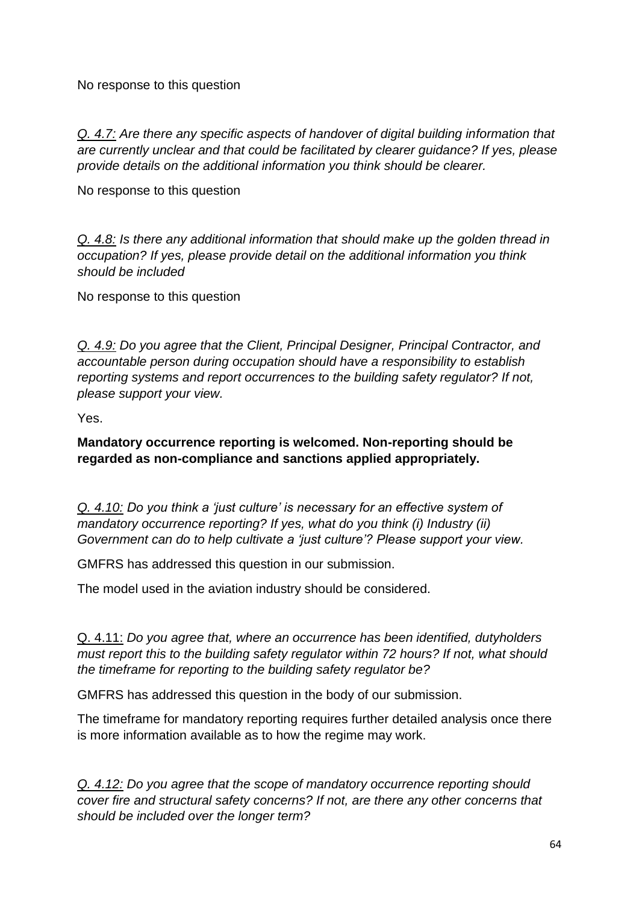No response to this question

*Q. 4.7: Are there any specific aspects of handover of digital building information that are currently unclear and that could be facilitated by clearer guidance? If yes, please provide details on the additional information you think should be clearer.*

No response to this question

*Q. 4.8: Is there any additional information that should make up the golden thread in occupation? If yes, please provide detail on the additional information you think should be included*

No response to this question

*Q. 4.9: Do you agree that the Client, Principal Designer, Principal Contractor, and accountable person during occupation should have a responsibility to establish reporting systems and report occurrences to the building safety regulator? If not, please support your view.*

Yes.

**Mandatory occurrence reporting is welcomed. Non-reporting should be regarded as non-compliance and sanctions applied appropriately.**

*Q. 4.10: Do you think a 'just culture' is necessary for an effective system of mandatory occurrence reporting? If yes, what do you think (i) Industry (ii) Government can do to help cultivate a 'just culture'? Please support your view.*

GMFRS has addressed this question in our submission.

The model used in the aviation industry should be considered.

Q. 4.11: *Do you agree that, where an occurrence has been identified, dutyholders must report this to the building safety regulator within 72 hours? If not, what should the timeframe for reporting to the building safety regulator be?*

GMFRS has addressed this question in the body of our submission.

The timeframe for mandatory reporting requires further detailed analysis once there is more information available as to how the regime may work.

*Q. 4.12: Do you agree that the scope of mandatory occurrence reporting should cover fire and structural safety concerns? If not, are there any other concerns that should be included over the longer term?*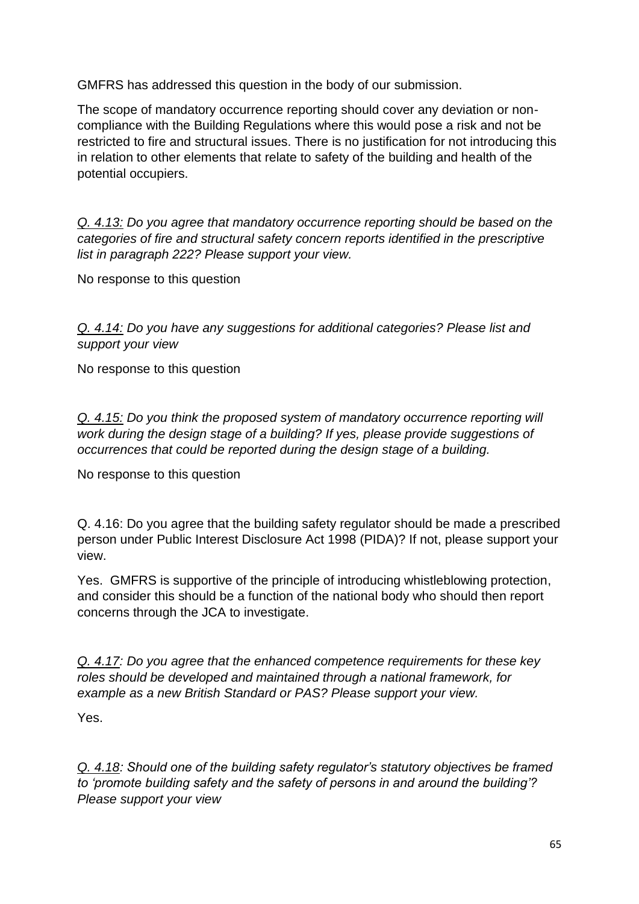GMFRS has addressed this question in the body of our submission.

The scope of mandatory occurrence reporting should cover any deviation or noncompliance with the Building Regulations where this would pose a risk and not be restricted to fire and structural issues. There is no justification for not introducing this in relation to other elements that relate to safety of the building and health of the potential occupiers.

*Q. 4.13: Do you agree that mandatory occurrence reporting should be based on the categories of fire and structural safety concern reports identified in the prescriptive list in paragraph 222? Please support your view.*

No response to this question

*Q. 4.14: Do you have any suggestions for additional categories? Please list and support your view*

No response to this question

*Q. 4.15: Do you think the proposed system of mandatory occurrence reporting will work during the design stage of a building? If yes, please provide suggestions of occurrences that could be reported during the design stage of a building.*

No response to this question

Q. 4.16: Do you agree that the building safety regulator should be made a prescribed person under Public Interest Disclosure Act 1998 (PIDA)? If not, please support your view.

Yes. GMFRS is supportive of the principle of introducing whistleblowing protection, and consider this should be a function of the national body who should then report concerns through the JCA to investigate.

*Q. 4.17: Do you agree that the enhanced competence requirements for these key roles should be developed and maintained through a national framework, for example as a new British Standard or PAS? Please support your view.*

Yes.

*Q. 4.18: Should one of the building safety regulator's statutory objectives be framed to 'promote building safety and the safety of persons in and around the building'? Please support your view*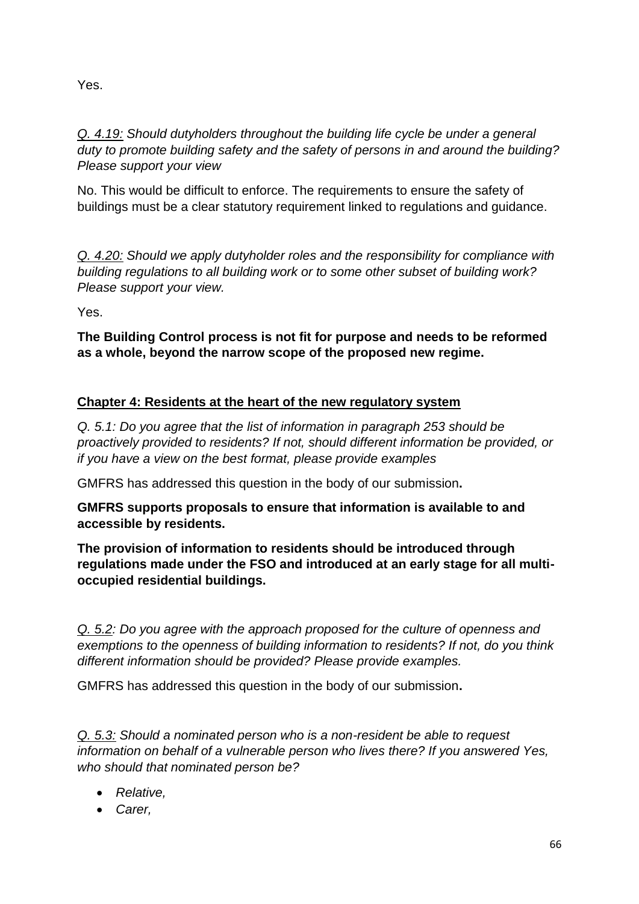Yes.

*Q. 4.19: Should dutyholders throughout the building life cycle be under a general duty to promote building safety and the safety of persons in and around the building? Please support your view*

No. This would be difficult to enforce. The requirements to ensure the safety of buildings must be a clear statutory requirement linked to regulations and guidance.

*Q. 4.20: Should we apply dutyholder roles and the responsibility for compliance with building regulations to all building work or to some other subset of building work? Please support your view.*

Yes.

**The Building Control process is not fit for purpose and needs to be reformed as a whole, beyond the narrow scope of the proposed new regime.**

## **Chapter 4: Residents at the heart of the new regulatory system**

*Q. 5.1: Do you agree that the list of information in paragraph 253 should be proactively provided to residents? If not, should different information be provided, or if you have a view on the best format, please provide examples*

GMFRS has addressed this question in the body of our submission**.**

**GMFRS supports proposals to ensure that information is available to and accessible by residents.** 

**The provision of information to residents should be introduced through regulations made under the FSO and introduced at an early stage for all multioccupied residential buildings.**

*Q. 5.2: Do you agree with the approach proposed for the culture of openness and exemptions to the openness of building information to residents? If not, do you think different information should be provided? Please provide examples.*

GMFRS has addressed this question in the body of our submission**.**

*Q. 5.3: Should a nominated person who is a non-resident be able to request information on behalf of a vulnerable person who lives there? If you answered Yes, who should that nominated person be?*

- *Relative,*
- *Carer,*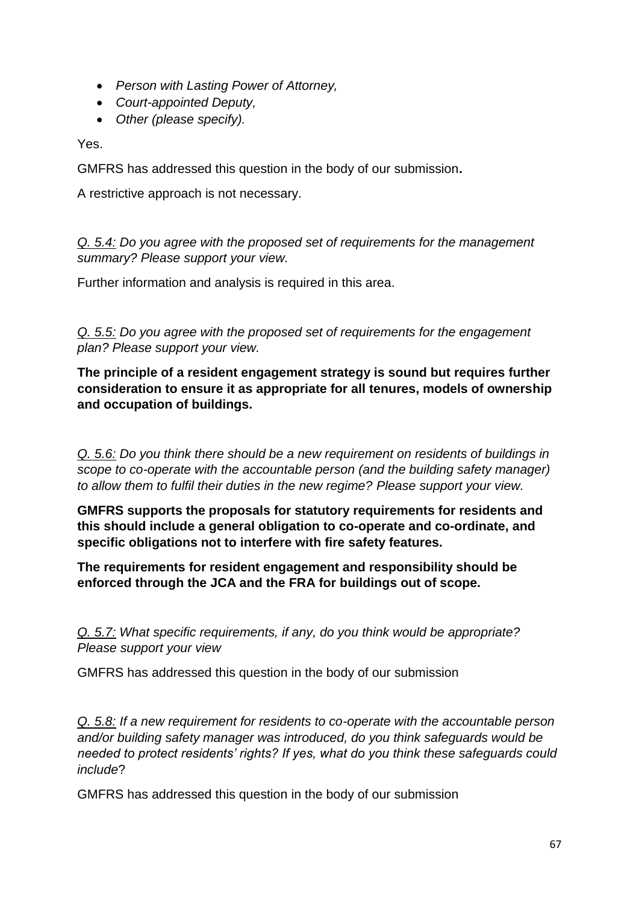- *Person with Lasting Power of Attorney,*
- *Court-appointed Deputy,*
- *Other (please specify).*

Yes.

GMFRS has addressed this question in the body of our submission**.**

A restrictive approach is not necessary.

*Q. 5.4: Do you agree with the proposed set of requirements for the management summary? Please support your view.*

Further information and analysis is required in this area.

*Q. 5.5: Do you agree with the proposed set of requirements for the engagement plan? Please support your view.*

**The principle of a resident engagement strategy is sound but requires further consideration to ensure it as appropriate for all tenures, models of ownership and occupation of buildings.**

*Q. 5.6: Do you think there should be a new requirement on residents of buildings in scope to co-operate with the accountable person (and the building safety manager) to allow them to fulfil their duties in the new regime? Please support your view.*

**GMFRS supports the proposals for statutory requirements for residents and this should include a general obligation to co-operate and co-ordinate, and specific obligations not to interfere with fire safety features.**

**The requirements for resident engagement and responsibility should be enforced through the JCA and the FRA for buildings out of scope.**

*Q. 5.7: What specific requirements, if any, do you think would be appropriate? Please support your view*

GMFRS has addressed this question in the body of our submission

*Q. 5.8: If a new requirement for residents to co-operate with the accountable person and/or building safety manager was introduced, do you think safeguards would be needed to protect residents' rights? If yes, what do you think these safeguards could include*?

GMFRS has addressed this question in the body of our submission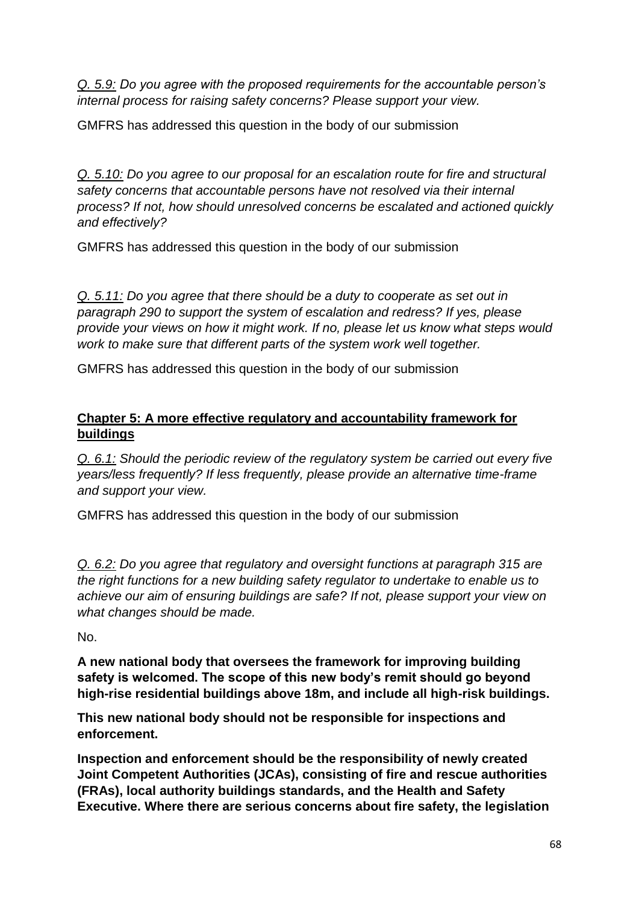*Q. 5.9: Do you agree with the proposed requirements for the accountable person's internal process for raising safety concerns? Please support your view.*

GMFRS has addressed this question in the body of our submission

*Q. 5.10: Do you agree to our proposal for an escalation route for fire and structural safety concerns that accountable persons have not resolved via their internal process? If not, how should unresolved concerns be escalated and actioned quickly and effectively?*

GMFRS has addressed this question in the body of our submission

*Q. 5.11: Do you agree that there should be a duty to cooperate as set out in paragraph 290 to support the system of escalation and redress? If yes, please provide your views on how it might work. If no, please let us know what steps would work to make sure that different parts of the system work well together.*

GMFRS has addressed this question in the body of our submission

## **Chapter 5: A more effective regulatory and accountability framework for buildings**

*Q. 6.1: Should the periodic review of the regulatory system be carried out every five years/less frequently? If less frequently, please provide an alternative time-frame and support your view.*

GMFRS has addressed this question in the body of our submission

*Q. 6.2: Do you agree that regulatory and oversight functions at paragraph 315 are the right functions for a new building safety regulator to undertake to enable us to achieve our aim of ensuring buildings are safe? If not, please support your view on what changes should be made.*

No.

**A new national body that oversees the framework for improving building safety is welcomed. The scope of this new body's remit should go beyond high-rise residential buildings above 18m, and include all high-risk buildings.**

**This new national body should not be responsible for inspections and enforcement.** 

**Inspection and enforcement should be the responsibility of newly created Joint Competent Authorities (JCAs), consisting of fire and rescue authorities (FRAs), local authority buildings standards, and the Health and Safety Executive. Where there are serious concerns about fire safety, the legislation**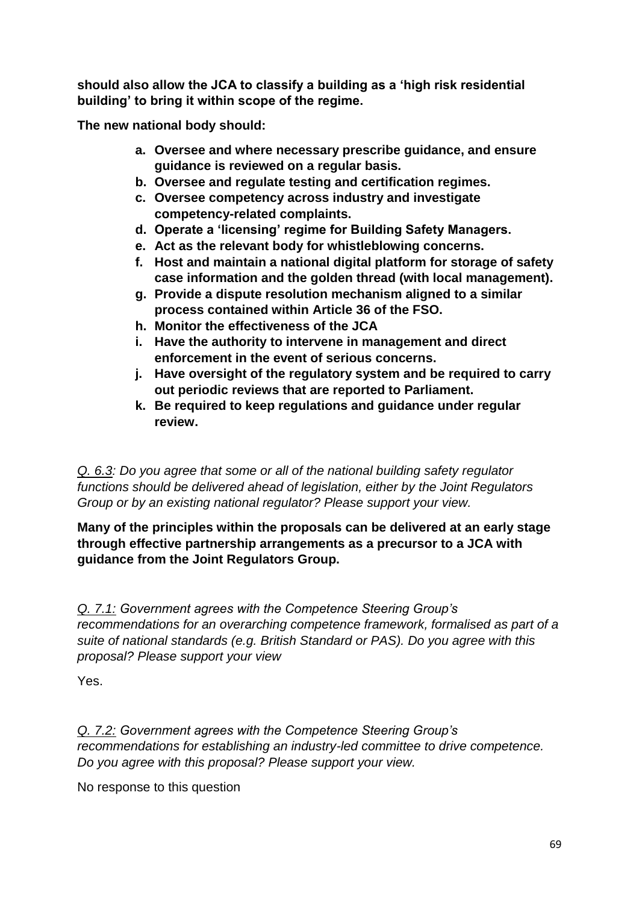**should also allow the JCA to classify a building as a 'high risk residential building' to bring it within scope of the regime.**

**The new national body should:**

- **a. Oversee and where necessary prescribe guidance, and ensure guidance is reviewed on a regular basis.**
- **b. Oversee and regulate testing and certification regimes.**
- **c. Oversee competency across industry and investigate competency-related complaints.**
- **d. Operate a 'licensing' regime for Building Safety Managers.**
- **e. Act as the relevant body for whistleblowing concerns.**
- **f. Host and maintain a national digital platform for storage of safety case information and the golden thread (with local management).**
- **g. Provide a dispute resolution mechanism aligned to a similar process contained within Article 36 of the FSO.**
- **h. Monitor the effectiveness of the JCA**
- **i. Have the authority to intervene in management and direct enforcement in the event of serious concerns.**
- **j. Have oversight of the regulatory system and be required to carry out periodic reviews that are reported to Parliament.**
- **k. Be required to keep regulations and guidance under regular review.**

*Q. 6.3: Do you agree that some or all of the national building safety regulator functions should be delivered ahead of legislation, either by the Joint Regulators Group or by an existing national regulator? Please support your view.*

**Many of the principles within the proposals can be delivered at an early stage through effective partnership arrangements as a precursor to a JCA with guidance from the Joint Regulators Group.**

*Q. 7.1: Government agrees with the Competence Steering Group's recommendations for an overarching competence framework, formalised as part of a suite of national standards (e.g. British Standard or PAS). Do you agree with this proposal? Please support your view*

Yes.

*Q. 7.2: Government agrees with the Competence Steering Group's recommendations for establishing an industry-led committee to drive competence. Do you agree with this proposal? Please support your view.*

No response to this question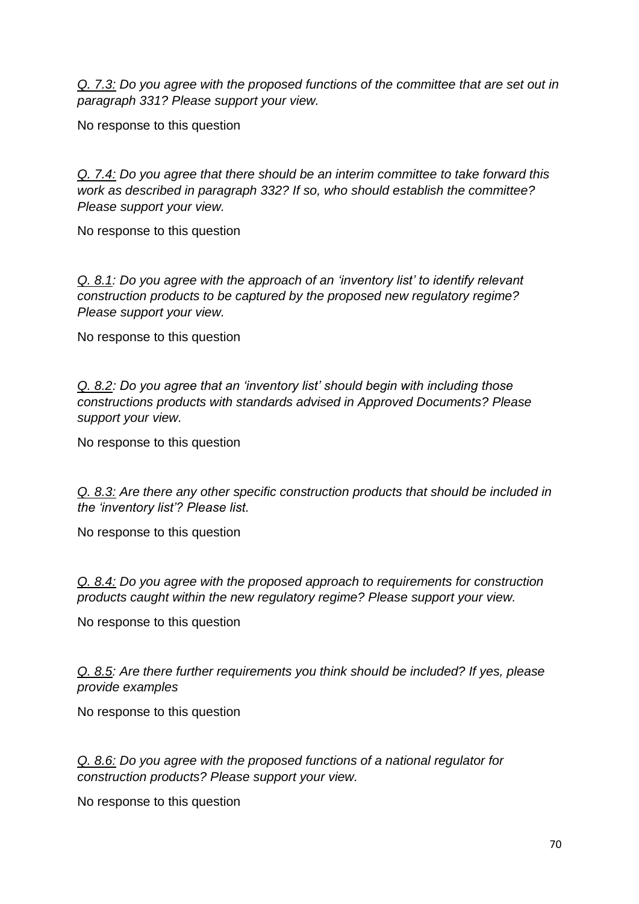*Q. 7.3: Do you agree with the proposed functions of the committee that are set out in paragraph 331? Please support your view.*

No response to this question

*Q. 7.4: Do you agree that there should be an interim committee to take forward this work as described in paragraph 332? If so, who should establish the committee? Please support your view.*

No response to this question

*Q. 8.1: Do you agree with the approach of an 'inventory list' to identify relevant construction products to be captured by the proposed new regulatory regime? Please support your view.*

No response to this question

*Q. 8.2: Do you agree that an 'inventory list' should begin with including those constructions products with standards advised in Approved Documents? Please support your view.*

No response to this question

*Q. 8.3: Are there any other specific construction products that should be included in the 'inventory list'? Please list.*

No response to this question

*Q. 8.4: Do you agree with the proposed approach to requirements for construction products caught within the new regulatory regime? Please support your view.*

No response to this question

*Q. 8.5: Are there further requirements you think should be included? If yes, please provide examples*

No response to this question

*Q. 8.6: Do you agree with the proposed functions of a national regulator for construction products? Please support your view.*

No response to this question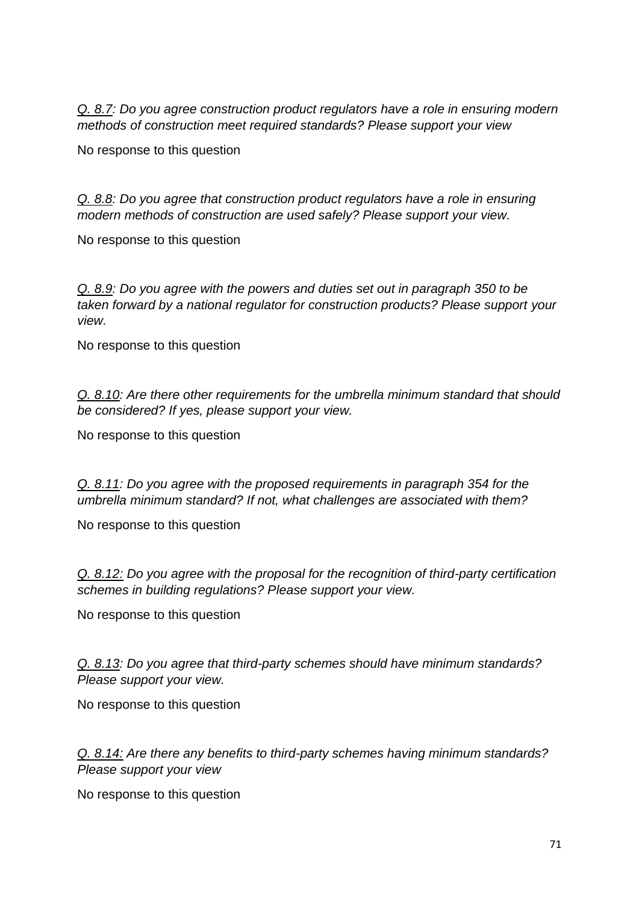*Q. 8.7: Do you agree construction product regulators have a role in ensuring modern methods of construction meet required standards? Please support your view*

No response to this question

*Q. 8.8: Do you agree that construction product regulators have a role in ensuring modern methods of construction are used safely? Please support your view.*

No response to this question

*Q. 8.9: Do you agree with the powers and duties set out in paragraph 350 to be taken forward by a national regulator for construction products? Please support your view.*

No response to this question

*Q. 8.10: Are there other requirements for the umbrella minimum standard that should be considered? If yes, please support your view.*

No response to this question

*Q. 8.11: Do you agree with the proposed requirements in paragraph 354 for the umbrella minimum standard? If not, what challenges are associated with them?*

No response to this question

*Q. 8.12: Do you agree with the proposal for the recognition of third-party certification schemes in building regulations? Please support your view.*

No response to this question

*Q. 8.13: Do you agree that third-party schemes should have minimum standards? Please support your view.*

No response to this question

*Q. 8.14: Are there any benefits to third-party schemes having minimum standards? Please support your view*

No response to this question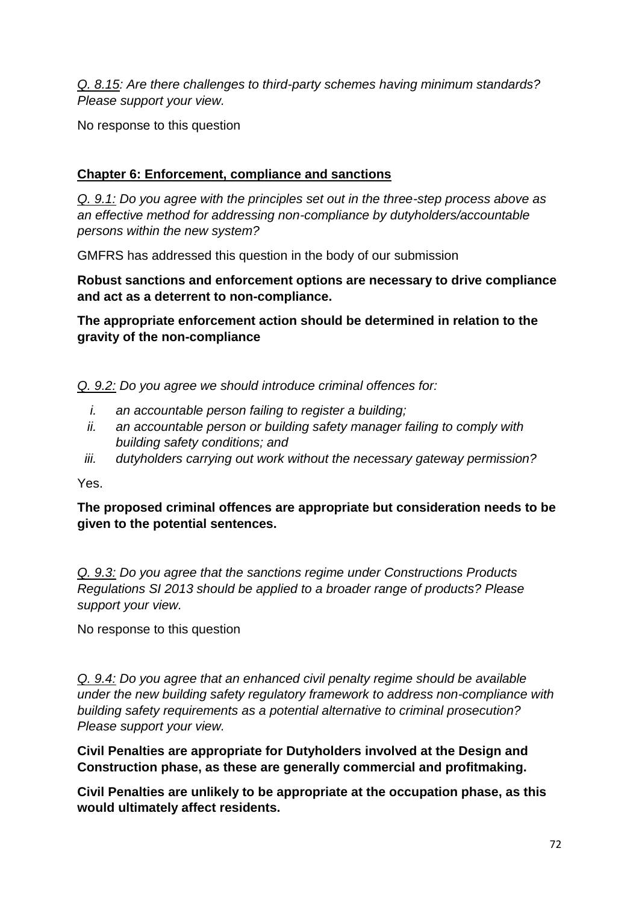*Q. 8.15: Are there challenges to third-party schemes having minimum standards? Please support your view.*

No response to this question

# **Chapter 6: Enforcement, compliance and sanctions**

*Q. 9.1: Do you agree with the principles set out in the three-step process above as an effective method for addressing non-compliance by dutyholders/accountable persons within the new system?*

GMFRS has addressed this question in the body of our submission

**Robust sanctions and enforcement options are necessary to drive compliance and act as a deterrent to non-compliance.**

**The appropriate enforcement action should be determined in relation to the gravity of the non-compliance**

*Q. 9.2: Do you agree we should introduce criminal offences for:*

- *i. an accountable person failing to register a building;*
- *ii. an accountable person or building safety manager failing to comply with building safety conditions; and*
- *iii. dutyholders carrying out work without the necessary gateway permission?*

Yes.

**The proposed criminal offences are appropriate but consideration needs to be given to the potential sentences.**

*Q. 9.3: Do you agree that the sanctions regime under Constructions Products Regulations SI 2013 should be applied to a broader range of products? Please support your view.*

No response to this question

*Q. 9.4: Do you agree that an enhanced civil penalty regime should be available under the new building safety regulatory framework to address non-compliance with building safety requirements as a potential alternative to criminal prosecution? Please support your view.*

**Civil Penalties are appropriate for Dutyholders involved at the Design and Construction phase, as these are generally commercial and profitmaking.** 

**Civil Penalties are unlikely to be appropriate at the occupation phase, as this would ultimately affect residents.**